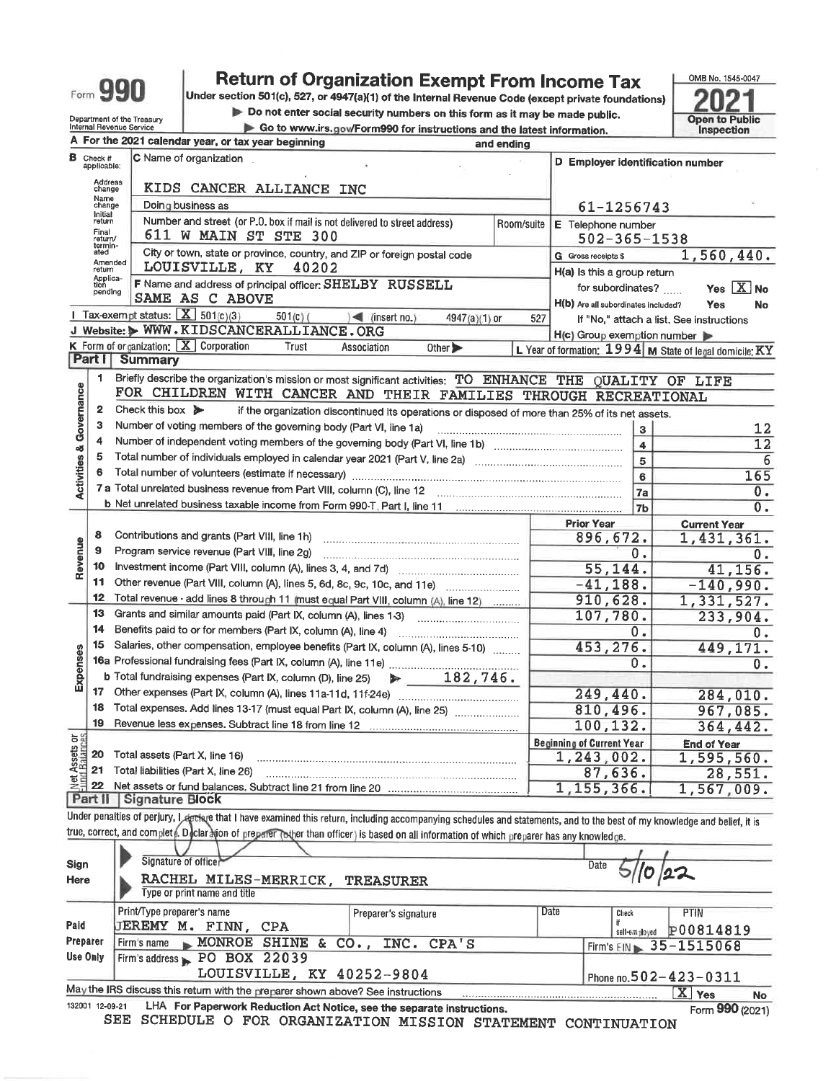Form 990

## **Return of Organization Exempt From Income Tax**

Under section 501(c), 527, or 4947(a)(1) of the Internal Revenue Code (except private foundations) Do not enter social security numbers on this form as it may be made public.



|                                                     |                                  | Department of the Treasury<br>Internal Revenue Service          | Do not enter social security numbers on this form as it may be made public.<br>Go to www.irs.gov/Form990 for instructions and the latest information.                          | <b>Open to Public</b><br><b>Inspection</b> |                                          |                                                           |  |  |  |  |  |
|-----------------------------------------------------|----------------------------------|-----------------------------------------------------------------|--------------------------------------------------------------------------------------------------------------------------------------------------------------------------------|--------------------------------------------|------------------------------------------|-----------------------------------------------------------|--|--|--|--|--|
| A For the 2021 calendar year, or tax year beginning |                                  |                                                                 |                                                                                                                                                                                |                                            |                                          |                                                           |  |  |  |  |  |
|                                                     | <b>B</b> Check if<br>applicable: |                                                                 | and ending<br>C Name of organization<br>D Employer identification number                                                                                                       |                                            |                                          |                                                           |  |  |  |  |  |
|                                                     | Address<br>change                |                                                                 | KIDS CANCER ALLIANCE INC                                                                                                                                                       |                                            |                                          |                                                           |  |  |  |  |  |
|                                                     | Name<br>change                   |                                                                 | Doing business as                                                                                                                                                              |                                            | 61-1256743                               |                                                           |  |  |  |  |  |
|                                                     | Initial<br>return                |                                                                 | Number and street (or P.O. box if mail is not delivered to street address)                                                                                                     |                                            |                                          |                                                           |  |  |  |  |  |
|                                                     | Final<br>return/<br>termin-      |                                                                 | 611 W MAIN ST STE 300                                                                                                                                                          | Room/suite                                 | E Telephone number<br>$502 - 365 - 1538$ |                                                           |  |  |  |  |  |
|                                                     | ated                             | Amended                                                         | City or town, state or province, country, and ZIP or foreign postal code                                                                                                       |                                            | G Gross receipts \$                      | 1,560,440.                                                |  |  |  |  |  |
|                                                     | return<br>Applica-<br>tion       |                                                                 | LOUISVILLE, KY<br>40202                                                                                                                                                        |                                            | H(a) Is this a group return              |                                                           |  |  |  |  |  |
|                                                     | pending                          |                                                                 | F Name and address of principal officer: SHELBY RUSSELL<br>SAME AS C ABOVE                                                                                                     |                                            | for subordinates?                        | Yes $X$ No                                                |  |  |  |  |  |
|                                                     |                                  | Tax-exempt status: $X \overline{3}$ 501(c)(3)                   |                                                                                                                                                                                |                                            | H(b) Are all subordinates included?      | <b>Yes</b><br>No                                          |  |  |  |  |  |
|                                                     |                                  |                                                                 | $501(c)$ (<br>$)$ (insert no.)<br>$4947(a)(1)$ or<br>J Website: WWW.KIDSCANCERALLIANCE.ORG                                                                                     | 527                                        |                                          | If "No," attach a list. See instructions                  |  |  |  |  |  |
|                                                     |                                  | <b>K</b> Form of organization: $\boxed{\mathbf{X}}$ Corporation | Trust                                                                                                                                                                          |                                            | $H(c)$ Group exemption number            |                                                           |  |  |  |  |  |
|                                                     | <b>Part I</b>                    | Summary                                                         | Association<br>Other $\blacktriangleright$                                                                                                                                     |                                            |                                          | L Year of formation: $1994$ M State of legal domicile: KY |  |  |  |  |  |
|                                                     | 1                                |                                                                 |                                                                                                                                                                                |                                            |                                          |                                                           |  |  |  |  |  |
|                                                     |                                  |                                                                 | Briefly describe the organization's mission or most significant activities: TO ENHANCE THE QUALITY OF LIFE<br>FOR CHILDREN WITH CANCER AND THEIR FAMILIES THROUGH RECREATIONAL |                                            |                                          |                                                           |  |  |  |  |  |
| Activities & Governance                             | 2                                | Check this box $\triangleright$                                 |                                                                                                                                                                                |                                            |                                          |                                                           |  |  |  |  |  |
|                                                     | 3                                |                                                                 | if the organization discontinued its operations or disposed of more than 25% of its net assets.<br>Number of voting members of the governing body (Part VI, line 1a)           |                                            |                                          |                                                           |  |  |  |  |  |
|                                                     | 4                                |                                                                 |                                                                                                                                                                                |                                            | 3                                        | 12                                                        |  |  |  |  |  |
|                                                     | 5                                |                                                                 |                                                                                                                                                                                |                                            | $\overline{\mathbf{4}}$                  | 12                                                        |  |  |  |  |  |
|                                                     | 6                                |                                                                 | Total number of individuals employed in calendar year 2021 (Part V, line 2a) manufactured contains an intervent<br>Total number of volunteers (estimate if necessary)          |                                            | 5                                        | 6                                                         |  |  |  |  |  |
|                                                     |                                  |                                                                 |                                                                                                                                                                                |                                            | $6\phantom{1}$                           | 165                                                       |  |  |  |  |  |
|                                                     |                                  |                                                                 |                                                                                                                                                                                |                                            | 7a                                       | 0.                                                        |  |  |  |  |  |
|                                                     |                                  |                                                                 |                                                                                                                                                                                |                                            | 7b                                       | 0.                                                        |  |  |  |  |  |
|                                                     | 8                                |                                                                 | Contributions and grants (Part VIII, line 1h)                                                                                                                                  |                                            | <b>Prior Year</b><br>896,672.            | <b>Current Year</b>                                       |  |  |  |  |  |
|                                                     | 9                                |                                                                 | Program service revenue (Part VIII, line 2g)                                                                                                                                   |                                            | 0.                                       | 1,431,361.                                                |  |  |  |  |  |
| Revenue                                             | 10                               |                                                                 |                                                                                                                                                                                |                                            | 55,144.                                  | ο.<br>41,156.                                             |  |  |  |  |  |
|                                                     | 11                               |                                                                 |                                                                                                                                                                                |                                            | $-41,188.$                               | $-140,990.$                                               |  |  |  |  |  |
|                                                     | 12                               |                                                                 | Total revenue - add lines 8 through 11 (must equal Part VIII, column (A), line 12)                                                                                             |                                            | 910,628.                                 | 1,331,527.                                                |  |  |  |  |  |
|                                                     | 13                               |                                                                 | Grants and similar amounts paid (Part IX, column (A), lines 1-3)                                                                                                               |                                            | 107,780.                                 | 233,904.                                                  |  |  |  |  |  |
|                                                     | 14                               |                                                                 | Benefits paid to or for members (Part IX, column (A), line 4)                                                                                                                  |                                            | 0.                                       | Ο.                                                        |  |  |  |  |  |
|                                                     | 15                               |                                                                 | Salaries, other compensation, employee benefits (Part IX, column (A), lines 5-10)                                                                                              |                                            | 453,276.                                 | 449,171.                                                  |  |  |  |  |  |
| Expenses                                            |                                  |                                                                 |                                                                                                                                                                                |                                            | 0.                                       | 0.                                                        |  |  |  |  |  |
|                                                     |                                  |                                                                 | $\blacktriangleright$ 182,746.<br>b Total fundraising expenses (Part IX, column (D), line 25)                                                                                  |                                            |                                          |                                                           |  |  |  |  |  |
|                                                     | 17                               |                                                                 |                                                                                                                                                                                |                                            | 249,440.                                 | 284,010.                                                  |  |  |  |  |  |
|                                                     | 18                               |                                                                 | Total expenses. Add lines 13-17 (must equal Part IX, column (A), line 25)                                                                                                      |                                            | 810,496.                                 | 967,085.                                                  |  |  |  |  |  |
|                                                     |                                  |                                                                 | 19 Revenue less expenses. Subtract line 18 from line 12                                                                                                                        |                                            | 100,132.                                 | 364,442.                                                  |  |  |  |  |  |
| Net Assets or                                       |                                  |                                                                 |                                                                                                                                                                                |                                            | <b>Beginning of Current Year</b>         | <b>End of Year</b>                                        |  |  |  |  |  |
|                                                     | 20                               | Total assets (Part X, line 16)                                  |                                                                                                                                                                                |                                            | 1,243,002.                               | 1,595,560.                                                |  |  |  |  |  |
|                                                     | 21                               | Total liabilities (Part X, line 26)                             |                                                                                                                                                                                |                                            | 87,636.                                  | 28,551.                                                   |  |  |  |  |  |
|                                                     | 22                               |                                                                 |                                                                                                                                                                                |                                            | 1,155,366.                               | 1,567,009.                                                |  |  |  |  |  |
|                                                     | Part II                          | <b>Signature Block</b>                                          |                                                                                                                                                                                |                                            |                                          |                                                           |  |  |  |  |  |
|                                                     |                                  |                                                                 | Under penalties of perjury, Legthare that I have examined this return, including accompanying schedules and statements, and to the best of my knowledge and belief, it is      |                                            |                                          |                                                           |  |  |  |  |  |
|                                                     |                                  |                                                                 | true, correct, and complete. Declaration of preparer (other than officer) is based on all information of which preparer has any knowledge.                                     |                                            |                                          |                                                           |  |  |  |  |  |
|                                                     |                                  |                                                                 |                                                                                                                                                                                |                                            |                                          |                                                           |  |  |  |  |  |
| Sign                                                |                                  | Signature of office                                             |                                                                                                                                                                                |                                            | Date                                     |                                                           |  |  |  |  |  |
| Here                                                |                                  |                                                                 | RACHEL MILES-MERRICK,<br><b>TREASURER</b><br>Type or print name and title                                                                                                      |                                            |                                          |                                                           |  |  |  |  |  |

|          | $\mathbf{u}$ , and $\mathbf{v}$ is primerized to call the true.                 |                      |                 |                                |             |  |  |  |  |  |  |  |
|----------|---------------------------------------------------------------------------------|----------------------|-----------------|--------------------------------|-------------|--|--|--|--|--|--|--|
|          | Print/Type preparer's name                                                      | Preparer's signature | Date            | Check                          | <b>PTIN</b> |  |  |  |  |  |  |  |
| Paid     | JEREMY M. FINN, CPA                                                             |                      |                 | self-employed                  | P00814819   |  |  |  |  |  |  |  |
| Preparer | Firm's name MONROE SHINE & CO., INC. CPA'S                                      |                      |                 | Firm's EIN $\geq 35 - 1515068$ |             |  |  |  |  |  |  |  |
| Use Only | Firm's address PO BOX 22039                                                     |                      |                 |                                |             |  |  |  |  |  |  |  |
|          | LOUISVILLE, KY 40252-9804<br>Phone no. $502 - 423 - 0311$                       |                      |                 |                                |             |  |  |  |  |  |  |  |
|          | May the IRS discuss this return with the preparer shown above? See instructions |                      | X.<br>Yes<br>No |                                |             |  |  |  |  |  |  |  |

132001 12-09-21 LHA For Paperwork Reduction Act Notice, see the separate instructions. SEE SCHEDULE O FOR ORGANIZATION MISSION STATEMENT CONTINUATION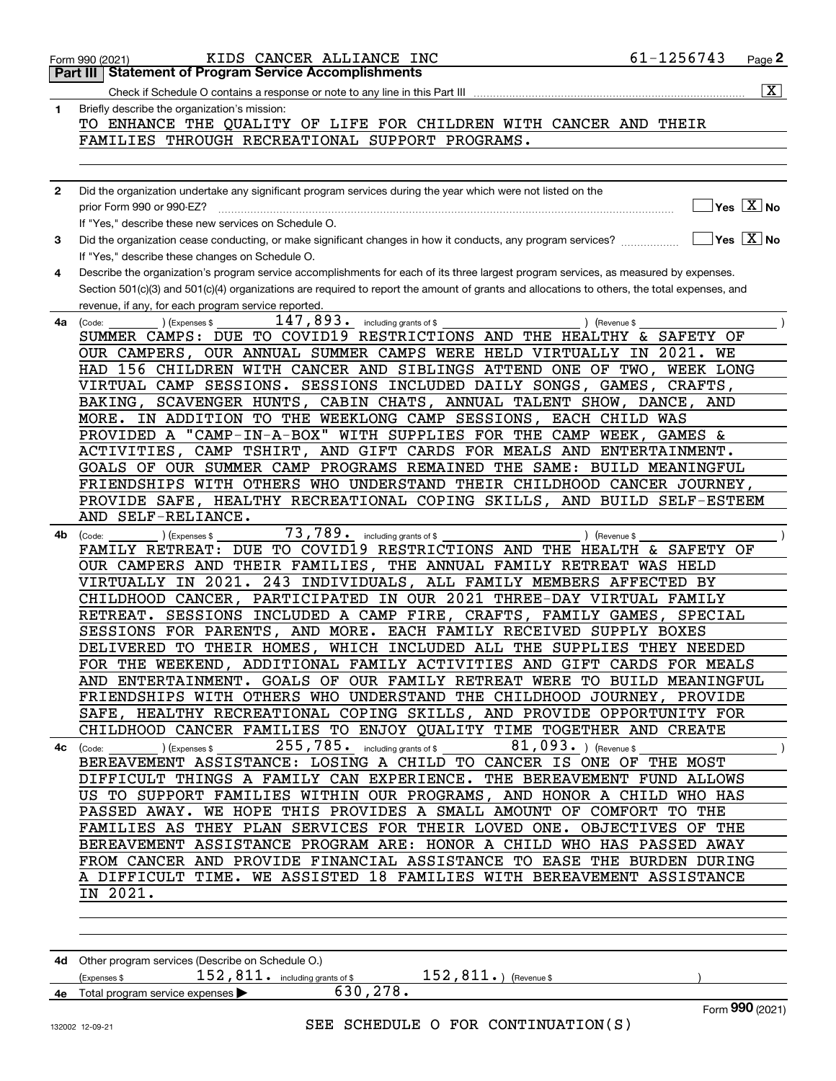|              | 61-1256743<br>KIDS CANCER ALLIANCE INC<br>Page 2<br>Form 990 (2021)                                                                                                             |
|--------------|---------------------------------------------------------------------------------------------------------------------------------------------------------------------------------|
| Part III     | <b>Statement of Program Service Accomplishments</b>                                                                                                                             |
|              | $\overline{\mathtt{x}}$ )<br>Check if Schedule O contains a response or note to any line in this Part III                                                                       |
| 1            | Briefly describe the organization's mission:                                                                                                                                    |
|              | TO ENHANCE THE QUALITY OF LIFE FOR CHILDREN WITH CANCER AND THEIR                                                                                                               |
|              | FAMILIES THROUGH RECREATIONAL SUPPORT PROGRAMS.                                                                                                                                 |
|              |                                                                                                                                                                                 |
|              |                                                                                                                                                                                 |
| $\mathbf{2}$ | Did the organization undertake any significant program services during the year which were not listed on the                                                                    |
|              | $Yes \quad X$ No<br>prior Form 990 or 990-EZ?                                                                                                                                   |
|              | If "Yes," describe these new services on Schedule O.                                                                                                                            |
| 3            | $\overline{\mathsf{Yes} \mathrel{\hspace{0.5pt}\mathsf{X}}}$ No<br>Did the organization cease conducting, or make significant changes in how it conducts, any program services? |
|              | If "Yes," describe these changes on Schedule O.                                                                                                                                 |
| 4            | Describe the organization's program service accomplishments for each of its three largest program services, as measured by expenses.                                            |
|              | Section 501(c)(3) and 501(c)(4) organizations are required to report the amount of grants and allocations to others, the total expenses, and                                    |
|              | revenue, if any, for each program service reported.<br>147,893.                                                                                                                 |
| 4a           | including grants of \$<br>(Code:<br>(Expenses \$<br>) (Revenue \$<br>SUMMER CAMPS: DUE TO COVID19 RESTRICTIONS AND THE HEALTHY & SAFETY OF                                      |
|              | OUR CAMPERS, OUR ANNUAL SUMMER CAMPS WERE HELD VIRTUALLY IN 2021.<br>WE                                                                                                         |
|              | HAD 156 CHILDREN WITH CANCER AND SIBLINGS ATTEND ONE OF TWO,<br>WEEK LONG                                                                                                       |
|              | VIRTUAL CAMP SESSIONS. SESSIONS INCLUDED DAILY SONGS,<br>GAMES,<br>CRAFTS,                                                                                                      |
|              | SCAVENGER HUNTS, CABIN CHATS,<br>ANNUAL TALENT SHOW, DANCE,<br>BAKING,<br>AND                                                                                                   |
|              | IN ADDITION TO THE WEEKLONG CAMP SESSIONS,<br>EACH CHILD WAS<br>MORE.                                                                                                           |
|              | PROVIDED A "CAMP-IN-A-BOX"<br>WITH SUPPLIES FOR THE CAMP WEEK,<br>GAMES &                                                                                                       |
|              | CAMP TSHIRT,<br>AND GIFT CARDS FOR MEALS AND<br>ENTERTAINMENT.<br>ACTIVITIES,                                                                                                   |
|              | GOALS OF OUR SUMMER CAMP PROGRAMS REMAINED THE SAME: BUILD MEANINGFUL                                                                                                           |
|              | FRIENDSHIPS WITH OTHERS WHO UNDERSTAND THEIR CHILDHOOD CANCER JOURNEY,                                                                                                          |
|              | PROVIDE SAFE, HEALTHY RECREATIONAL COPING SKILLS, AND BUILD SELF-ESTEEM                                                                                                         |
|              | AND SELF-RELIANCE.                                                                                                                                                              |
| 4b           | 73,789. including grants of \$<br>(Code:<br>) (Expenses \$<br>) (Revenue \$                                                                                                     |
|              | DUE TO COVID19 RESTRICTIONS AND THE HEALTH &<br>FAMILY RETREAT:<br>SAFETY OF                                                                                                    |
|              | OUR CAMPERS AND THEIR FAMILIES, THE ANNUAL FAMILY RETREAT WAS HELD                                                                                                              |
|              | VIRTUALLY IN 2021. 243 INDIVIDUALS,<br>ALL FAMILY MEMBERS AFFECTED BY<br>PARTICIPATED IN OUR 2021 THREE-DAY VIRTUAL FAMILY<br>CHILDHOOD CANCER,                                 |
|              | SESSIONS<br>INCLUDED A CAMP FIRE, CRAFTS,<br>FAMILY GAMES,<br>SPECIAL<br>RETREAT.                                                                                               |
|              | FOR PARENTS, AND MORE.<br>EACH FAMILY RECEIVED SUPPLY BOXES<br>SESSIONS                                                                                                         |
|              | DELIVERED TO THEIR HOMES, WHICH INCLUDED ALL THE SUPPLIES THEY NEEDED                                                                                                           |
|              | FOR THE WEEKEND, ADDITIONAL FAMILY ACTIVITIES AND GIFT CARDS FOR MEALS                                                                                                          |
|              | AND ENTERTAINMENT. GOALS OF OUR FAMILY RETREAT WERE TO BUILD MEANINGFUL                                                                                                         |
|              | FRIENDSHIPS WITH OTHERS WHO UNDERSTAND THE CHILDHOOD JOURNEY, PROVIDE                                                                                                           |
|              | SAFE, HEALTHY RECREATIONAL COPING SKILLS, AND PROVIDE OPPORTUNITY FOR                                                                                                           |
|              | CHILDHOOD CANCER FAMILIES TO ENJOY QUALITY TIME TOGETHER AND CREATE                                                                                                             |
|              | 4c $(\text{Code:})$ $(\text{Expenses})$ $255,785$ including grants of \$ $81,093$ (Revenue \$                                                                                   |
|              | BEREAVEMENT ASSISTANCE: LOSING A CHILD TO CANCER IS ONE OF THE MOST                                                                                                             |
|              | DIFFICULT THINGS A FAMILY CAN EXPERIENCE. THE BEREAVEMENT FUND ALLOWS                                                                                                           |
|              | US TO SUPPORT FAMILIES WITHIN OUR PROGRAMS, AND HONOR A CHILD WHO HAS                                                                                                           |
|              | PASSED AWAY. WE HOPE THIS PROVIDES A SMALL AMOUNT OF COMFORT TO THE                                                                                                             |
|              | FAMILIES AS THEY PLAN SERVICES FOR THEIR LOVED ONE. OBJECTIVES OF THE                                                                                                           |
|              | BEREAVEMENT ASSISTANCE PROGRAM ARE: HONOR A CHILD WHO HAS PASSED AWAY                                                                                                           |
|              | FROM CANCER AND PROVIDE FINANCIAL ASSISTANCE TO EASE THE BURDEN DURING                                                                                                          |
|              | A DIFFICULT TIME. WE ASSISTED 18 FAMILIES WITH BEREAVEMENT ASSISTANCE<br>IN 2021.                                                                                               |
|              |                                                                                                                                                                                 |
|              |                                                                                                                                                                                 |
|              |                                                                                                                                                                                 |

| 4d Other program services (Describe on Schedule O.)            |                                          |                         |  |  |  |  |  |  |  |  |  |
|----------------------------------------------------------------|------------------------------------------|-------------------------|--|--|--|--|--|--|--|--|--|
| (Expenses \$                                                   | $152,811$ $\cdot$ including grants of \$ | 152, 811.<br>Revenue \$ |  |  |  |  |  |  |  |  |  |
| <b>4e</b> Total program service expenses $\blacktriangleright$ | 630,278.                                 |                         |  |  |  |  |  |  |  |  |  |

Form (2021) **990**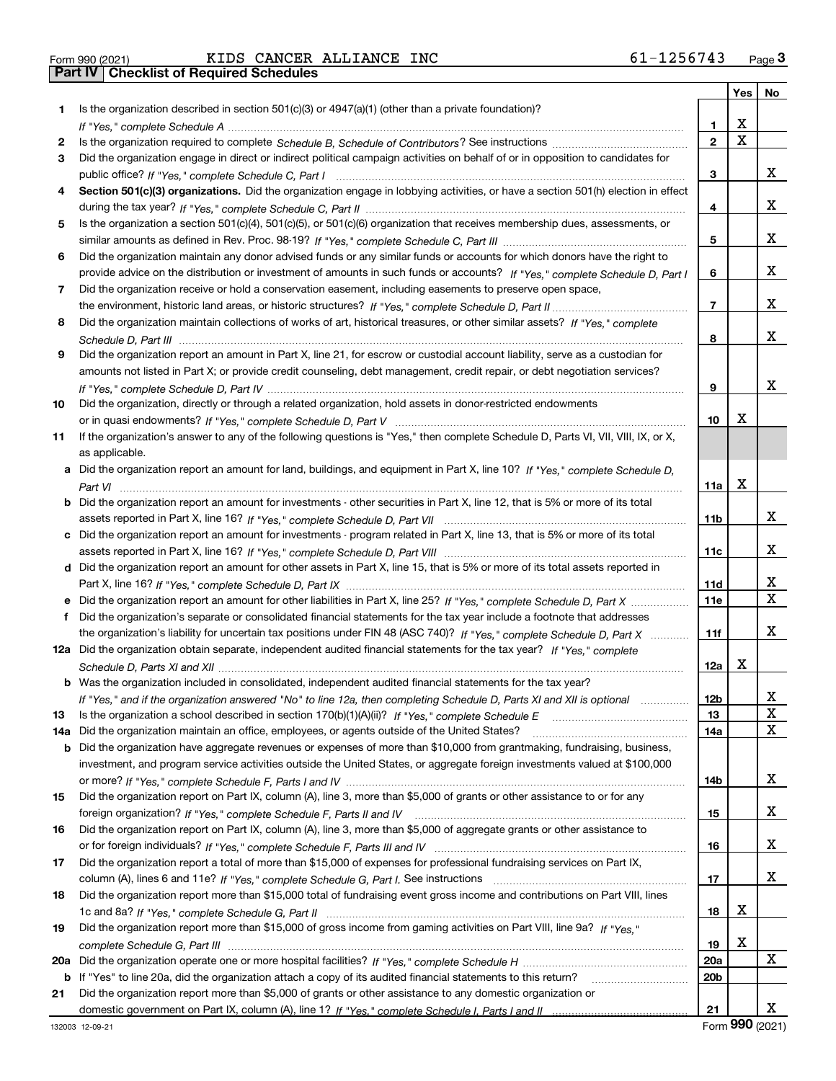|     |                                                                                                                                                           |                 | Yes | No          |
|-----|-----------------------------------------------------------------------------------------------------------------------------------------------------------|-----------------|-----|-------------|
| 1.  | Is the organization described in section $501(c)(3)$ or $4947(a)(1)$ (other than a private foundation)?                                                   |                 |     |             |
|     |                                                                                                                                                           | 1               | х   |             |
| 2   |                                                                                                                                                           | $\mathbf{2}$    | X   |             |
| 3   | Did the organization engage in direct or indirect political campaign activities on behalf of or in opposition to candidates for                           |                 |     |             |
|     |                                                                                                                                                           | 3               |     | х           |
| 4   | Section 501(c)(3) organizations. Did the organization engage in lobbying activities, or have a section 501(h) election in effect                          |                 |     |             |
|     |                                                                                                                                                           | 4               |     | х           |
| 5   | Is the organization a section 501(c)(4), 501(c)(5), or 501(c)(6) organization that receives membership dues, assessments, or                              |                 |     |             |
|     |                                                                                                                                                           | 5               |     | х           |
| 6   | Did the organization maintain any donor advised funds or any similar funds or accounts for which donors have the right to                                 |                 |     |             |
|     | provide advice on the distribution or investment of amounts in such funds or accounts? If "Yes," complete Schedule D, Part I                              | 6               |     | x           |
| 7   | Did the organization receive or hold a conservation easement, including easements to preserve open space,                                                 |                 |     |             |
|     |                                                                                                                                                           | $\overline{7}$  |     | х           |
| 8   | Did the organization maintain collections of works of art, historical treasures, or other similar assets? If "Yes," complete                              |                 |     |             |
|     |                                                                                                                                                           | 8               |     | х           |
| 9   | Did the organization report an amount in Part X, line 21, for escrow or custodial account liability, serve as a custodian for                             |                 |     |             |
|     | amounts not listed in Part X; or provide credit counseling, debt management, credit repair, or debt negotiation services?                                 |                 |     |             |
|     |                                                                                                                                                           | 9               |     | х           |
| 10  | Did the organization, directly or through a related organization, hold assets in donor-restricted endowments                                              |                 |     |             |
|     |                                                                                                                                                           | 10              | х   |             |
| 11  | If the organization's answer to any of the following questions is "Yes," then complete Schedule D, Parts VI, VII, VIII, IX, or X,                         |                 |     |             |
|     | as applicable.                                                                                                                                            |                 |     |             |
|     | a Did the organization report an amount for land, buildings, and equipment in Part X, line 10? If "Yes," complete Schedule D,                             |                 |     |             |
|     |                                                                                                                                                           | 11a             | Х   |             |
|     | <b>b</b> Did the organization report an amount for investments - other securities in Part X, line 12, that is 5% or more of its total                     |                 |     |             |
|     |                                                                                                                                                           | 11b             |     | х           |
|     | c Did the organization report an amount for investments - program related in Part X, line 13, that is 5% or more of its total                             |                 |     |             |
|     |                                                                                                                                                           | 11c             |     | х           |
|     | d Did the organization report an amount for other assets in Part X, line 15, that is 5% or more of its total assets reported in                           |                 |     |             |
|     |                                                                                                                                                           | 11d             |     | х           |
|     |                                                                                                                                                           | 11e             |     | $\mathbf X$ |
| f.  | Did the organization's separate or consolidated financial statements for the tax year include a footnote that addresses                                   |                 |     |             |
|     | the organization's liability for uncertain tax positions under FIN 48 (ASC 740)? If "Yes," complete Schedule D, Part X                                    | 11f             |     | x           |
|     | 12a Did the organization obtain separate, independent audited financial statements for the tax year? If "Yes," complete                                   |                 |     |             |
|     |                                                                                                                                                           | 12a             | х   |             |
|     | <b>b</b> Was the organization included in consolidated, independent audited financial statements for the tax year?                                        |                 |     |             |
|     | If "Yes," and if the organization answered "No" to line 12a, then completing Schedule D, Parts XI and XII is optional <b>change</b> and the organization. | <b>12b</b>      |     | х           |
| 13  | Is the organization a school described in section 170(b)(1)(A)(ii)? If "Yes," complete Schedule E                                                         | 13              |     | $\mathbf X$ |
| 14а | Did the organization maintain an office, employees, or agents outside of the United States?                                                               | 14a             |     | х           |
|     | <b>b</b> Did the organization have aggregate revenues or expenses of more than \$10,000 from grantmaking, fundraising, business,                          |                 |     |             |
|     | investment, and program service activities outside the United States, or aggregate foreign investments valued at \$100,000                                |                 |     |             |
|     |                                                                                                                                                           | 14b             |     | x           |
| 15  | Did the organization report on Part IX, column (A), line 3, more than \$5,000 of grants or other assistance to or for any                                 |                 |     |             |
|     |                                                                                                                                                           | 15              |     | X           |
| 16  | Did the organization report on Part IX, column (A), line 3, more than \$5,000 of aggregate grants or other assistance to                                  |                 |     |             |
|     |                                                                                                                                                           | 16              |     | X           |
| 17  | Did the organization report a total of more than \$15,000 of expenses for professional fundraising services on Part IX,                                   |                 |     |             |
|     |                                                                                                                                                           | 17              |     | x           |
| 18  | Did the organization report more than \$15,000 total of fundraising event gross income and contributions on Part VIII, lines                              |                 |     |             |
|     |                                                                                                                                                           | 18              | х   |             |
| 19  | Did the organization report more than \$15,000 of gross income from gaming activities on Part VIII, line 9a? If "Yes."                                    |                 |     |             |
|     |                                                                                                                                                           | 19              | X   |             |
| 20a |                                                                                                                                                           | 20a             |     | X           |
|     | <b>b</b> If "Yes" to line 20a, did the organization attach a copy of its audited financial statements to this return?                                     | 20 <sub>b</sub> |     |             |
| 21  | Did the organization report more than \$5,000 of grants or other assistance to any domestic organization or                                               |                 |     |             |
|     |                                                                                                                                                           | 21              |     | x           |

Form (2021) **990**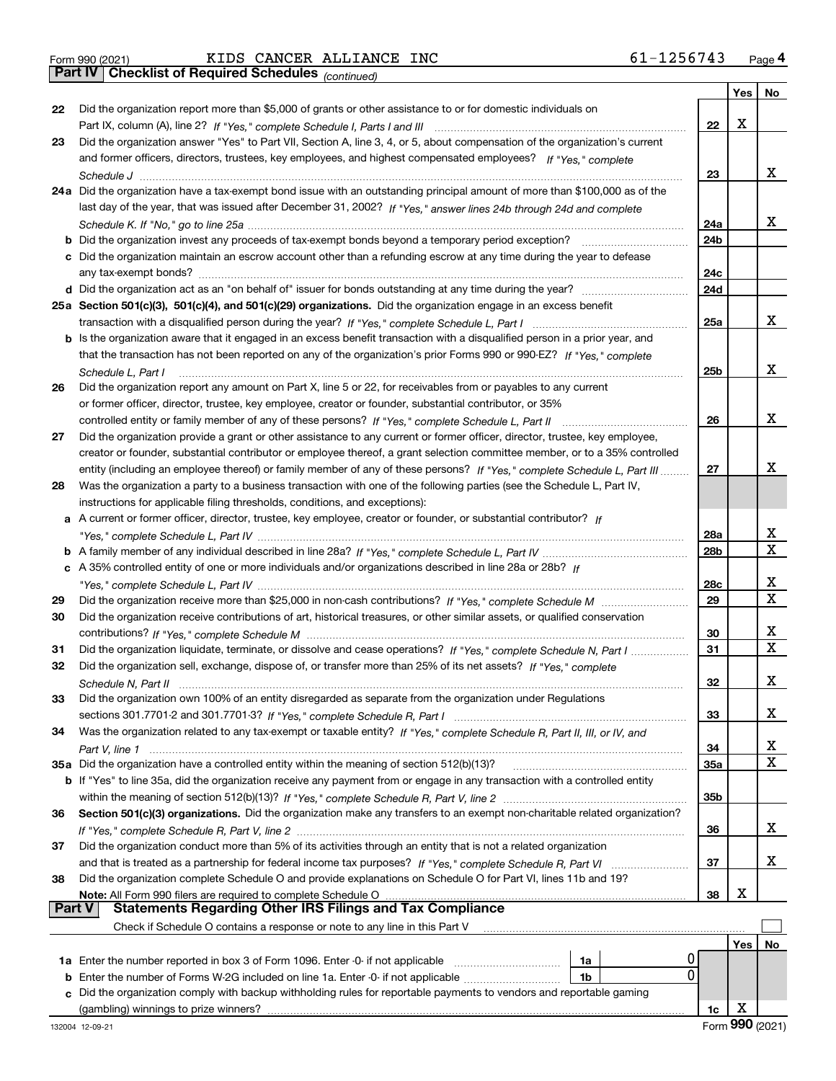*(continued)*

|               |                                                                                                                              |                 | Yes | No                           |
|---------------|------------------------------------------------------------------------------------------------------------------------------|-----------------|-----|------------------------------|
| 22            | Did the organization report more than \$5,000 of grants or other assistance to or for domestic individuals on                |                 |     |                              |
|               |                                                                                                                              | 22              | x   |                              |
| 23            | Did the organization answer "Yes" to Part VII, Section A, line 3, 4, or 5, about compensation of the organization's current  |                 |     |                              |
|               | and former officers, directors, trustees, key employees, and highest compensated employees? If "Yes," complete               |                 |     |                              |
|               |                                                                                                                              | 23              |     | x                            |
|               | 24a Did the organization have a tax-exempt bond issue with an outstanding principal amount of more than \$100,000 as of the  |                 |     |                              |
|               | last day of the year, that was issued after December 31, 2002? If "Yes," answer lines 24b through 24d and complete           |                 |     |                              |
|               |                                                                                                                              | 24a             |     | x                            |
|               | <b>b</b> Did the organization invest any proceeds of tax-exempt bonds beyond a temporary period exception?                   | 24 <sub>b</sub> |     |                              |
|               | c Did the organization maintain an escrow account other than a refunding escrow at any time during the year to defease       |                 |     |                              |
|               |                                                                                                                              | 24c             |     |                              |
|               |                                                                                                                              | 24d             |     |                              |
|               | 25a Section 501(c)(3), 501(c)(4), and 501(c)(29) organizations. Did the organization engage in an excess benefit             |                 |     |                              |
|               |                                                                                                                              | 25a             |     | x                            |
|               | b Is the organization aware that it engaged in an excess benefit transaction with a disqualified person in a prior year, and |                 |     |                              |
|               | that the transaction has not been reported on any of the organization's prior Forms 990 or 990-EZ? If "Yes," complete        |                 |     |                              |
|               | Schedule L, Part I                                                                                                           | 25b             |     | x                            |
| 26            | Did the organization report any amount on Part X, line 5 or 22, for receivables from or payables to any current              |                 |     |                              |
|               | or former officer, director, trustee, key employee, creator or founder, substantial contributor, or 35%                      |                 |     |                              |
|               | controlled entity or family member of any of these persons? If "Yes," complete Schedule L, Part II                           | 26              |     | x                            |
| 27            | Did the organization provide a grant or other assistance to any current or former officer, director, trustee, key employee,  |                 |     |                              |
|               | creator or founder, substantial contributor or employee thereof, a grant selection committee member, or to a 35% controlled  |                 |     |                              |
|               | entity (including an employee thereof) or family member of any of these persons? If "Yes," complete Schedule L, Part III     | 27              |     | x                            |
| 28            | Was the organization a party to a business transaction with one of the following parties (see the Schedule L, Part IV,       |                 |     |                              |
|               | instructions for applicable filing thresholds, conditions, and exceptions):                                                  |                 |     |                              |
|               | a A current or former officer, director, trustee, key employee, creator or founder, or substantial contributor? If           |                 |     |                              |
|               |                                                                                                                              | 28a             |     | x<br>$\overline{\mathtt{x}}$ |
|               |                                                                                                                              | 28 <sub>b</sub> |     |                              |
|               | c A 35% controlled entity of one or more individuals and/or organizations described in line 28a or 28b? If                   |                 |     | x                            |
|               |                                                                                                                              | 28c<br>29       |     | $\mathbf X$                  |
| 29            | Did the organization receive contributions of art, historical treasures, or other similar assets, or qualified conservation  |                 |     |                              |
| 30            |                                                                                                                              | 30              |     | x                            |
| 31            | Did the organization liquidate, terminate, or dissolve and cease operations? If "Yes," complete Schedule N, Part I           | 31              |     | $\overline{\mathbf{x}}$      |
| 32            | Did the organization sell, exchange, dispose of, or transfer more than 25% of its net assets? If "Yes," complete             |                 |     |                              |
|               |                                                                                                                              | 32              |     | х                            |
| 33            | Did the organization own 100% of an entity disregarded as separate from the organization under Regulations                   |                 |     |                              |
|               |                                                                                                                              | 33              |     | x                            |
| 34            | Was the organization related to any tax-exempt or taxable entity? If "Yes," complete Schedule R, Part II, III, or IV, and    |                 |     |                              |
|               |                                                                                                                              | 34              |     | X                            |
|               | 35a Did the organization have a controlled entity within the meaning of section 512(b)(13)?                                  | <b>35a</b>      |     | x                            |
|               | b If "Yes" to line 35a, did the organization receive any payment from or engage in any transaction with a controlled entity  |                 |     |                              |
|               |                                                                                                                              | 35 <sub>b</sub> |     |                              |
| 36            | Section 501(c)(3) organizations. Did the organization make any transfers to an exempt non-charitable related organization?   |                 |     |                              |
|               |                                                                                                                              | 36              |     | x                            |
| 37            | Did the organization conduct more than 5% of its activities through an entity that is not a related organization             |                 |     |                              |
|               | and that is treated as a partnership for federal income tax purposes? If "Yes," complete Schedule R, Part VI                 | 37              |     | x                            |
| 38            | Did the organization complete Schedule O and provide explanations on Schedule O for Part VI, lines 11b and 19?               |                 |     |                              |
|               | Note: All Form 990 filers are required to complete Schedule O                                                                | 38              | х   |                              |
| <b>Part V</b> | <b>Statements Regarding Other IRS Filings and Tax Compliance</b>                                                             |                 |     |                              |
|               | Check if Schedule O contains a response or note to any line in this Part V                                                   |                 |     |                              |
|               |                                                                                                                              |                 | Yes | No                           |
|               | 1a Enter the number reported in box 3 of Form 1096. Enter -0- if not applicable<br>1a                                        |                 |     |                              |
| b             | 0<br>Enter the number of Forms W-2G included on line 1a. Enter -0- if not applicable<br>1b                                   |                 |     |                              |
|               | Did the organization comply with backup withholding rules for reportable payments to vendors and reportable gaming           |                 |     |                              |
|               |                                                                                                                              | 1c              | х   |                              |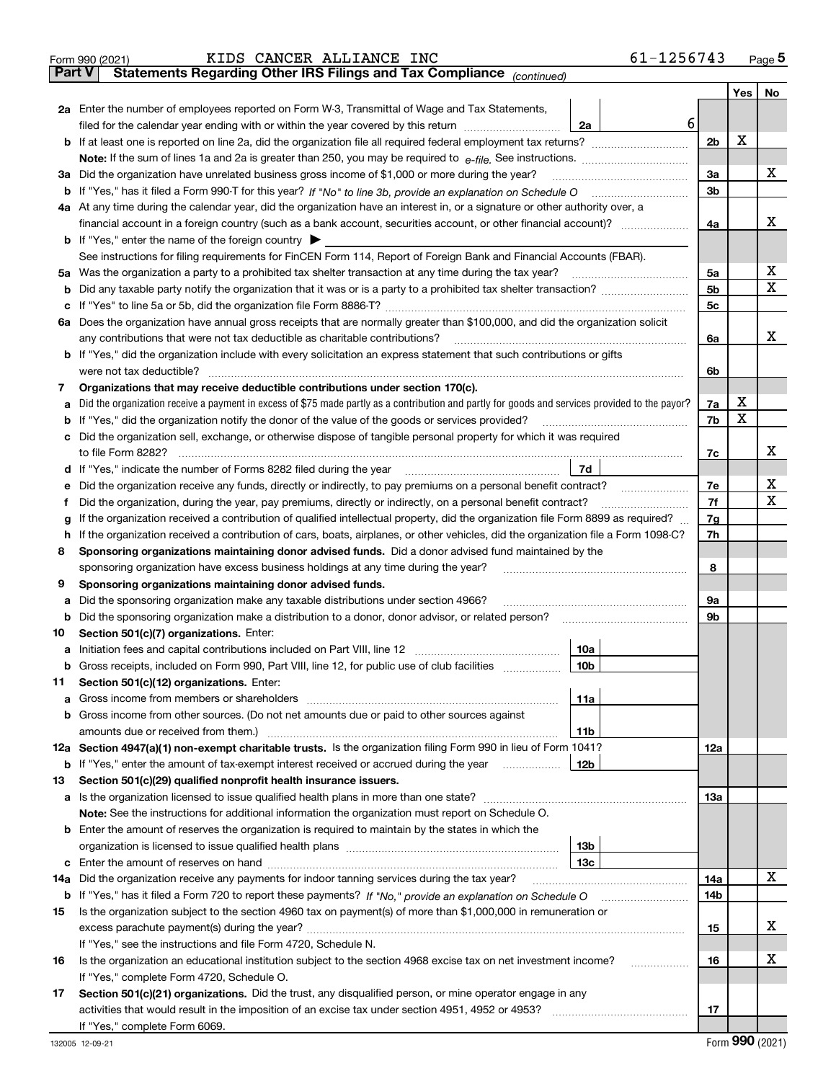|               | KIDS CANCER ALLIANCE INC<br>Form 990 (2021)                                                                                                     |                 | 61-1256743 |            |        | Page $5$    |  |  |  |  |  |
|---------------|-------------------------------------------------------------------------------------------------------------------------------------------------|-----------------|------------|------------|--------|-------------|--|--|--|--|--|
| <b>Part V</b> | Statements Regarding Other IRS Filings and Tax Compliance (continued)                                                                           |                 |            |            |        |             |  |  |  |  |  |
|               |                                                                                                                                                 |                 |            |            | Yes    | No          |  |  |  |  |  |
|               | 2a Enter the number of employees reported on Form W-3, Transmittal of Wage and Tax Statements,                                                  |                 |            |            |        |             |  |  |  |  |  |
|               | 6<br>filed for the calendar year ending with or within the year covered by this return <i>manumumumum</i><br>2a                                 |                 |            |            |        |             |  |  |  |  |  |
|               |                                                                                                                                                 |                 |            |            |        |             |  |  |  |  |  |
|               |                                                                                                                                                 |                 |            |            |        |             |  |  |  |  |  |
| За            | Did the organization have unrelated business gross income of \$1,000 or more during the year?                                                   |                 |            |            |        |             |  |  |  |  |  |
| b             |                                                                                                                                                 |                 |            |            |        |             |  |  |  |  |  |
|               | 4a At any time during the calendar year, did the organization have an interest in, or a signature or other authority over, a                    |                 |            |            |        |             |  |  |  |  |  |
|               | financial account in a foreign country (such as a bank account, securities account, or other financial account)?                                |                 |            | 4a         |        | х           |  |  |  |  |  |
|               | <b>b</b> If "Yes," enter the name of the foreign country $\triangleright$                                                                       |                 |            |            |        |             |  |  |  |  |  |
|               | See instructions for filing requirements for FinCEN Form 114, Report of Foreign Bank and Financial Accounts (FBAR).                             |                 |            |            |        |             |  |  |  |  |  |
| 5a            | Was the organization a party to a prohibited tax shelter transaction at any time during the tax year?                                           |                 |            | 5a         |        | х           |  |  |  |  |  |
| b             |                                                                                                                                                 |                 |            | 5b         |        | х           |  |  |  |  |  |
| с             |                                                                                                                                                 |                 |            | 5c         |        |             |  |  |  |  |  |
| 6a            | Does the organization have annual gross receipts that are normally greater than \$100,000, and did the organization solicit                     |                 |            |            |        |             |  |  |  |  |  |
|               | any contributions that were not tax deductible as charitable contributions?                                                                     |                 |            | 6a         |        | x           |  |  |  |  |  |
|               | b If "Yes," did the organization include with every solicitation an express statement that such contributions or gifts                          |                 |            |            |        |             |  |  |  |  |  |
|               | were not tax deductible?                                                                                                                        |                 |            | 6b         |        |             |  |  |  |  |  |
| 7             | Organizations that may receive deductible contributions under section 170(c).                                                                   |                 |            |            |        |             |  |  |  |  |  |
| а             | Did the organization receive a payment in excess of \$75 made partly as a contribution and partly for goods and services provided to the payor? |                 |            | 7a         | х<br>X |             |  |  |  |  |  |
| b             | If "Yes," did the organization notify the donor of the value of the goods or services provided?                                                 |                 |            | 7b         |        |             |  |  |  |  |  |
| c             | Did the organization sell, exchange, or otherwise dispose of tangible personal property for which it was required                               |                 |            |            |        |             |  |  |  |  |  |
|               | to file Form 8282?                                                                                                                              |                 |            | 7c         |        | х           |  |  |  |  |  |
| d             | If "Yes," indicate the number of Forms 8282 filed during the year                                                                               | 7d              |            | 7е         |        | х           |  |  |  |  |  |
| е             | Did the organization receive any funds, directly or indirectly, to pay premiums on a personal benefit contract?                                 |                 |            |            |        |             |  |  |  |  |  |
| f             | Did the organization, during the year, pay premiums, directly or indirectly, on a personal benefit contract?                                    |                 |            | 7f         |        | $\mathbf X$ |  |  |  |  |  |
| g             | If the organization received a contribution of qualified intellectual property, did the organization file Form 8899 as required?                |                 |            | 7g         |        |             |  |  |  |  |  |
| h             | If the organization received a contribution of cars, boats, airplanes, or other vehicles, did the organization file a Form 1098-C?              |                 |            | 7h         |        |             |  |  |  |  |  |
| 8             | Sponsoring organizations maintaining donor advised funds. Did a donor advised fund maintained by the                                            |                 |            |            |        |             |  |  |  |  |  |
|               | sponsoring organization have excess business holdings at any time during the year?                                                              |                 |            | 8          |        |             |  |  |  |  |  |
| 9             | Sponsoring organizations maintaining donor advised funds.                                                                                       |                 |            |            |        |             |  |  |  |  |  |
| а             | Did the sponsoring organization make any taxable distributions under section 4966?                                                              |                 |            | 9а<br>9b   |        |             |  |  |  |  |  |
| b             | Did the sponsoring organization make a distribution to a donor, donor advisor, or related person?<br>Section 501(c)(7) organizations. Enter:    |                 |            |            |        |             |  |  |  |  |  |
| 10            | Initiation fees and capital contributions included on Part VIII, line 12                                                                        | <b>10a</b>      |            |            |        |             |  |  |  |  |  |
| а<br>b        | Gross receipts, included on Form 990, Part VIII, line 12, for public use of club facilities                                                     | 10 <sub>b</sub> |            |            |        |             |  |  |  |  |  |
| 11            | Section 501(c)(12) organizations. Enter:                                                                                                        |                 |            |            |        |             |  |  |  |  |  |
| а             |                                                                                                                                                 | 11a             |            |            |        |             |  |  |  |  |  |
| b             | Gross income from other sources. (Do not net amounts due or paid to other sources against                                                       |                 |            |            |        |             |  |  |  |  |  |
|               |                                                                                                                                                 | 11 <sub>b</sub> |            |            |        |             |  |  |  |  |  |
|               | 12a Section 4947(a)(1) non-exempt charitable trusts. Is the organization filing Form 990 in lieu of Form 1041?                                  |                 |            | <b>12a</b> |        |             |  |  |  |  |  |
| b             | If "Yes," enter the amount of tax-exempt interest received or accrued during the year <i>manuminim</i>                                          | 12b             |            |            |        |             |  |  |  |  |  |
| 13            | Section 501(c)(29) qualified nonprofit health insurance issuers.                                                                                |                 |            |            |        |             |  |  |  |  |  |
| а             | Is the organization licensed to issue qualified health plans in more than one state?                                                            |                 |            | 13a        |        |             |  |  |  |  |  |
|               | Note: See the instructions for additional information the organization must report on Schedule O.                                               |                 |            |            |        |             |  |  |  |  |  |
| b             | Enter the amount of reserves the organization is required to maintain by the states in which the                                                |                 |            |            |        |             |  |  |  |  |  |
|               |                                                                                                                                                 | 13b             |            |            |        |             |  |  |  |  |  |
| с             |                                                                                                                                                 | 13с             |            |            |        |             |  |  |  |  |  |
| 14a           | Did the organization receive any payments for indoor tanning services during the tax year?                                                      |                 |            | 14a        |        | X           |  |  |  |  |  |
| b             |                                                                                                                                                 |                 |            | 14b        |        |             |  |  |  |  |  |
| 15            | Is the organization subject to the section 4960 tax on payment(s) of more than \$1,000,000 in remuneration or                                   |                 |            |            |        |             |  |  |  |  |  |
|               |                                                                                                                                                 |                 |            | 15         |        | х           |  |  |  |  |  |
|               | If "Yes," see the instructions and file Form 4720, Schedule N.                                                                                  |                 |            |            |        |             |  |  |  |  |  |
| 16            | Is the organization an educational institution subject to the section 4968 excise tax on net investment income?                                 |                 |            | 16         |        | х           |  |  |  |  |  |
|               | If "Yes," complete Form 4720, Schedule O.                                                                                                       |                 |            |            |        |             |  |  |  |  |  |
| 17            | Section 501(c)(21) organizations. Did the trust, any disqualified person, or mine operator engage in any                                        |                 |            |            |        |             |  |  |  |  |  |
|               | activities that would result in the imposition of an excise tax under section 4951, 4952 or 4953?                                               |                 |            | 17         |        |             |  |  |  |  |  |
|               | If "Yes," complete Form 6069.                                                                                                                   |                 |            |            |        |             |  |  |  |  |  |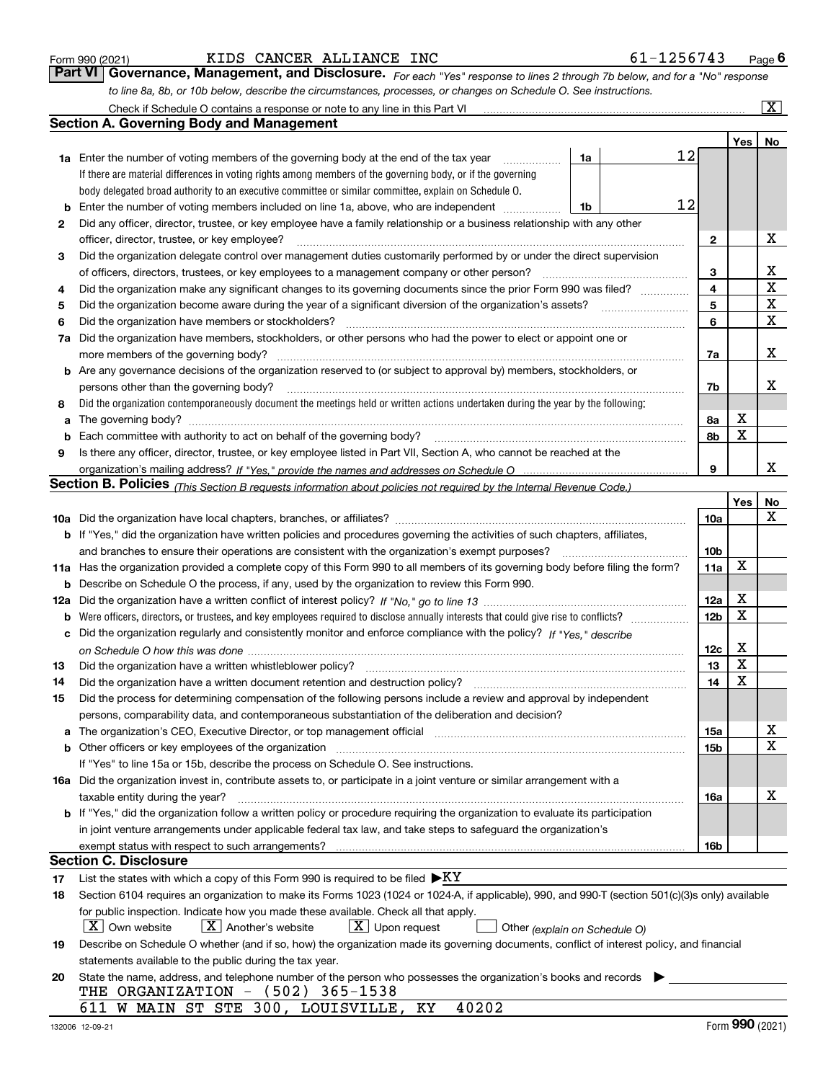|  | Form 990 (2021) |
|--|-----------------|
|  |                 |

#### KIDS CANCER ALLIANCE INC 6

| 25° ∂ | . т |
|-------|-----|
|-------|-----|

*For each "Yes" response to lines 2 through 7b below, and for a "No" response to line 8a, 8b, or 10b below, describe the circumstances, processes, or changes on Schedule O. See instructions.* Form 990 (2021) **1990 CONCER ALLIANCE INC**<br>**Part VI Governance, Management, and Disclosure.** For each "Yes" response to lines 2 through 7b below, and for a "No" response

|     | Check if Schedule O contains a response or note to any line in this Part VI                                                                                                                                                                                                |    |                 |        | x           |  |  |  |  |  |  |
|-----|----------------------------------------------------------------------------------------------------------------------------------------------------------------------------------------------------------------------------------------------------------------------------|----|-----------------|--------|-------------|--|--|--|--|--|--|
|     | <b>Section A. Governing Body and Management</b>                                                                                                                                                                                                                            |    |                 |        |             |  |  |  |  |  |  |
|     |                                                                                                                                                                                                                                                                            |    |                 | Yes    | No          |  |  |  |  |  |  |
|     | 1a Enter the number of voting members of the governing body at the end of the tax year<br>1a                                                                                                                                                                               | 12 |                 |        |             |  |  |  |  |  |  |
|     | If there are material differences in voting rights among members of the governing body, or if the governing                                                                                                                                                                |    |                 |        |             |  |  |  |  |  |  |
|     | body delegated broad authority to an executive committee or similar committee, explain on Schedule O.                                                                                                                                                                      |    |                 |        |             |  |  |  |  |  |  |
| b   | 12<br>Enter the number of voting members included on line 1a, above, who are independent<br>1b                                                                                                                                                                             |    |                 |        |             |  |  |  |  |  |  |
| 2   | Did any officer, director, trustee, or key employee have a family relationship or a business relationship with any other                                                                                                                                                   |    |                 |        |             |  |  |  |  |  |  |
|     | officer, director, trustee, or key employee?                                                                                                                                                                                                                               |    | $\mathbf{2}$    |        | X           |  |  |  |  |  |  |
| 3   | Did the organization delegate control over management duties customarily performed by or under the direct supervision                                                                                                                                                      |    |                 |        |             |  |  |  |  |  |  |
|     | of officers, directors, trustees, or key employees to a management company or other person?                                                                                                                                                                                |    | 3               |        | x           |  |  |  |  |  |  |
| 4   | Did the organization make any significant changes to its governing documents since the prior Form 990 was filed?                                                                                                                                                           |    | $\overline{4}$  |        | $\mathbf X$ |  |  |  |  |  |  |
| 5   |                                                                                                                                                                                                                                                                            |    | 5               |        | $\mathbf X$ |  |  |  |  |  |  |
| 6   | Did the organization have members or stockholders?                                                                                                                                                                                                                         |    | 6               |        | $\mathbf X$ |  |  |  |  |  |  |
| 7a  | Did the organization have members, stockholders, or other persons who had the power to elect or appoint one or                                                                                                                                                             |    |                 |        |             |  |  |  |  |  |  |
|     | more members of the governing body?                                                                                                                                                                                                                                        |    | 7a              |        | х           |  |  |  |  |  |  |
|     | <b>b</b> Are any governance decisions of the organization reserved to (or subject to approval by) members, stockholders, or                                                                                                                                                |    |                 |        |             |  |  |  |  |  |  |
|     | persons other than the governing body?                                                                                                                                                                                                                                     |    | 7b              |        | x           |  |  |  |  |  |  |
| 8   | Did the organization contemporaneously document the meetings held or written actions undertaken during the year by the following:                                                                                                                                          |    |                 |        |             |  |  |  |  |  |  |
| a   | The governing body?                                                                                                                                                                                                                                                        |    | 8a              | х      |             |  |  |  |  |  |  |
| b   |                                                                                                                                                                                                                                                                            |    | 8b              | X      |             |  |  |  |  |  |  |
| 9   | Is there any officer, director, trustee, or key employee listed in Part VII, Section A, who cannot be reached at the                                                                                                                                                       |    |                 |        |             |  |  |  |  |  |  |
|     |                                                                                                                                                                                                                                                                            |    | 9               |        | x           |  |  |  |  |  |  |
|     | <b>Section B. Policies</b> (This Section B requests information about policies not required by the Internal Revenue Code.)                                                                                                                                                 |    |                 |        |             |  |  |  |  |  |  |
|     |                                                                                                                                                                                                                                                                            |    |                 | Yes    | No          |  |  |  |  |  |  |
|     |                                                                                                                                                                                                                                                                            |    | 10a             |        | х           |  |  |  |  |  |  |
|     | <b>b</b> If "Yes," did the organization have written policies and procedures governing the activities of such chapters, affiliates,                                                                                                                                        |    |                 |        |             |  |  |  |  |  |  |
|     | and branches to ensure their operations are consistent with the organization's exempt purposes?                                                                                                                                                                            |    | 10 <sub>b</sub> |        |             |  |  |  |  |  |  |
|     | 11a Has the organization provided a complete copy of this Form 990 to all members of its governing body before filing the form?                                                                                                                                            |    | 11a             | X      |             |  |  |  |  |  |  |
| b   | Describe on Schedule O the process, if any, used by the organization to review this Form 990.                                                                                                                                                                              |    |                 |        |             |  |  |  |  |  |  |
| 12a |                                                                                                                                                                                                                                                                            |    | 12a             | X      |             |  |  |  |  |  |  |
| b   |                                                                                                                                                                                                                                                                            |    | 12 <sub>b</sub> | X      |             |  |  |  |  |  |  |
| с   | Did the organization regularly and consistently monitor and enforce compliance with the policy? If "Yes." describe                                                                                                                                                         |    |                 |        |             |  |  |  |  |  |  |
|     | on Schedule O how this was done <i>manually contained to contain the contained to be seen the schedule O how this was done</i>                                                                                                                                             |    | 12c             | х<br>X |             |  |  |  |  |  |  |
| 13  | Did the organization have a written whistleblower policy?                                                                                                                                                                                                                  |    | 13              | X      |             |  |  |  |  |  |  |
| 14  | Did the organization have a written document retention and destruction policy?                                                                                                                                                                                             |    | 14              |        |             |  |  |  |  |  |  |
| 15  | Did the process for determining compensation of the following persons include a review and approval by independent                                                                                                                                                         |    |                 |        |             |  |  |  |  |  |  |
|     | persons, comparability data, and contemporaneous substantiation of the deliberation and decision?<br>The organization's CEO, Executive Director, or top management official manufactured content of the organization's CEO, Executive Director, or top management official |    |                 |        | X           |  |  |  |  |  |  |
| a   |                                                                                                                                                                                                                                                                            |    | 15a<br>15b      |        | х           |  |  |  |  |  |  |
|     | If "Yes" to line 15a or 15b, describe the process on Schedule O. See instructions.                                                                                                                                                                                         |    |                 |        |             |  |  |  |  |  |  |
|     | 16a Did the organization invest in, contribute assets to, or participate in a joint venture or similar arrangement with a                                                                                                                                                  |    |                 |        |             |  |  |  |  |  |  |
|     | taxable entity during the year?                                                                                                                                                                                                                                            |    | 16a             |        | х           |  |  |  |  |  |  |
|     | b If "Yes," did the organization follow a written policy or procedure requiring the organization to evaluate its participation                                                                                                                                             |    |                 |        |             |  |  |  |  |  |  |
|     | in joint venture arrangements under applicable federal tax law, and take steps to safeguard the organization's                                                                                                                                                             |    |                 |        |             |  |  |  |  |  |  |
|     | exempt status with respect to such arrangements?                                                                                                                                                                                                                           |    | 16b             |        |             |  |  |  |  |  |  |
|     | <b>Section C. Disclosure</b>                                                                                                                                                                                                                                               |    |                 |        |             |  |  |  |  |  |  |
| 17  | List the states with which a copy of this Form 990 is required to be filed $\blacktriangleright$ KY                                                                                                                                                                        |    |                 |        |             |  |  |  |  |  |  |
| 18  | Section 6104 requires an organization to make its Forms 1023 (1024 or 1024-A, if applicable), 990, and 990-T (section 501(c)(3)s only) available                                                                                                                           |    |                 |        |             |  |  |  |  |  |  |
|     | for public inspection. Indicate how you made these available. Check all that apply.                                                                                                                                                                                        |    |                 |        |             |  |  |  |  |  |  |
|     | $X$ Own website<br>$X$ Another's website<br>$\lfloor X \rfloor$ Upon request<br>Other (explain on Schedule O)                                                                                                                                                              |    |                 |        |             |  |  |  |  |  |  |
| 19  | Describe on Schedule O whether (and if so, how) the organization made its governing documents, conflict of interest policy, and financial                                                                                                                                  |    |                 |        |             |  |  |  |  |  |  |
|     | statements available to the public during the tax year.                                                                                                                                                                                                                    |    |                 |        |             |  |  |  |  |  |  |
| 20  | State the name, address, and telephone number of the person who possesses the organization's books and records                                                                                                                                                             |    |                 |        |             |  |  |  |  |  |  |
|     | THE ORGANIZATION - (502) 365-1538                                                                                                                                                                                                                                          |    |                 |        |             |  |  |  |  |  |  |
|     | 611 W MAIN ST STE 300, LOUISVILLE, KY<br>40202                                                                                                                                                                                                                             |    |                 |        |             |  |  |  |  |  |  |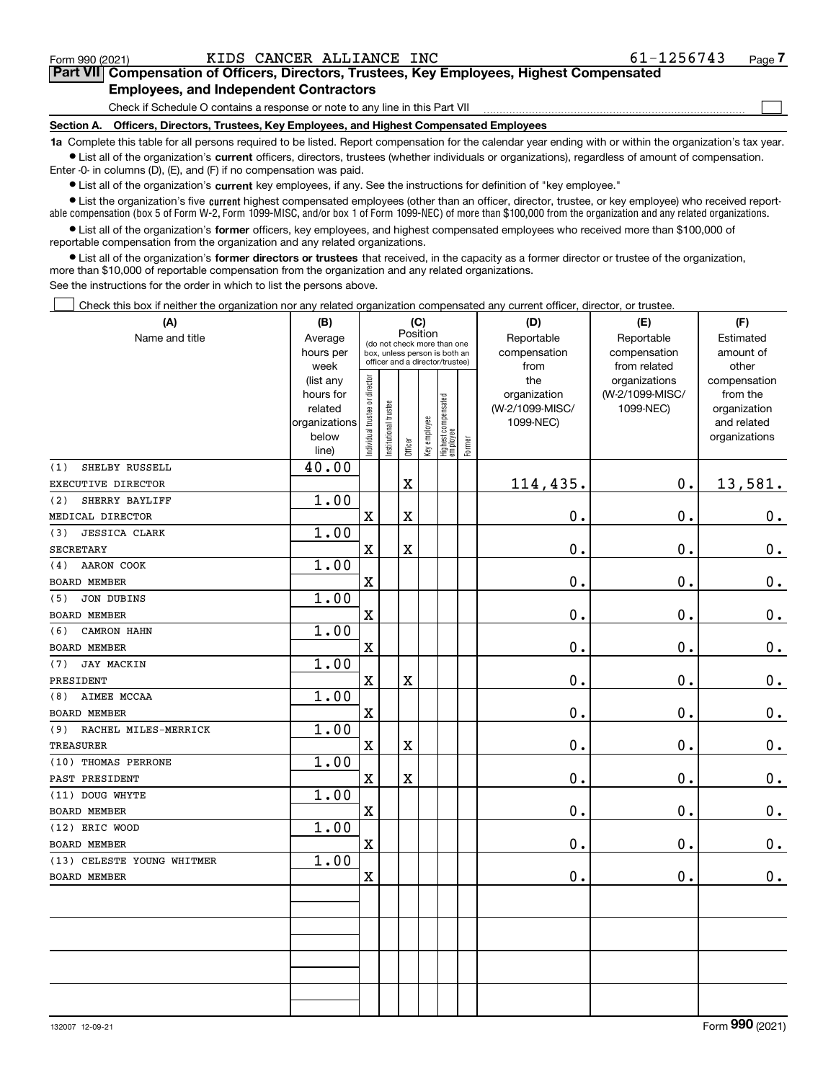$\mathcal{L}^{\text{max}}$ 

## **7Part VII Compensation of Officers, Directors, Trustees, Key Employees, Highest Compensated Employees, and Independent Contractors**

Check if Schedule O contains a response or note to any line in this Part VII

**Section A. Officers, Directors, Trustees, Key Employees, and Highest Compensated Employees**

**1a**  Complete this table for all persons required to be listed. Report compensation for the calendar year ending with or within the organization's tax year. **•** List all of the organization's current officers, directors, trustees (whether individuals or organizations), regardless of amount of compensation.

Enter -0- in columns (D), (E), and (F) if no compensation was paid.

 $\bullet$  List all of the organization's  $\sf current$  key employees, if any. See the instructions for definition of "key employee."

**•** List the organization's five current highest compensated employees (other than an officer, director, trustee, or key employee) who received reportable compensation (box 5 of Form W-2, Form 1099-MISC, and/or box 1 of Form 1099-NEC) of more than \$100,000 from the organization and any related organizations.

**•** List all of the organization's former officers, key employees, and highest compensated employees who received more than \$100,000 of reportable compensation from the organization and any related organizations.

**former directors or trustees**  ¥ List all of the organization's that received, in the capacity as a former director or trustee of the organization, more than \$10,000 of reportable compensation from the organization and any related organizations.

See the instructions for the order in which to list the persons above.

Check this box if neither the organization nor any related organization compensated any current officer, director, or trustee.  $\mathcal{L}^{\text{max}}$ 

| Reportable<br>Name and title<br>Average<br>Reportable<br>Estimated<br>(do not check more than one<br>hours per<br>compensation<br>compensation<br>amount of<br>box, unless person is both an<br>officer and a director/trustee)<br>from related<br>week<br>from<br>other<br>ndividual trustee or director<br>the<br>organizations<br>compensation<br>(list any<br>(W-2/1099-MISC/<br>hours for<br>organization<br>from the<br>Highest compensated<br>employee<br>Institutional trustee<br>(W-2/1099-MISC/<br>related<br>1099-NEC)<br>organization<br>Key employee<br>organizations<br>1099-NEC)<br>and related<br>below<br>organizations<br>Former<br>Officer<br>line)<br>40.00<br>SHELBY RUSSELL<br>(1)<br>114,435.<br>$\mathbf X$<br>0.<br>13,581.<br>EXECUTIVE DIRECTOR<br>1.00<br>SHERRY BAYLIFF<br>(2)<br>$\mathbf x$<br>$\overline{\mathbf{X}}$<br>0.<br>0.<br>$\mathbf 0$ .<br>MEDICAL DIRECTOR<br>1.00<br><b>JESSICA CLARK</b><br>(3)<br>$\mathbf x$<br>$\mathbf X$<br>0.<br>$\mathbf 0$ .<br>$\mathbf 0$ .<br><b>SECRETARY</b><br>1.00<br>AARON COOK<br>(4)<br>0.<br>$\mathbf X$<br>0.<br>$\mathbf 0$ .<br><b>BOARD MEMBER</b><br>1.00<br>JON DUBINS<br>(5)<br>$\mathbf 0$ .<br>$\pmb{0}$ .<br>$\mathbf X$<br>0.<br>BOARD MEMBER<br>1.00<br>(6)<br>CAMRON HAHN<br>$\overline{\textbf{X}}$<br>0.<br>$\mathbf 0$ .<br>$0$ .<br>BOARD MEMBER<br>1.00<br>JAY MACKIN<br>(7)<br>$\mathbf X$<br>$\mathbf X$<br>0.<br>$\mathbf 0$ .<br>$\mathbf 0$ .<br>PRESIDENT<br>1.00<br>AIMEE MCCAA<br>(8)<br>$\mathbf 0$ .<br>0.<br>$\mathbf X$<br>$\mathbf 0$ .<br>1.00<br>RACHEL MILES-MERRICK<br>(9)<br>$\mathbf X$<br>$0$ .<br>$\mathbf 0$ .<br>$\mathbf 0$ .<br>$\mathbf X$<br>1.00<br>(10) THOMAS PERRONE<br>$\mathbf X$<br>0.<br>$\mathbf 0$ .<br>$\mathbf 0$ .<br>$\mathbf X$<br>PAST PRESIDENT<br>(11) DOUG WHYTE<br>1.00<br>$\mathbf x$<br>0.<br>$\mathbf 0$ .<br>$\mathbf 0$ .<br><b>BOARD MEMBER</b><br>1.00<br>(12) ERIC WOOD<br>0.<br>0.<br>$\mathbf X$<br>$\mathbf 0$ .<br>1.00<br>(13) CELESTE YOUNG WHITMER<br>0.<br>0.<br>$0$ .<br>$\mathbf X$<br><b>BOARD MEMBER</b> | (A)                 | (B) | (C) |          |  |  |  |  | (D) | (E) | (F) |
|--------------------------------------------------------------------------------------------------------------------------------------------------------------------------------------------------------------------------------------------------------------------------------------------------------------------------------------------------------------------------------------------------------------------------------------------------------------------------------------------------------------------------------------------------------------------------------------------------------------------------------------------------------------------------------------------------------------------------------------------------------------------------------------------------------------------------------------------------------------------------------------------------------------------------------------------------------------------------------------------------------------------------------------------------------------------------------------------------------------------------------------------------------------------------------------------------------------------------------------------------------------------------------------------------------------------------------------------------------------------------------------------------------------------------------------------------------------------------------------------------------------------------------------------------------------------------------------------------------------------------------------------------------------------------------------------------------------------------------------------------------------------------------------------------------------------------------------------------------------------------------------------------------------------------------------------------------------------------------------------------------------------------------------------------------------------------------|---------------------|-----|-----|----------|--|--|--|--|-----|-----|-----|
|                                                                                                                                                                                                                                                                                                                                                                                                                                                                                                                                                                                                                                                                                                                                                                                                                                                                                                                                                                                                                                                                                                                                                                                                                                                                                                                                                                                                                                                                                                                                                                                                                                                                                                                                                                                                                                                                                                                                                                                                                                                                                |                     |     |     | Position |  |  |  |  |     |     |     |
|                                                                                                                                                                                                                                                                                                                                                                                                                                                                                                                                                                                                                                                                                                                                                                                                                                                                                                                                                                                                                                                                                                                                                                                                                                                                                                                                                                                                                                                                                                                                                                                                                                                                                                                                                                                                                                                                                                                                                                                                                                                                                |                     |     |     |          |  |  |  |  |     |     |     |
|                                                                                                                                                                                                                                                                                                                                                                                                                                                                                                                                                                                                                                                                                                                                                                                                                                                                                                                                                                                                                                                                                                                                                                                                                                                                                                                                                                                                                                                                                                                                                                                                                                                                                                                                                                                                                                                                                                                                                                                                                                                                                |                     |     |     |          |  |  |  |  |     |     |     |
|                                                                                                                                                                                                                                                                                                                                                                                                                                                                                                                                                                                                                                                                                                                                                                                                                                                                                                                                                                                                                                                                                                                                                                                                                                                                                                                                                                                                                                                                                                                                                                                                                                                                                                                                                                                                                                                                                                                                                                                                                                                                                |                     |     |     |          |  |  |  |  |     |     |     |
|                                                                                                                                                                                                                                                                                                                                                                                                                                                                                                                                                                                                                                                                                                                                                                                                                                                                                                                                                                                                                                                                                                                                                                                                                                                                                                                                                                                                                                                                                                                                                                                                                                                                                                                                                                                                                                                                                                                                                                                                                                                                                |                     |     |     |          |  |  |  |  |     |     |     |
|                                                                                                                                                                                                                                                                                                                                                                                                                                                                                                                                                                                                                                                                                                                                                                                                                                                                                                                                                                                                                                                                                                                                                                                                                                                                                                                                                                                                                                                                                                                                                                                                                                                                                                                                                                                                                                                                                                                                                                                                                                                                                |                     |     |     |          |  |  |  |  |     |     |     |
|                                                                                                                                                                                                                                                                                                                                                                                                                                                                                                                                                                                                                                                                                                                                                                                                                                                                                                                                                                                                                                                                                                                                                                                                                                                                                                                                                                                                                                                                                                                                                                                                                                                                                                                                                                                                                                                                                                                                                                                                                                                                                |                     |     |     |          |  |  |  |  |     |     |     |
|                                                                                                                                                                                                                                                                                                                                                                                                                                                                                                                                                                                                                                                                                                                                                                                                                                                                                                                                                                                                                                                                                                                                                                                                                                                                                                                                                                                                                                                                                                                                                                                                                                                                                                                                                                                                                                                                                                                                                                                                                                                                                |                     |     |     |          |  |  |  |  |     |     |     |
|                                                                                                                                                                                                                                                                                                                                                                                                                                                                                                                                                                                                                                                                                                                                                                                                                                                                                                                                                                                                                                                                                                                                                                                                                                                                                                                                                                                                                                                                                                                                                                                                                                                                                                                                                                                                                                                                                                                                                                                                                                                                                |                     |     |     |          |  |  |  |  |     |     |     |
|                                                                                                                                                                                                                                                                                                                                                                                                                                                                                                                                                                                                                                                                                                                                                                                                                                                                                                                                                                                                                                                                                                                                                                                                                                                                                                                                                                                                                                                                                                                                                                                                                                                                                                                                                                                                                                                                                                                                                                                                                                                                                |                     |     |     |          |  |  |  |  |     |     |     |
|                                                                                                                                                                                                                                                                                                                                                                                                                                                                                                                                                                                                                                                                                                                                                                                                                                                                                                                                                                                                                                                                                                                                                                                                                                                                                                                                                                                                                                                                                                                                                                                                                                                                                                                                                                                                                                                                                                                                                                                                                                                                                |                     |     |     |          |  |  |  |  |     |     |     |
|                                                                                                                                                                                                                                                                                                                                                                                                                                                                                                                                                                                                                                                                                                                                                                                                                                                                                                                                                                                                                                                                                                                                                                                                                                                                                                                                                                                                                                                                                                                                                                                                                                                                                                                                                                                                                                                                                                                                                                                                                                                                                |                     |     |     |          |  |  |  |  |     |     |     |
|                                                                                                                                                                                                                                                                                                                                                                                                                                                                                                                                                                                                                                                                                                                                                                                                                                                                                                                                                                                                                                                                                                                                                                                                                                                                                                                                                                                                                                                                                                                                                                                                                                                                                                                                                                                                                                                                                                                                                                                                                                                                                |                     |     |     |          |  |  |  |  |     |     |     |
|                                                                                                                                                                                                                                                                                                                                                                                                                                                                                                                                                                                                                                                                                                                                                                                                                                                                                                                                                                                                                                                                                                                                                                                                                                                                                                                                                                                                                                                                                                                                                                                                                                                                                                                                                                                                                                                                                                                                                                                                                                                                                |                     |     |     |          |  |  |  |  |     |     |     |
|                                                                                                                                                                                                                                                                                                                                                                                                                                                                                                                                                                                                                                                                                                                                                                                                                                                                                                                                                                                                                                                                                                                                                                                                                                                                                                                                                                                                                                                                                                                                                                                                                                                                                                                                                                                                                                                                                                                                                                                                                                                                                |                     |     |     |          |  |  |  |  |     |     |     |
|                                                                                                                                                                                                                                                                                                                                                                                                                                                                                                                                                                                                                                                                                                                                                                                                                                                                                                                                                                                                                                                                                                                                                                                                                                                                                                                                                                                                                                                                                                                                                                                                                                                                                                                                                                                                                                                                                                                                                                                                                                                                                |                     |     |     |          |  |  |  |  |     |     |     |
|                                                                                                                                                                                                                                                                                                                                                                                                                                                                                                                                                                                                                                                                                                                                                                                                                                                                                                                                                                                                                                                                                                                                                                                                                                                                                                                                                                                                                                                                                                                                                                                                                                                                                                                                                                                                                                                                                                                                                                                                                                                                                |                     |     |     |          |  |  |  |  |     |     |     |
|                                                                                                                                                                                                                                                                                                                                                                                                                                                                                                                                                                                                                                                                                                                                                                                                                                                                                                                                                                                                                                                                                                                                                                                                                                                                                                                                                                                                                                                                                                                                                                                                                                                                                                                                                                                                                                                                                                                                                                                                                                                                                |                     |     |     |          |  |  |  |  |     |     |     |
|                                                                                                                                                                                                                                                                                                                                                                                                                                                                                                                                                                                                                                                                                                                                                                                                                                                                                                                                                                                                                                                                                                                                                                                                                                                                                                                                                                                                                                                                                                                                                                                                                                                                                                                                                                                                                                                                                                                                                                                                                                                                                |                     |     |     |          |  |  |  |  |     |     |     |
|                                                                                                                                                                                                                                                                                                                                                                                                                                                                                                                                                                                                                                                                                                                                                                                                                                                                                                                                                                                                                                                                                                                                                                                                                                                                                                                                                                                                                                                                                                                                                                                                                                                                                                                                                                                                                                                                                                                                                                                                                                                                                |                     |     |     |          |  |  |  |  |     |     |     |
|                                                                                                                                                                                                                                                                                                                                                                                                                                                                                                                                                                                                                                                                                                                                                                                                                                                                                                                                                                                                                                                                                                                                                                                                                                                                                                                                                                                                                                                                                                                                                                                                                                                                                                                                                                                                                                                                                                                                                                                                                                                                                |                     |     |     |          |  |  |  |  |     |     |     |
|                                                                                                                                                                                                                                                                                                                                                                                                                                                                                                                                                                                                                                                                                                                                                                                                                                                                                                                                                                                                                                                                                                                                                                                                                                                                                                                                                                                                                                                                                                                                                                                                                                                                                                                                                                                                                                                                                                                                                                                                                                                                                |                     |     |     |          |  |  |  |  |     |     |     |
|                                                                                                                                                                                                                                                                                                                                                                                                                                                                                                                                                                                                                                                                                                                                                                                                                                                                                                                                                                                                                                                                                                                                                                                                                                                                                                                                                                                                                                                                                                                                                                                                                                                                                                                                                                                                                                                                                                                                                                                                                                                                                | <b>BOARD MEMBER</b> |     |     |          |  |  |  |  |     |     |     |
|                                                                                                                                                                                                                                                                                                                                                                                                                                                                                                                                                                                                                                                                                                                                                                                                                                                                                                                                                                                                                                                                                                                                                                                                                                                                                                                                                                                                                                                                                                                                                                                                                                                                                                                                                                                                                                                                                                                                                                                                                                                                                |                     |     |     |          |  |  |  |  |     |     |     |
|                                                                                                                                                                                                                                                                                                                                                                                                                                                                                                                                                                                                                                                                                                                                                                                                                                                                                                                                                                                                                                                                                                                                                                                                                                                                                                                                                                                                                                                                                                                                                                                                                                                                                                                                                                                                                                                                                                                                                                                                                                                                                | <b>TREASURER</b>    |     |     |          |  |  |  |  |     |     |     |
|                                                                                                                                                                                                                                                                                                                                                                                                                                                                                                                                                                                                                                                                                                                                                                                                                                                                                                                                                                                                                                                                                                                                                                                                                                                                                                                                                                                                                                                                                                                                                                                                                                                                                                                                                                                                                                                                                                                                                                                                                                                                                |                     |     |     |          |  |  |  |  |     |     |     |
|                                                                                                                                                                                                                                                                                                                                                                                                                                                                                                                                                                                                                                                                                                                                                                                                                                                                                                                                                                                                                                                                                                                                                                                                                                                                                                                                                                                                                                                                                                                                                                                                                                                                                                                                                                                                                                                                                                                                                                                                                                                                                |                     |     |     |          |  |  |  |  |     |     |     |
|                                                                                                                                                                                                                                                                                                                                                                                                                                                                                                                                                                                                                                                                                                                                                                                                                                                                                                                                                                                                                                                                                                                                                                                                                                                                                                                                                                                                                                                                                                                                                                                                                                                                                                                                                                                                                                                                                                                                                                                                                                                                                |                     |     |     |          |  |  |  |  |     |     |     |
|                                                                                                                                                                                                                                                                                                                                                                                                                                                                                                                                                                                                                                                                                                                                                                                                                                                                                                                                                                                                                                                                                                                                                                                                                                                                                                                                                                                                                                                                                                                                                                                                                                                                                                                                                                                                                                                                                                                                                                                                                                                                                |                     |     |     |          |  |  |  |  |     |     |     |
|                                                                                                                                                                                                                                                                                                                                                                                                                                                                                                                                                                                                                                                                                                                                                                                                                                                                                                                                                                                                                                                                                                                                                                                                                                                                                                                                                                                                                                                                                                                                                                                                                                                                                                                                                                                                                                                                                                                                                                                                                                                                                |                     |     |     |          |  |  |  |  |     |     |     |
|                                                                                                                                                                                                                                                                                                                                                                                                                                                                                                                                                                                                                                                                                                                                                                                                                                                                                                                                                                                                                                                                                                                                                                                                                                                                                                                                                                                                                                                                                                                                                                                                                                                                                                                                                                                                                                                                                                                                                                                                                                                                                | <b>BOARD MEMBER</b> |     |     |          |  |  |  |  |     |     |     |
|                                                                                                                                                                                                                                                                                                                                                                                                                                                                                                                                                                                                                                                                                                                                                                                                                                                                                                                                                                                                                                                                                                                                                                                                                                                                                                                                                                                                                                                                                                                                                                                                                                                                                                                                                                                                                                                                                                                                                                                                                                                                                |                     |     |     |          |  |  |  |  |     |     |     |
|                                                                                                                                                                                                                                                                                                                                                                                                                                                                                                                                                                                                                                                                                                                                                                                                                                                                                                                                                                                                                                                                                                                                                                                                                                                                                                                                                                                                                                                                                                                                                                                                                                                                                                                                                                                                                                                                                                                                                                                                                                                                                |                     |     |     |          |  |  |  |  |     |     |     |
|                                                                                                                                                                                                                                                                                                                                                                                                                                                                                                                                                                                                                                                                                                                                                                                                                                                                                                                                                                                                                                                                                                                                                                                                                                                                                                                                                                                                                                                                                                                                                                                                                                                                                                                                                                                                                                                                                                                                                                                                                                                                                |                     |     |     |          |  |  |  |  |     |     |     |
|                                                                                                                                                                                                                                                                                                                                                                                                                                                                                                                                                                                                                                                                                                                                                                                                                                                                                                                                                                                                                                                                                                                                                                                                                                                                                                                                                                                                                                                                                                                                                                                                                                                                                                                                                                                                                                                                                                                                                                                                                                                                                |                     |     |     |          |  |  |  |  |     |     |     |
|                                                                                                                                                                                                                                                                                                                                                                                                                                                                                                                                                                                                                                                                                                                                                                                                                                                                                                                                                                                                                                                                                                                                                                                                                                                                                                                                                                                                                                                                                                                                                                                                                                                                                                                                                                                                                                                                                                                                                                                                                                                                                |                     |     |     |          |  |  |  |  |     |     |     |
|                                                                                                                                                                                                                                                                                                                                                                                                                                                                                                                                                                                                                                                                                                                                                                                                                                                                                                                                                                                                                                                                                                                                                                                                                                                                                                                                                                                                                                                                                                                                                                                                                                                                                                                                                                                                                                                                                                                                                                                                                                                                                |                     |     |     |          |  |  |  |  |     |     |     |
|                                                                                                                                                                                                                                                                                                                                                                                                                                                                                                                                                                                                                                                                                                                                                                                                                                                                                                                                                                                                                                                                                                                                                                                                                                                                                                                                                                                                                                                                                                                                                                                                                                                                                                                                                                                                                                                                                                                                                                                                                                                                                |                     |     |     |          |  |  |  |  |     |     |     |
|                                                                                                                                                                                                                                                                                                                                                                                                                                                                                                                                                                                                                                                                                                                                                                                                                                                                                                                                                                                                                                                                                                                                                                                                                                                                                                                                                                                                                                                                                                                                                                                                                                                                                                                                                                                                                                                                                                                                                                                                                                                                                |                     |     |     |          |  |  |  |  |     |     |     |
|                                                                                                                                                                                                                                                                                                                                                                                                                                                                                                                                                                                                                                                                                                                                                                                                                                                                                                                                                                                                                                                                                                                                                                                                                                                                                                                                                                                                                                                                                                                                                                                                                                                                                                                                                                                                                                                                                                                                                                                                                                                                                |                     |     |     |          |  |  |  |  |     |     |     |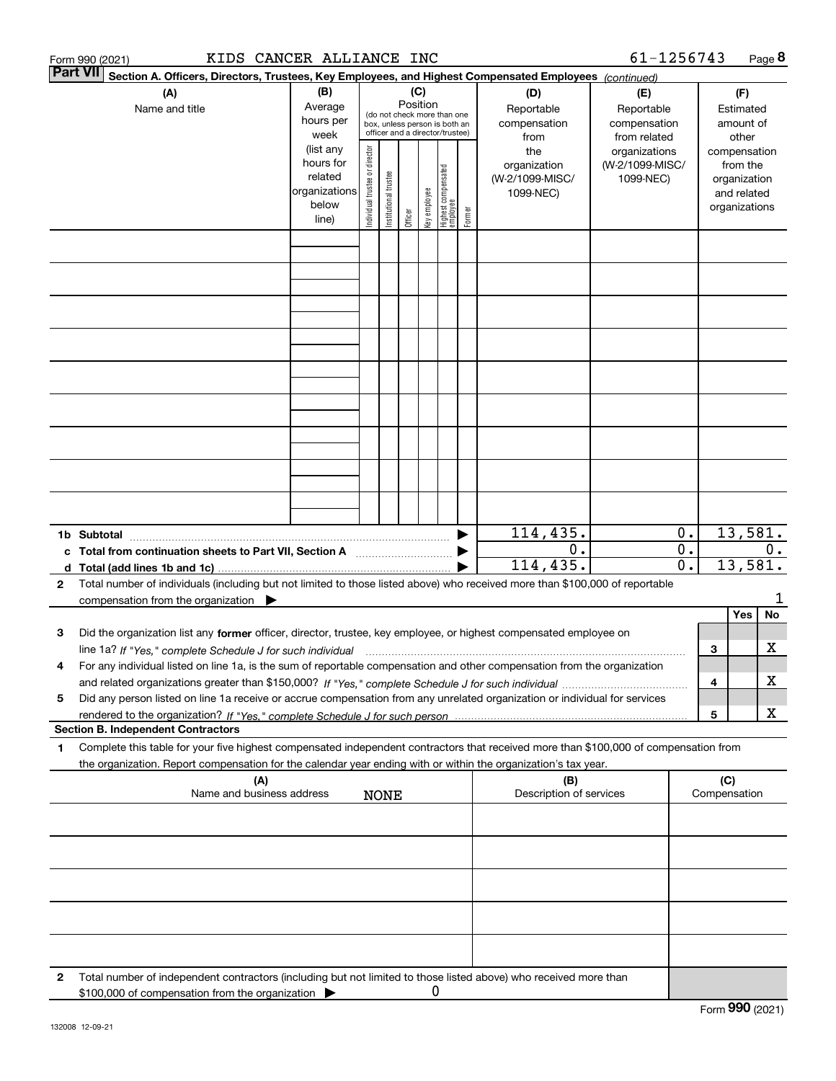|                                                                                                                           | KIDS CANCER ALLIANCE INC<br>Form 990 (2021)                                                                                                                         |                                                             |                                |                        |                                                                                                                                                                                |              |                                 |        |                                                     | 61-1256743                                    |                                            |                                        |                                                                          | Page 8  |
|---------------------------------------------------------------------------------------------------------------------------|---------------------------------------------------------------------------------------------------------------------------------------------------------------------|-------------------------------------------------------------|--------------------------------|------------------------|--------------------------------------------------------------------------------------------------------------------------------------------------------------------------------|--------------|---------------------------------|--------|-----------------------------------------------------|-----------------------------------------------|--------------------------------------------|----------------------------------------|--------------------------------------------------------------------------|---------|
| Part VII<br>Section A. Officers, Directors, Trustees, Key Employees, and Highest Compensated Employees (continued)<br>(E) |                                                                                                                                                                     |                                                             |                                |                        |                                                                                                                                                                                |              |                                 |        |                                                     |                                               |                                            |                                        |                                                                          |         |
|                                                                                                                           | (A)<br>Average<br>Name and title<br>hours per                                                                                                                       |                                                             |                                |                        | (C)<br>(B)<br>(D)<br>Position<br>Reportable<br>(do not check more than one<br>compensation<br>box, unless person is both an<br>officer and a director/trustee)<br>week<br>from |              |                                 |        |                                                     |                                               | Reportable<br>compensation<br>from related | (F)<br>Estimated<br>amount of<br>other |                                                                          |         |
|                                                                                                                           |                                                                                                                                                                     | (list any<br>hours for<br>related<br>organizations<br>below | Individual trustee or director | In stitutional trustee | Officer                                                                                                                                                                        | key employee | Highest compensated<br>employee | Former | the<br>organization<br>(W-2/1099-MISC/<br>1099-NEC) | organizations<br>(W-2/1099-MISC/<br>1099-NEC) |                                            |                                        | compensation<br>from the<br>organization<br>and related<br>organizations |         |
|                                                                                                                           | line)                                                                                                                                                               |                                                             |                                |                        |                                                                                                                                                                                |              |                                 |        |                                                     |                                               |                                            |                                        |                                                                          |         |
|                                                                                                                           |                                                                                                                                                                     |                                                             |                                |                        |                                                                                                                                                                                |              |                                 |        |                                                     |                                               |                                            |                                        |                                                                          |         |
|                                                                                                                           |                                                                                                                                                                     |                                                             |                                |                        |                                                                                                                                                                                |              |                                 |        |                                                     |                                               |                                            |                                        |                                                                          |         |
|                                                                                                                           |                                                                                                                                                                     |                                                             |                                |                        |                                                                                                                                                                                |              |                                 |        |                                                     |                                               |                                            |                                        |                                                                          |         |
|                                                                                                                           |                                                                                                                                                                     |                                                             |                                |                        |                                                                                                                                                                                |              |                                 |        |                                                     |                                               |                                            |                                        |                                                                          |         |
|                                                                                                                           |                                                                                                                                                                     |                                                             |                                |                        |                                                                                                                                                                                |              |                                 |        |                                                     |                                               |                                            |                                        |                                                                          |         |
|                                                                                                                           |                                                                                                                                                                     |                                                             |                                |                        |                                                                                                                                                                                |              |                                 |        |                                                     |                                               |                                            |                                        |                                                                          |         |
|                                                                                                                           | 1b Subtotal                                                                                                                                                         |                                                             |                                |                        |                                                                                                                                                                                |              |                                 |        | 114,435.                                            |                                               | 0.                                         |                                        | 13,581.                                                                  |         |
|                                                                                                                           | c Total from continuation sheets to Part VII, Section A manufactor continuum                                                                                        |                                                             |                                |                        |                                                                                                                                                                                |              |                                 |        | 0.<br>114,435.                                      |                                               | 0.<br>$\overline{0}$ .                     |                                        | 13,581.                                                                  | $0$ .   |
| 2                                                                                                                         | Total number of individuals (including but not limited to those listed above) who received more than \$100,000 of reportable                                        |                                                             |                                |                        |                                                                                                                                                                                |              |                                 |        |                                                     |                                               |                                            |                                        |                                                                          |         |
|                                                                                                                           | compensation from the organization $\blacktriangleright$                                                                                                            |                                                             |                                |                        |                                                                                                                                                                                |              |                                 |        |                                                     |                                               |                                            |                                        | Yes                                                                      | 1<br>No |
| з                                                                                                                         | Did the organization list any former officer, director, trustee, key employee, or highest compensated employee on                                                   |                                                             |                                |                        |                                                                                                                                                                                |              |                                 |        |                                                     |                                               |                                            |                                        |                                                                          |         |
|                                                                                                                           | line 1a? If "Yes," complete Schedule J for such individual manufactured contained and the 1a? If "Yes," complete Schedule J for such individual                     |                                                             |                                |                        |                                                                                                                                                                                |              |                                 |        |                                                     |                                               |                                            | 3                                      |                                                                          | x       |
| 4                                                                                                                         | For any individual listed on line 1a, is the sum of reportable compensation and other compensation from the organization                                            |                                                             |                                |                        |                                                                                                                                                                                |              |                                 |        |                                                     |                                               |                                            | 4                                      |                                                                          | x       |
| 5                                                                                                                         | Did any person listed on line 1a receive or accrue compensation from any unrelated organization or individual for services                                          |                                                             |                                |                        |                                                                                                                                                                                |              |                                 |        |                                                     |                                               |                                            |                                        |                                                                          |         |
|                                                                                                                           | <b>Section B. Independent Contractors</b>                                                                                                                           |                                                             |                                |                        |                                                                                                                                                                                |              |                                 |        |                                                     |                                               |                                            | 5                                      |                                                                          | x       |
| 1                                                                                                                         | Complete this table for your five highest compensated independent contractors that received more than \$100,000 of compensation from                                |                                                             |                                |                        |                                                                                                                                                                                |              |                                 |        |                                                     |                                               |                                            |                                        |                                                                          |         |
|                                                                                                                           | the organization. Report compensation for the calendar year ending with or within the organization's tax year.<br>(A)                                               |                                                             |                                |                        |                                                                                                                                                                                |              |                                 |        | (B)                                                 |                                               |                                            | (C)                                    |                                                                          |         |
|                                                                                                                           | Name and business address                                                                                                                                           |                                                             |                                | <b>NONE</b>            |                                                                                                                                                                                |              |                                 |        | Description of services                             |                                               |                                            |                                        | Compensation                                                             |         |
|                                                                                                                           |                                                                                                                                                                     |                                                             |                                |                        |                                                                                                                                                                                |              |                                 |        |                                                     |                                               |                                            |                                        |                                                                          |         |
|                                                                                                                           |                                                                                                                                                                     |                                                             |                                |                        |                                                                                                                                                                                |              |                                 |        |                                                     |                                               |                                            |                                        |                                                                          |         |
|                                                                                                                           |                                                                                                                                                                     |                                                             |                                |                        |                                                                                                                                                                                |              |                                 |        |                                                     |                                               |                                            |                                        |                                                                          |         |
|                                                                                                                           |                                                                                                                                                                     |                                                             |                                |                        |                                                                                                                                                                                |              |                                 |        |                                                     |                                               |                                            |                                        |                                                                          |         |
| 2                                                                                                                         | Total number of independent contractors (including but not limited to those listed above) who received more than<br>\$100,000 of compensation from the organization |                                                             |                                |                        |                                                                                                                                                                                | 0            |                                 |        |                                                     |                                               |                                            |                                        |                                                                          |         |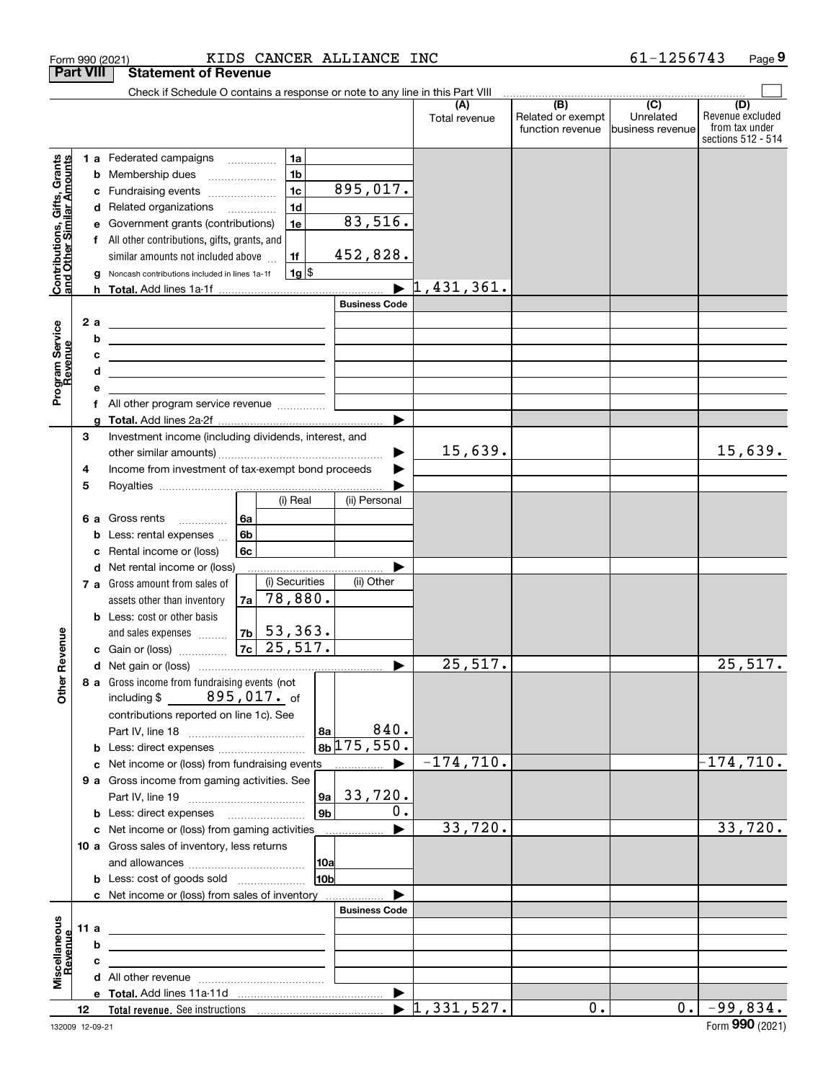|                                                           |                  |                                                       | Form 990 (2021)                                                                                                          |                |                |                    | KIDS CANCER ALLIANCE INC |                                  |                                              | 61-1256743                                                  | Page 9                                                          |
|-----------------------------------------------------------|------------------|-------------------------------------------------------|--------------------------------------------------------------------------------------------------------------------------|----------------|----------------|--------------------|--------------------------|----------------------------------|----------------------------------------------|-------------------------------------------------------------|-----------------------------------------------------------------|
|                                                           | <b>Part VIII</b> |                                                       | <b>Statement of Revenue</b>                                                                                              |                |                |                    |                          |                                  |                                              |                                                             |                                                                 |
|                                                           |                  |                                                       | Check if Schedule O contains a response or note to any line in this Part VIII                                            |                |                |                    |                          |                                  |                                              |                                                             |                                                                 |
|                                                           |                  |                                                       |                                                                                                                          |                |                |                    |                          | (A)<br>Total revenue             | (B)<br>Related or exempt<br>function revenue | $\overline{(\mathbf{C})}$<br>Unrelated<br>lbusiness revenue | (D)<br>Revenue excluded<br>from tax under<br>sections 512 - 514 |
|                                                           |                  |                                                       | 1 a Federated campaigns                                                                                                  |                | 1a             |                    |                          |                                  |                                              |                                                             |                                                                 |
| Contributions, Gifts, Grants<br>and Other Similar Amounts |                  |                                                       | <b>b</b> Membership dues                                                                                                 |                | 1 <sub>b</sub> |                    |                          |                                  |                                              |                                                             |                                                                 |
|                                                           |                  |                                                       | c Fundraising events                                                                                                     |                | 1 <sub>c</sub> |                    | 895,017.                 |                                  |                                              |                                                             |                                                                 |
|                                                           |                  |                                                       | d Related organizations                                                                                                  |                | 1 <sub>d</sub> |                    |                          |                                  |                                              |                                                             |                                                                 |
|                                                           |                  |                                                       | e Government grants (contributions)                                                                                      |                | 1e             |                    | 83,516.                  |                                  |                                              |                                                             |                                                                 |
|                                                           |                  |                                                       | f All other contributions, gifts, grants, and                                                                            |                |                |                    |                          |                                  |                                              |                                                             |                                                                 |
|                                                           |                  |                                                       | similar amounts not included above                                                                                       |                | 1f             |                    | 452,828.                 |                                  |                                              |                                                             |                                                                 |
|                                                           |                  | g                                                     | Noncash contributions included in lines 1a-1f                                                                            |                | 1g             |                    |                          |                                  |                                              |                                                             |                                                                 |
|                                                           |                  |                                                       |                                                                                                                          |                |                |                    |                          | $\blacktriangleright$ 1,431,361. |                                              |                                                             |                                                                 |
|                                                           |                  |                                                       |                                                                                                                          |                |                |                    | <b>Business Code</b>     |                                  |                                              |                                                             |                                                                 |
|                                                           | 2a               |                                                       | <u> 1989 - Johann Barbara, martxa eta idazlea (h. 1989).</u>                                                             |                |                |                    |                          |                                  |                                              |                                                             |                                                                 |
|                                                           |                  | b                                                     | <u> 1989 - Johann John Stone, markin f</u>                                                                               |                |                |                    |                          |                                  |                                              |                                                             |                                                                 |
| evenue                                                    |                  | c                                                     | <u> 1989 - Johann Stein, mars an deutscher Stein († 1989)</u>                                                            |                |                |                    |                          |                                  |                                              |                                                             |                                                                 |
| Program Service<br>Revenue                                |                  | d                                                     | <u> 1989 - Johann John Stein, markin film ar yn y brenin y brenin y brenin y brenin y brenin y brenin y brenin y</u>     |                |                |                    |                          |                                  |                                              |                                                             |                                                                 |
|                                                           |                  |                                                       |                                                                                                                          |                |                |                    |                          |                                  |                                              |                                                             |                                                                 |
|                                                           |                  |                                                       | All other program service revenue                                                                                        |                |                |                    |                          |                                  |                                              |                                                             |                                                                 |
|                                                           | 3                | a                                                     |                                                                                                                          |                |                |                    |                          |                                  |                                              |                                                             |                                                                 |
|                                                           |                  | Investment income (including dividends, interest, and |                                                                                                                          |                |                |                    | ▶                        | 15,639.                          |                                              |                                                             | 15,639.                                                         |
|                                                           | 4                | Income from investment of tax-exempt bond proceeds    |                                                                                                                          |                |                |                    |                          |                                  |                                              |                                                             |                                                                 |
|                                                           | 5                |                                                       |                                                                                                                          |                |                |                    |                          |                                  |                                              |                                                             |                                                                 |
|                                                           |                  |                                                       |                                                                                                                          |                | (i) Real       |                    | (ii) Personal            |                                  |                                              |                                                             |                                                                 |
|                                                           |                  |                                                       | <b>6 a</b> Gross rents                                                                                                   | l 6a           |                |                    |                          |                                  |                                              |                                                             |                                                                 |
|                                                           |                  | b                                                     | Less: rental expenses                                                                                                    | 6 <sub>b</sub> |                |                    |                          |                                  |                                              |                                                             |                                                                 |
|                                                           |                  | с                                                     | Rental income or (loss)                                                                                                  | 6c             |                |                    |                          |                                  |                                              |                                                             |                                                                 |
|                                                           |                  |                                                       | d Net rental income or (loss)                                                                                            |                |                |                    |                          |                                  |                                              |                                                             |                                                                 |
|                                                           |                  |                                                       | 7 a Gross amount from sales of                                                                                           |                | (i) Securities |                    | (ii) Other               |                                  |                                              |                                                             |                                                                 |
|                                                           |                  |                                                       | assets other than inventory                                                                                              |                | $7a$ 78,880.   |                    |                          |                                  |                                              |                                                             |                                                                 |
|                                                           |                  |                                                       | <b>b</b> Less: cost or other basis                                                                                       |                |                |                    |                          |                                  |                                              |                                                             |                                                                 |
| venue                                                     |                  |                                                       | and sales expenses                                                                                                       |                | $7b$ 53, 363.  |                    |                          |                                  |                                              |                                                             |                                                                 |
|                                                           |                  |                                                       | <b>c</b> Gain or (loss) $\ldots$                                                                                         | 7c             | 25,517.        |                    |                          |                                  |                                              |                                                             |                                                                 |
|                                                           |                  |                                                       |                                                                                                                          |                |                |                    |                          | 25,517.                          |                                              |                                                             | 25,517.                                                         |
| Other R                                                   |                  |                                                       | 8 a Gross income from fundraising events (not                                                                            |                |                |                    |                          |                                  |                                              |                                                             |                                                                 |
|                                                           |                  |                                                       | including $$895,017$ of                                                                                                  |                |                |                    |                          |                                  |                                              |                                                             |                                                                 |
|                                                           |                  |                                                       | contributions reported on line 1c). See                                                                                  |                |                |                    | 840.                     |                                  |                                              |                                                             |                                                                 |
|                                                           |                  |                                                       |                                                                                                                          |                |                | l 8a               | $8b$ 175,550.            |                                  |                                              |                                                             |                                                                 |
|                                                           |                  |                                                       | c Net income or (loss) from fundraising events                                                                           |                |                |                    | ▶                        | $-174,710.$                      |                                              |                                                             | $-174,710.$                                                     |
|                                                           |                  |                                                       | 9 a Gross income from gaming activities. See                                                                             |                |                |                    |                          |                                  |                                              |                                                             |                                                                 |
|                                                           |                  |                                                       |                                                                                                                          |                |                |                    | $9a$ 33,720.             |                                  |                                              |                                                             |                                                                 |
|                                                           |                  |                                                       | <b>b</b> Less: direct expenses <b>contained b</b> Less: direct expenses                                                  |                |                | $ g_{\mathsf{b}} $ | 0.                       |                                  |                                              |                                                             |                                                                 |
|                                                           |                  |                                                       | c Net income or (loss) from gaming activities                                                                            |                |                |                    |                          | 33,720.                          |                                              |                                                             | 33,720.                                                         |
|                                                           |                  |                                                       | 10 a Gross sales of inventory, less returns                                                                              |                |                |                    |                          |                                  |                                              |                                                             |                                                                 |
|                                                           |                  |                                                       |                                                                                                                          |                |                | 10a                |                          |                                  |                                              |                                                             |                                                                 |
|                                                           |                  |                                                       |                                                                                                                          |                |                | 10 <sub>b</sub>    |                          |                                  |                                              |                                                             |                                                                 |
|                                                           |                  |                                                       | c Net income or (loss) from sales of inventory                                                                           |                |                |                    |                          |                                  |                                              |                                                             |                                                                 |
|                                                           |                  |                                                       |                                                                                                                          |                |                |                    | <b>Business Code</b>     |                                  |                                              |                                                             |                                                                 |
|                                                           | 11a              |                                                       |                                                                                                                          |                |                |                    |                          |                                  |                                              |                                                             |                                                                 |
|                                                           |                  | b                                                     |                                                                                                                          |                |                |                    |                          |                                  |                                              |                                                             |                                                                 |
| Miscellaneous<br>Revenue                                  |                  | c                                                     |                                                                                                                          |                |                |                    |                          |                                  |                                              |                                                             |                                                                 |
|                                                           |                  |                                                       | d All other revenue <i>manually contained</i> and the contained and the set of All other revenue of the set of All other |                |                |                    |                          |                                  |                                              |                                                             |                                                                 |
|                                                           |                  |                                                       |                                                                                                                          |                |                |                    | ▶                        |                                  |                                              |                                                             |                                                                 |
|                                                           | 12               |                                                       |                                                                                                                          |                |                |                    |                          | $\blacktriangleright$ 1,331,527. | 0.                                           | $0$ .                                                       | $-99,834.$                                                      |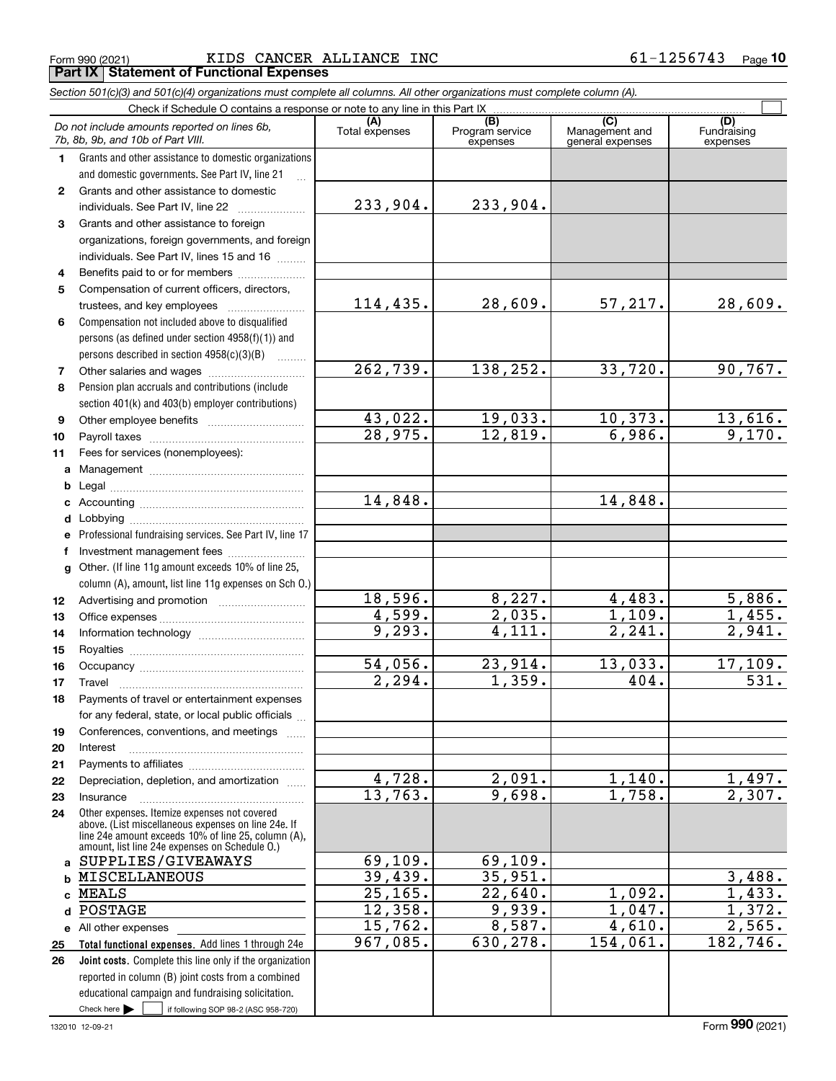#### Form 990 (2021) Page **Part IX Statement of Functional Expenses** KIDS CANCER ALLIANCE INC 61-1256743

*Section 501(c)(3) and 501(c)(4) organizations must complete all columns. All other organizations must complete column (A).*  $\overline{\phantom{a}}$  of a to any line in this Part IX

|              | Check if Schedule O contains a response or note to any line in this Part IX                                |                        |                                    |                                    |                                |
|--------------|------------------------------------------------------------------------------------------------------------|------------------------|------------------------------------|------------------------------------|--------------------------------|
|              | Do not include amounts reported on lines 6b,<br>7b, 8b, 9b, and 10b of Part VIII.                          | (A)<br>Total expenses  | (B)<br>Program service<br>expenses | Management and<br>general expenses | (D)<br>Fundraising<br>expenses |
| 1.           | Grants and other assistance to domestic organizations                                                      |                        |                                    |                                    |                                |
|              | and domestic governments. See Part IV, line 21                                                             |                        |                                    |                                    |                                |
| $\mathbf{2}$ | Grants and other assistance to domestic                                                                    |                        |                                    |                                    |                                |
|              | individuals. See Part IV, line 22                                                                          | 233,904.               | 233,904.                           |                                    |                                |
| 3            | Grants and other assistance to foreign                                                                     |                        |                                    |                                    |                                |
|              | organizations, foreign governments, and foreign                                                            |                        |                                    |                                    |                                |
|              | individuals. See Part IV, lines 15 and 16                                                                  |                        |                                    |                                    |                                |
| 4            | Benefits paid to or for members                                                                            |                        |                                    |                                    |                                |
| 5            | Compensation of current officers, directors,                                                               |                        |                                    |                                    |                                |
|              | trustees, and key employees                                                                                | 114,435.               | 28,609.                            | 57,217.                            | 28,609.                        |
| 6            | Compensation not included above to disqualified                                                            |                        |                                    |                                    |                                |
|              | persons (as defined under section 4958(f)(1)) and                                                          |                        |                                    |                                    |                                |
|              | persons described in section $4958(c)(3)(B)$                                                               |                        |                                    |                                    |                                |
| 7            |                                                                                                            | 262,739.               | 138, 252.                          | 33,720.                            | 90, 767.                       |
| 8            | Pension plan accruals and contributions (include                                                           |                        |                                    |                                    |                                |
|              | section 401(k) and 403(b) employer contributions)                                                          |                        |                                    |                                    |                                |
| 9            |                                                                                                            | 43,022.                | 19,033.                            | 10,373.                            | 13,616.                        |
| 10           |                                                                                                            | 28,975.                | 12,819.                            | 6,986.                             | 9,170.                         |
| 11           | Fees for services (nonemployees):                                                                          |                        |                                    |                                    |                                |
| a            |                                                                                                            |                        |                                    |                                    |                                |
| b            |                                                                                                            |                        |                                    |                                    |                                |
| c            |                                                                                                            | 14,848.                |                                    | 14,848.                            |                                |
| d            |                                                                                                            |                        |                                    |                                    |                                |
|              | Professional fundraising services. See Part IV, line 17                                                    |                        |                                    |                                    |                                |
| f            | Investment management fees                                                                                 |                        |                                    |                                    |                                |
| $\mathbf{q}$ | Other. (If line 11g amount exceeds 10% of line 25,                                                         |                        |                                    |                                    |                                |
|              | column (A), amount, list line 11g expenses on Sch 0.)                                                      | 18,596.                | 8,227.                             | 4,483.                             | 5,886.                         |
| 12           |                                                                                                            | 4,599.                 | 2,035.                             | 1,109.                             | 1,455.                         |
| 13           |                                                                                                            | 9,293.                 | 4,111.                             | 2, 241.                            | 2,941.                         |
| 14<br>15     |                                                                                                            |                        |                                    |                                    |                                |
| 16           |                                                                                                            | 54,056.                | 23,914.                            | 13,033.                            | 17,109.                        |
| 17           | Travel                                                                                                     | 2, 294.                | 1,359.                             | 404.                               | 531.                           |
| 18           | Payments of travel or entertainment expenses                                                               |                        |                                    |                                    |                                |
|              | for any federal, state, or local public officials                                                          |                        |                                    |                                    |                                |
| 19           | Conferences, conventions, and meetings                                                                     |                        |                                    |                                    |                                |
| 20           | Interest                                                                                                   |                        |                                    |                                    |                                |
| 21           |                                                                                                            |                        |                                    |                                    |                                |
| 22           | Depreciation, depletion, and amortization                                                                  |                        | 2,091.                             | 1,140.                             |                                |
| 23           | Insurance                                                                                                  | $\frac{4,728}{13,763}$ | 9,698.                             | $\overline{1,758}$ .               | $\frac{1,497}{2,307}$          |
| 24           | Other expenses. Itemize expenses not covered                                                               |                        |                                    |                                    |                                |
|              | above. (List miscellaneous expenses on line 24e. If<br>line 24e amount exceeds 10% of line 25, column (A), |                        |                                    |                                    |                                |
|              | amount, list line 24e expenses on Schedule O.)                                                             |                        |                                    |                                    |                                |
| a            | SUPPLIES/GIVEAWAYS                                                                                         | 69,109.                | 69,109.                            |                                    |                                |
|              | <b>MISCELLANEOUS</b>                                                                                       | 39,439.                | 35,951.                            |                                    | 3,488.                         |
| C            | <b>MEALS</b>                                                                                               | 25, 165.               | 22,640.                            | 1,092.                             | 1,433.                         |
| d            | POSTAGE                                                                                                    | 12,358.                | 9,939.                             | 1,047.                             | 1,372.                         |
| е            | All other expenses                                                                                         | 15,762.                | 8,587.                             | 4,610.                             | 2,565.                         |
| 25           | Total functional expenses. Add lines 1 through 24e                                                         | 967,085.               | 630,278.                           | 154,061.                           | 182,746.                       |
| 26           | Joint costs. Complete this line only if the organization                                                   |                        |                                    |                                    |                                |
|              | reported in column (B) joint costs from a combined                                                         |                        |                                    |                                    |                                |
|              | educational campaign and fundraising solicitation.                                                         |                        |                                    |                                    |                                |
|              | Check here $\blacktriangleright$<br>if following SOP 98-2 (ASC 958-720)                                    |                        |                                    |                                    |                                |

 $\overline{\phantom{1}}$ 

Form (2021) **990**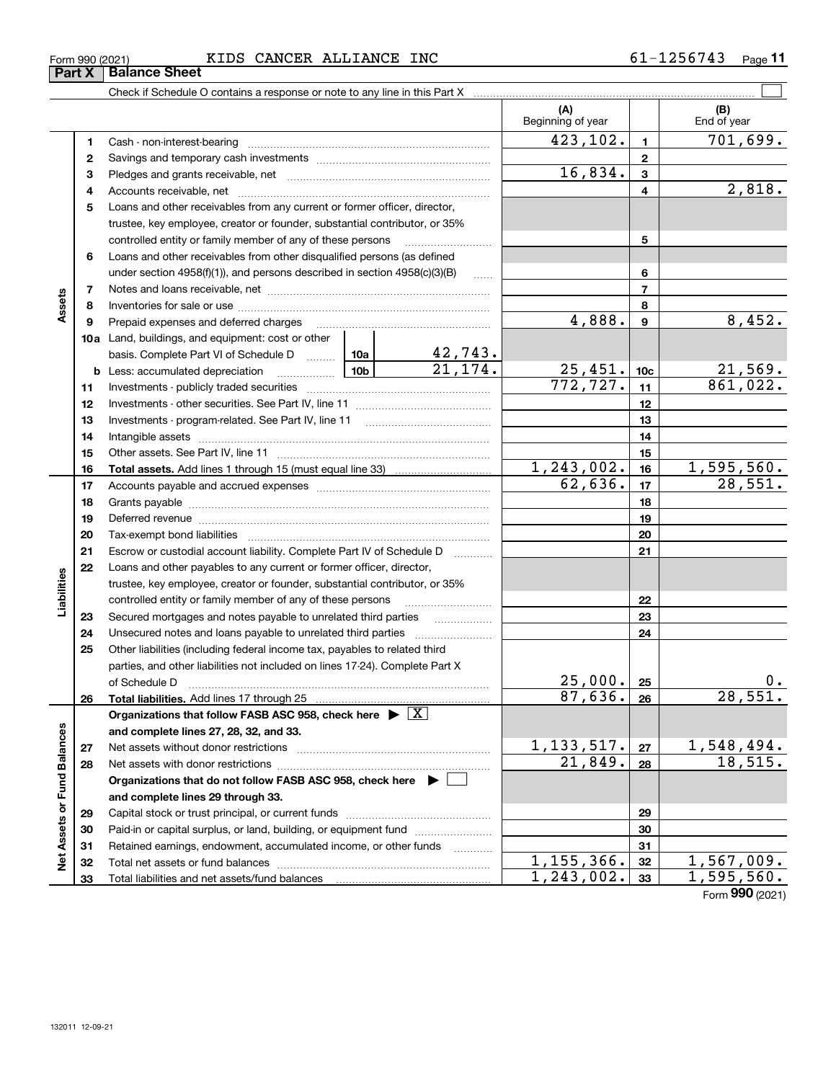|  | KIDS CANCER ALLIANCE INC |  |
|--|--------------------------|--|
|  |                          |  |

|                             |    | Check if Schedule O contains a response or note to any line in this Part X                                                                                                                                                     |            |                           |                          |                         |                          |
|-----------------------------|----|--------------------------------------------------------------------------------------------------------------------------------------------------------------------------------------------------------------------------------|------------|---------------------------|--------------------------|-------------------------|--------------------------|
|                             |    |                                                                                                                                                                                                                                |            |                           | (A)<br>Beginning of year |                         | (B)<br>End of year       |
|                             | 1  |                                                                                                                                                                                                                                |            |                           | 423,102.                 | $\mathbf{1}$            | $\overline{701,699}$ .   |
|                             | 2  |                                                                                                                                                                                                                                |            | $\mathbf{2}$              |                          |                         |                          |
|                             | з  |                                                                                                                                                                                                                                | 16,834.    | $\mathbf{3}$              |                          |                         |                          |
|                             | 4  |                                                                                                                                                                                                                                |            |                           |                          | $\overline{\mathbf{4}}$ | 2,818.                   |
|                             | 5  | Loans and other receivables from any current or former officer, director,                                                                                                                                                      |            |                           |                          |                         |                          |
|                             |    | trustee, key employee, creator or founder, substantial contributor, or 35%                                                                                                                                                     |            |                           |                          |                         |                          |
|                             |    | controlled entity or family member of any of these persons                                                                                                                                                                     |            |                           | 5                        |                         |                          |
|                             | 6  | Loans and other receivables from other disqualified persons (as defined                                                                                                                                                        |            |                           |                          |                         |                          |
|                             |    | under section 4958(f)(1)), and persons described in section 4958(c)(3)(B)                                                                                                                                                      |            | $\sim$                    |                          | 6                       |                          |
|                             | 7  |                                                                                                                                                                                                                                |            |                           |                          | $\overline{7}$          |                          |
| Assets                      | 8  |                                                                                                                                                                                                                                |            |                           |                          | 8                       |                          |
|                             | 9  | Prepaid expenses and deferred charges                                                                                                                                                                                          |            |                           | 4,888.                   | $\boldsymbol{9}$        | 8,452.                   |
|                             |    | 10a Land, buildings, and equipment: cost or other                                                                                                                                                                              |            |                           |                          |                         |                          |
|                             |    | basis. Complete Part VI of Schedule D  10a                                                                                                                                                                                     |            | $\frac{42,743}{21,174}$ . |                          |                         |                          |
|                             |    | $\boxed{10b}$<br><b>b</b> Less: accumulated depreciation                                                                                                                                                                       |            |                           | 25,451.                  | 10 <sub>c</sub>         | $\frac{21,569}{861,022}$ |
|                             | 11 |                                                                                                                                                                                                                                |            |                           | 772,727.                 | 11                      |                          |
|                             | 12 |                                                                                                                                                                                                                                |            |                           |                          | 12                      |                          |
|                             | 13 |                                                                                                                                                                                                                                |            |                           |                          | 13                      |                          |
|                             | 14 |                                                                                                                                                                                                                                |            |                           |                          | 14                      |                          |
|                             | 15 |                                                                                                                                                                                                                                |            | 15                        |                          |                         |                          |
|                             | 16 |                                                                                                                                                                                                                                | 1,243,002. | 16                        | 1,595,560.               |                         |                          |
|                             | 17 |                                                                                                                                                                                                                                | 62,636.    | 17                        | 28,551.                  |                         |                          |
|                             | 18 |                                                                                                                                                                                                                                |            |                           | 18                       |                         |                          |
|                             | 19 | Deferred revenue manual contracts and contracts are all the contracts and contracts are contracted and contracts are contracted and contract are contracted and contract are contracted and contract are contracted and contra |            |                           |                          | 19                      |                          |
|                             | 20 |                                                                                                                                                                                                                                |            |                           |                          | 20                      |                          |
|                             | 21 | Escrow or custodial account liability. Complete Part IV of Schedule D                                                                                                                                                          |            |                           |                          | 21                      |                          |
|                             | 22 | Loans and other payables to any current or former officer, director,                                                                                                                                                           |            |                           |                          |                         |                          |
| Liabilities                 |    | trustee, key employee, creator or founder, substantial contributor, or 35%                                                                                                                                                     |            |                           |                          |                         |                          |
|                             |    | controlled entity or family member of any of these persons                                                                                                                                                                     |            |                           |                          | 22                      |                          |
|                             | 23 | Secured mortgages and notes payable to unrelated third parties                                                                                                                                                                 |            |                           |                          | 23                      |                          |
|                             | 24 |                                                                                                                                                                                                                                |            |                           |                          | 24                      |                          |
|                             | 25 | Other liabilities (including federal income tax, payables to related third                                                                                                                                                     |            |                           |                          |                         |                          |
|                             |    | parties, and other liabilities not included on lines 17-24). Complete Part X                                                                                                                                                   |            |                           |                          |                         |                          |
|                             |    | of Schedule D                                                                                                                                                                                                                  |            |                           | 25,000.                  | 25                      | $0$ .                    |
|                             | 26 |                                                                                                                                                                                                                                |            |                           | 87,636.                  | 26                      | 28,551.                  |
|                             |    | Organizations that follow FASB ASC 958, check here $\triangleright \lfloor X \rfloor$                                                                                                                                          |            |                           |                          |                         |                          |
|                             |    | and complete lines 27, 28, 32, and 33.                                                                                                                                                                                         |            |                           | 1, 133, 517.             |                         |                          |
|                             | 27 |                                                                                                                                                                                                                                |            |                           | 21,849.                  | 27                      | 1,548,494.<br>18,515.    |
|                             | 28 |                                                                                                                                                                                                                                |            |                           |                          | 28                      |                          |
|                             |    | Organizations that do not follow FASB ASC 958, check here $\blacktriangleright$                                                                                                                                                |            |                           |                          |                         |                          |
|                             |    | and complete lines 29 through 33.                                                                                                                                                                                              |            |                           |                          |                         |                          |
|                             | 29 |                                                                                                                                                                                                                                |            |                           |                          | 29                      |                          |
|                             | 30 | Paid-in or capital surplus, or land, building, or equipment fund                                                                                                                                                               |            |                           |                          | 30                      |                          |
| Net Assets or Fund Balances | 31 | Retained earnings, endowment, accumulated income, or other funds                                                                                                                                                               |            |                           | 1, 155, 366.             | 31                      | $\overline{1,567,009}$ . |
|                             | 32 |                                                                                                                                                                                                                                |            |                           | $\overline{1,243,002}$ . | 32                      |                          |
|                             | 33 |                                                                                                                                                                                                                                |            |                           |                          | 33                      | 1,595,560.               |

Form (2021) **990**

#### Form 990 (2021) KIDS CANCER ALLIANCE INC 61-1256743 <sub>Page</sub> 11

| Form 990 (2021)               |  |
|-------------------------------|--|
| <b>Part X   Balance Sheet</b> |  |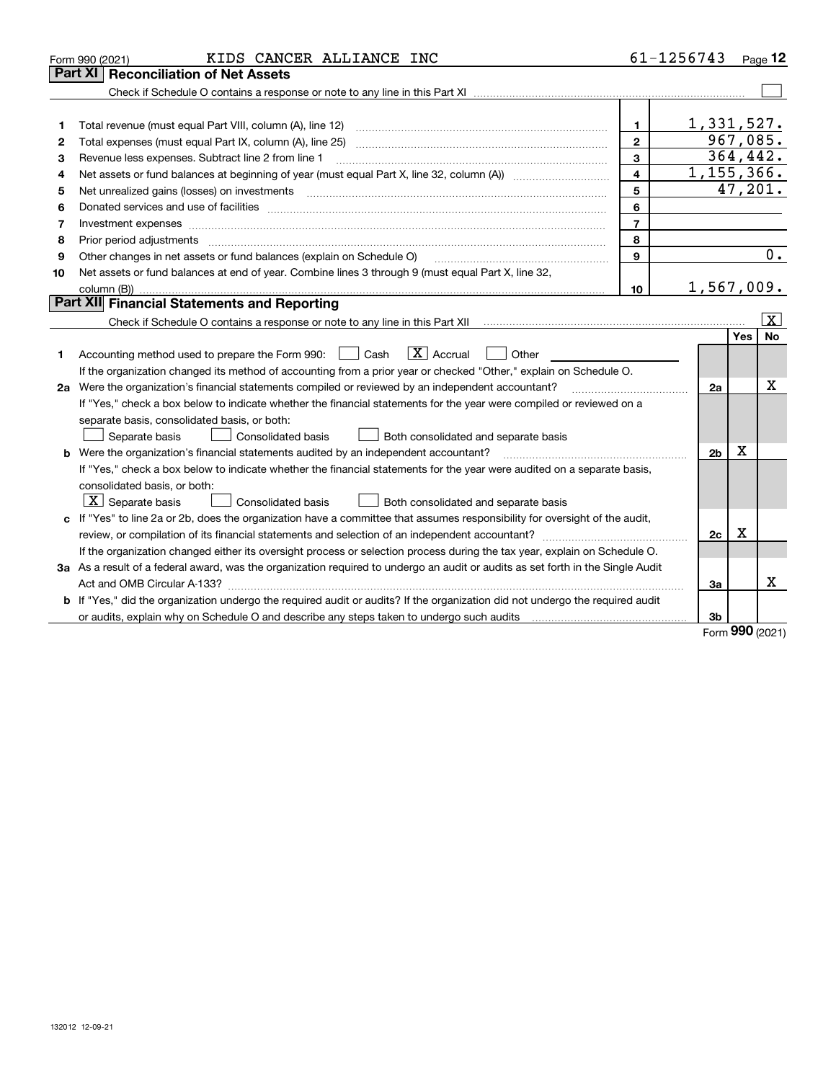|    | KIDS CANCER ALLIANCE INC<br>Form 990 (2021)                                                                                                                                                                                    |                         | 61-1256743     |            | Page $12$    |  |  |
|----|--------------------------------------------------------------------------------------------------------------------------------------------------------------------------------------------------------------------------------|-------------------------|----------------|------------|--------------|--|--|
|    | Part XI<br><b>Reconciliation of Net Assets</b>                                                                                                                                                                                 |                         |                |            |              |  |  |
|    |                                                                                                                                                                                                                                |                         |                |            |              |  |  |
|    |                                                                                                                                                                                                                                |                         |                |            |              |  |  |
| 1  | Total revenue (must equal Part VIII, column (A), line 12)                                                                                                                                                                      | 1.                      | 1,331,527.     |            |              |  |  |
| 2  |                                                                                                                                                                                                                                | $\mathbf{2}$            | 967,085.       |            |              |  |  |
| З  | 3<br>Revenue less expenses. Subtract line 2 from line 1                                                                                                                                                                        |                         |                |            |              |  |  |
| 4  |                                                                                                                                                                                                                                | $\overline{\mathbf{4}}$ | 1, 155, 366.   |            |              |  |  |
| 5  | Net unrealized gains (losses) on investments                                                                                                                                                                                   | 5                       |                |            | 47,201.      |  |  |
| 6  | Donated services and use of facilities [111] matter contracts and the service of facilities [11] matter contracts and use of facilities [11] matter contracts and the service of facilities [11] matter contracts and the serv | 6                       |                |            |              |  |  |
| 7  |                                                                                                                                                                                                                                | $\overline{7}$          |                |            |              |  |  |
| 8  | Prior period adjustments                                                                                                                                                                                                       | 8                       |                |            |              |  |  |
| 9  | Other changes in net assets or fund balances (explain on Schedule O)                                                                                                                                                           | 9                       |                |            | 0.           |  |  |
| 10 | Net assets or fund balances at end of year. Combine lines 3 through 9 (must equal Part X, line 32,                                                                                                                             |                         |                |            |              |  |  |
|    | column (B))                                                                                                                                                                                                                    | 10                      | 1,567,009.     |            |              |  |  |
|    | Part XII Financial Statements and Reporting                                                                                                                                                                                    |                         |                |            |              |  |  |
|    |                                                                                                                                                                                                                                |                         |                |            | $\mathbf{x}$ |  |  |
|    |                                                                                                                                                                                                                                |                         |                | <b>Yes</b> | <b>No</b>    |  |  |
| 1. | $ X $ Accrual<br>Accounting method used to prepare the Form 990: <u>June</u> Cash<br>Other                                                                                                                                     |                         |                |            |              |  |  |
|    | If the organization changed its method of accounting from a prior year or checked "Other," explain on Schedule O.                                                                                                              |                         |                |            |              |  |  |
|    | 2a Were the organization's financial statements compiled or reviewed by an independent accountant?                                                                                                                             |                         | 2a             |            | x            |  |  |
|    | If "Yes," check a box below to indicate whether the financial statements for the year were compiled or reviewed on a                                                                                                           |                         |                |            |              |  |  |
|    | separate basis, consolidated basis, or both:                                                                                                                                                                                   |                         |                |            |              |  |  |
|    | Separate basis<br>Consolidated basis<br>Both consolidated and separate basis                                                                                                                                                   |                         |                |            |              |  |  |
|    | <b>b</b> Were the organization's financial statements audited by an independent accountant?                                                                                                                                    |                         | 2 <sub>b</sub> | х          |              |  |  |
|    | If "Yes," check a box below to indicate whether the financial statements for the year were audited on a separate basis,                                                                                                        |                         |                |            |              |  |  |
|    | consolidated basis, or both:                                                                                                                                                                                                   |                         |                |            |              |  |  |
|    | $X$ Separate basis<br><b>Consolidated basis</b><br>Both consolidated and separate basis                                                                                                                                        |                         |                |            |              |  |  |
| c  | If "Yes" to line 2a or 2b, does the organization have a committee that assumes responsibility for oversight of the audit,                                                                                                      |                         |                |            |              |  |  |
|    | review, or compilation of its financial statements and selection of an independent accountant?                                                                                                                                 |                         | 2c             | х          |              |  |  |
|    | If the organization changed either its oversight process or selection process during the tax year, explain on Schedule O.                                                                                                      |                         |                |            |              |  |  |
|    | 3a As a result of a federal award, was the organization required to undergo an audit or audits as set forth in the Single Audit                                                                                                |                         |                |            |              |  |  |
|    |                                                                                                                                                                                                                                |                         | За             |            | x            |  |  |
|    | b If "Yes," did the organization undergo the required audit or audits? If the organization did not undergo the required audit                                                                                                  |                         |                |            |              |  |  |
|    |                                                                                                                                                                                                                                |                         | 3 <sub>b</sub> |            |              |  |  |

Form (2021) **990**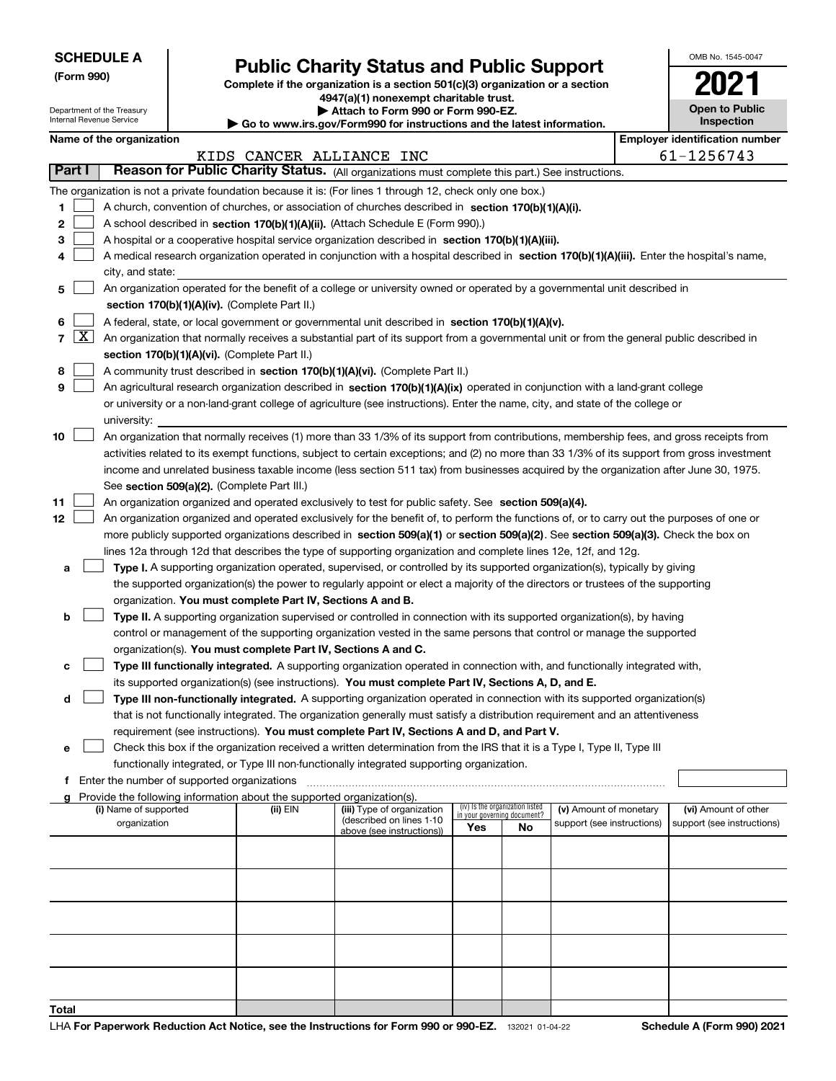| <b>SCHEDULE A</b> |  |
|-------------------|--|
|-------------------|--|

Department of the Treasury Internal Revenue Service

**(Form 990)**

**Total**

## **Public Charity Status and Public Support**

**Complete if the organization is a section 501(c)(3) organization or a section 4947(a)(1) nonexempt charitable trust.**

**| Attach to Form 990 or Form 990-EZ.** 

**| Go to www.irs.gov/Form990 for instructions and the latest information.**

| OMB No. 1545-0047                   |
|-------------------------------------|
|                                     |
| <b>Open to Public</b><br>Inspection |

|  | Name of the organization |
|--|--------------------------|
|--|--------------------------|

|    |                     | Name of the organization                                                                                                                                                                                                                      |                      |                                                        |                             |                                 |                            |  | <b>Employer identification number</b>              |
|----|---------------------|-----------------------------------------------------------------------------------------------------------------------------------------------------------------------------------------------------------------------------------------------|----------------------|--------------------------------------------------------|-----------------------------|---------------------------------|----------------------------|--|----------------------------------------------------|
|    |                     |                                                                                                                                                                                                                                               | KIDS CANCER ALLIANCE | INC                                                    |                             |                                 |                            |  | 61-1256743                                         |
|    | Part I              | Reason for Public Charity Status. (All organizations must complete this part.) See instructions.                                                                                                                                              |                      |                                                        |                             |                                 |                            |  |                                                    |
|    |                     | The organization is not a private foundation because it is: (For lines 1 through 12, check only one box.)                                                                                                                                     |                      |                                                        |                             |                                 |                            |  |                                                    |
| 1  |                     | A church, convention of churches, or association of churches described in section 170(b)(1)(A)(i).                                                                                                                                            |                      |                                                        |                             |                                 |                            |  |                                                    |
| 2  |                     | A school described in section 170(b)(1)(A)(ii). (Attach Schedule E (Form 990).)                                                                                                                                                               |                      |                                                        |                             |                                 |                            |  |                                                    |
| з  |                     | A hospital or a cooperative hospital service organization described in section 170(b)(1)(A)(iii).                                                                                                                                             |                      |                                                        |                             |                                 |                            |  |                                                    |
|    |                     | A medical research organization operated in conjunction with a hospital described in section 170(b)(1)(A)(iii). Enter the hospital's name,                                                                                                    |                      |                                                        |                             |                                 |                            |  |                                                    |
|    |                     | city, and state:                                                                                                                                                                                                                              |                      |                                                        |                             |                                 |                            |  |                                                    |
| 5  |                     | An organization operated for the benefit of a college or university owned or operated by a governmental unit described in                                                                                                                     |                      |                                                        |                             |                                 |                            |  |                                                    |
|    |                     | section 170(b)(1)(A)(iv). (Complete Part II.)                                                                                                                                                                                                 |                      |                                                        |                             |                                 |                            |  |                                                    |
| 6  |                     | A federal, state, or local government or governmental unit described in section 170(b)(1)(A)(v).                                                                                                                                              |                      |                                                        |                             |                                 |                            |  |                                                    |
| 7  | $\lfloor x \rfloor$ | An organization that normally receives a substantial part of its support from a governmental unit or from the general public described in                                                                                                     |                      |                                                        |                             |                                 |                            |  |                                                    |
|    |                     | section 170(b)(1)(A)(vi). (Complete Part II.)                                                                                                                                                                                                 |                      |                                                        |                             |                                 |                            |  |                                                    |
| 8  |                     | A community trust described in section 170(b)(1)(A)(vi). (Complete Part II.)                                                                                                                                                                  |                      |                                                        |                             |                                 |                            |  |                                                    |
| 9  |                     | An agricultural research organization described in section 170(b)(1)(A)(ix) operated in conjunction with a land-grant college                                                                                                                 |                      |                                                        |                             |                                 |                            |  |                                                    |
|    |                     | or university or a non-land-grant college of agriculture (see instructions). Enter the name, city, and state of the college or                                                                                                                |                      |                                                        |                             |                                 |                            |  |                                                    |
|    |                     | university:                                                                                                                                                                                                                                   |                      |                                                        |                             |                                 |                            |  |                                                    |
| 10 |                     | An organization that normally receives (1) more than 33 1/3% of its support from contributions, membership fees, and gross receipts from                                                                                                      |                      |                                                        |                             |                                 |                            |  |                                                    |
|    |                     | activities related to its exempt functions, subject to certain exceptions; and (2) no more than 33 1/3% of its support from gross investment                                                                                                  |                      |                                                        |                             |                                 |                            |  |                                                    |
|    |                     | income and unrelated business taxable income (less section 511 tax) from businesses acquired by the organization after June 30, 1975.                                                                                                         |                      |                                                        |                             |                                 |                            |  |                                                    |
|    |                     | See section 509(a)(2). (Complete Part III.)                                                                                                                                                                                                   |                      |                                                        |                             |                                 |                            |  |                                                    |
| 11 |                     | An organization organized and operated exclusively to test for public safety. See section 509(a)(4).                                                                                                                                          |                      |                                                        |                             |                                 |                            |  |                                                    |
| 12 |                     | An organization organized and operated exclusively for the benefit of, to perform the functions of, or to carry out the purposes of one or                                                                                                    |                      |                                                        |                             |                                 |                            |  |                                                    |
|    |                     | more publicly supported organizations described in section 509(a)(1) or section 509(a)(2). See section 509(a)(3). Check the box on                                                                                                            |                      |                                                        |                             |                                 |                            |  |                                                    |
| а  |                     | lines 12a through 12d that describes the type of supporting organization and complete lines 12e, 12f, and 12g.<br>Type I. A supporting organization operated, supervised, or controlled by its supported organization(s), typically by giving |                      |                                                        |                             |                                 |                            |  |                                                    |
|    |                     | the supported organization(s) the power to regularly appoint or elect a majority of the directors or trustees of the supporting                                                                                                               |                      |                                                        |                             |                                 |                            |  |                                                    |
|    |                     | organization. You must complete Part IV, Sections A and B.                                                                                                                                                                                    |                      |                                                        |                             |                                 |                            |  |                                                    |
| b  |                     | Type II. A supporting organization supervised or controlled in connection with its supported organization(s), by having                                                                                                                       |                      |                                                        |                             |                                 |                            |  |                                                    |
|    |                     | control or management of the supporting organization vested in the same persons that control or manage the supported                                                                                                                          |                      |                                                        |                             |                                 |                            |  |                                                    |
|    |                     | organization(s). You must complete Part IV, Sections A and C.                                                                                                                                                                                 |                      |                                                        |                             |                                 |                            |  |                                                    |
| с  |                     | Type III functionally integrated. A supporting organization operated in connection with, and functionally integrated with,                                                                                                                    |                      |                                                        |                             |                                 |                            |  |                                                    |
|    |                     | its supported organization(s) (see instructions). You must complete Part IV, Sections A, D, and E.                                                                                                                                            |                      |                                                        |                             |                                 |                            |  |                                                    |
| d  |                     | Type III non-functionally integrated. A supporting organization operated in connection with its supported organization(s)                                                                                                                     |                      |                                                        |                             |                                 |                            |  |                                                    |
|    |                     | that is not functionally integrated. The organization generally must satisfy a distribution requirement and an attentiveness                                                                                                                  |                      |                                                        |                             |                                 |                            |  |                                                    |
|    |                     | requirement (see instructions). You must complete Part IV, Sections A and D, and Part V.                                                                                                                                                      |                      |                                                        |                             |                                 |                            |  |                                                    |
| е  |                     | Check this box if the organization received a written determination from the IRS that it is a Type I, Type II, Type III                                                                                                                       |                      |                                                        |                             |                                 |                            |  |                                                    |
|    |                     | functionally integrated, or Type III non-functionally integrated supporting organization.                                                                                                                                                     |                      |                                                        |                             |                                 |                            |  |                                                    |
|    |                     | Enter the number of supported organizations                                                                                                                                                                                                   |                      |                                                        |                             |                                 |                            |  |                                                    |
|    |                     | Provide the following information about the supported organization(s).                                                                                                                                                                        |                      |                                                        |                             |                                 |                            |  |                                                    |
|    |                     | (i) Name of supported                                                                                                                                                                                                                         | (ii) EIN             | (iii) Type of organization<br>(described on lines 1-10 | in your governing document? | (iv) Is the organization listed | (v) Amount of monetary     |  | (vi) Amount of other<br>support (see instructions) |
|    |                     | organization                                                                                                                                                                                                                                  |                      | above (see instructions))                              | Yes                         | No                              | support (see instructions) |  |                                                    |
|    |                     |                                                                                                                                                                                                                                               |                      |                                                        |                             |                                 |                            |  |                                                    |
|    |                     |                                                                                                                                                                                                                                               |                      |                                                        |                             |                                 |                            |  |                                                    |
|    |                     |                                                                                                                                                                                                                                               |                      |                                                        |                             |                                 |                            |  |                                                    |
|    |                     |                                                                                                                                                                                                                                               |                      |                                                        |                             |                                 |                            |  |                                                    |
|    |                     |                                                                                                                                                                                                                                               |                      |                                                        |                             |                                 |                            |  |                                                    |
|    |                     |                                                                                                                                                                                                                                               |                      |                                                        |                             |                                 |                            |  |                                                    |
|    |                     |                                                                                                                                                                                                                                               |                      |                                                        |                             |                                 |                            |  |                                                    |
|    |                     |                                                                                                                                                                                                                                               |                      |                                                        |                             |                                 |                            |  |                                                    |
|    |                     |                                                                                                                                                                                                                                               |                      |                                                        |                             |                                 |                            |  |                                                    |
|    |                     |                                                                                                                                                                                                                                               |                      |                                                        |                             |                                 |                            |  |                                                    |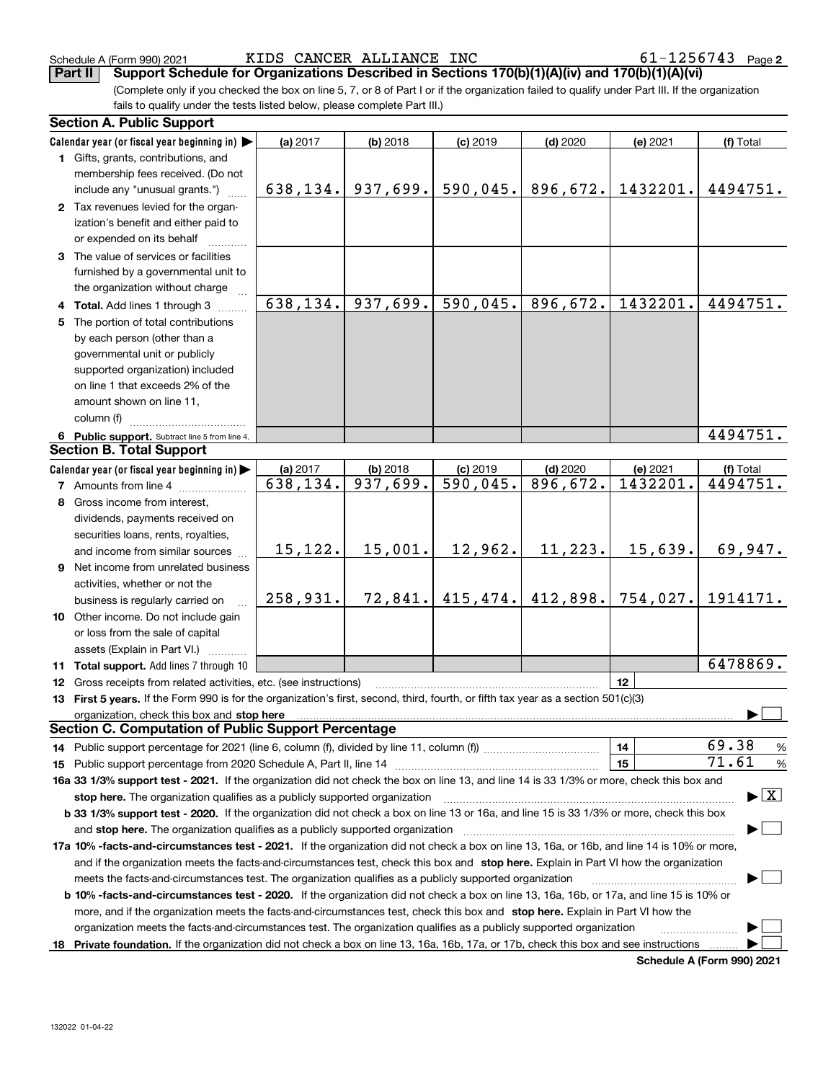| Schedule A (Form 990) 2021                                                                                                                                                                                                   | KIDS CANCER ALLIANCE INC |            |                        |            | 61-1256743 | Page 2    |
|------------------------------------------------------------------------------------------------------------------------------------------------------------------------------------------------------------------------------|--------------------------|------------|------------------------|------------|------------|-----------|
| Support Schedule for Organizations Described in Sections 170(b)(1)(A)(iv) and 170(b)(1)(A)(vi)<br>Part II                                                                                                                    |                          |            |                        |            |            |           |
| (Complete only if you checked the box on line 5, 7, or 8 of Part I or if the organization failed to qualify under Part III. If the organization<br>fails to qualify under the tests listed below, please complete Part III.) |                          |            |                        |            |            |           |
| <b>Section A. Public Support</b>                                                                                                                                                                                             |                          |            |                        |            |            |           |
| Calendar year (or fiscal year beginning in)                                                                                                                                                                                  | (a) 2017                 | (b) 2018   | $(c)$ 2019             | $(d)$ 2020 | (e) 2021   | (f) Total |
| 1 Gifts, grants, contributions, and                                                                                                                                                                                          |                          |            |                        |            |            |           |
| membership fees received. (Do not                                                                                                                                                                                            |                          |            |                        |            |            |           |
| include any "unusual grants.")                                                                                                                                                                                               | 638,134.                 | 937,699.   | 590,045.               | 896,672.   | 1432201.   | 4494751.  |
| 2 Tax revenues levied for the organ-                                                                                                                                                                                         |                          |            |                        |            |            |           |
| ization's benefit and either paid to<br>or expended on its behalf                                                                                                                                                            |                          |            |                        |            |            |           |
| 3 The value of services or facilities                                                                                                                                                                                        |                          |            |                        |            |            |           |
| furnished by a governmental unit to                                                                                                                                                                                          |                          |            |                        |            |            |           |
| the organization without charge                                                                                                                                                                                              |                          |            |                        |            |            |           |
| Total. Add lines 1 through 3<br>4                                                                                                                                                                                            | 638,134.                 | 937,699.   | 590,045.               | 896,672.   | 1432201.   | 4494751.  |
| The portion of total contributions<br>5                                                                                                                                                                                      |                          |            |                        |            |            |           |
| by each person (other than a                                                                                                                                                                                                 |                          |            |                        |            |            |           |
| governmental unit or publicly                                                                                                                                                                                                |                          |            |                        |            |            |           |
| supported organization) included                                                                                                                                                                                             |                          |            |                        |            |            |           |
| on line 1 that exceeds 2% of the                                                                                                                                                                                             |                          |            |                        |            |            |           |
| amount shown on line 11,                                                                                                                                                                                                     |                          |            |                        |            |            |           |
| column (f)                                                                                                                                                                                                                   |                          |            |                        |            |            | 4494751   |
| Public support. Subtract line 5 from line 4.<br><b>Section B. Total Support</b>                                                                                                                                              |                          |            |                        |            |            |           |
| Calendar year (or fiscal year beginning in) $\blacktriangleright$                                                                                                                                                            | (a) 2017                 | $(b)$ 2018 | $(c)$ 2019             | $(d)$ 2020 | (e) 2021   | (f) Total |
| 7 Amounts from line 4                                                                                                                                                                                                        | 638,134.                 | 937,699.   | $\overline{590,045}$ . | 896,672.   | 1432201.   | 4494751.  |
| Gross income from interest,<br>8                                                                                                                                                                                             |                          |            |                        |            |            |           |
| dividends, payments received on                                                                                                                                                                                              |                          |            |                        |            |            |           |
| securities loans, rents, royalties,                                                                                                                                                                                          |                          |            |                        |            |            |           |
| and income from similar sources                                                                                                                                                                                              | 15,122.                  | 15,001.    | 12,962.                | 11, 223.   | 15,639.    | 69,947.   |
| Net income from unrelated business<br>9                                                                                                                                                                                      |                          |            |                        |            |            |           |
| activities, whether or not the                                                                                                                                                                                               |                          |            |                        |            |            |           |
| business is regularly carried on                                                                                                                                                                                             | 258,931.                 | 72,841.    | 415,474.               | 412,898.   | 754,027.   | 1914171.  |
| 10 Other income. Do not include gain                                                                                                                                                                                         |                          |            |                        |            |            |           |
| or loss from the sale of capital                                                                                                                                                                                             |                          |            |                        |            |            |           |
| assets (Explain in Part VI.)<br>11 Total support. Add lines 7 through 10                                                                                                                                                     |                          |            |                        |            |            | 6478869.  |
| Gross receipts from related activities, etc. (see instructions)<br>12                                                                                                                                                        |                          |            |                        |            | 12         |           |
| 13 First 5 years. If the Form 990 is for the organization's first, second, third, fourth, or fifth tax year as a section 501(c)(3)                                                                                           |                          |            |                        |            |            |           |
| organization, check this box and stop here                                                                                                                                                                                   |                          |            |                        |            |            |           |

| 13 First 5 years. If the Form 990 is for the organization's first, second, third, fourth, or fifth tax year as a section 501(c)(3)                                                                                             |    |       |                                       |
|--------------------------------------------------------------------------------------------------------------------------------------------------------------------------------------------------------------------------------|----|-------|---------------------------------------|
| organization, check this box and stop here                                                                                                                                                                                     |    |       |                                       |
| <b>Section C. Computation of Public Support Percentage</b>                                                                                                                                                                     |    |       |                                       |
|                                                                                                                                                                                                                                | 14 | 69.38 | %                                     |
|                                                                                                                                                                                                                                | 15 | 71.61 | %                                     |
| 16a 33 1/3% support test - 2021. If the organization did not check the box on line 13, and line 14 is 33 1/3% or more, check this box and                                                                                      |    |       |                                       |
| stop here. The organization qualifies as a publicly supported organization                                                                                                                                                     |    |       | $\blacktriangleright$ $\mid$ X $\mid$ |
| <b>b</b> 33 1/3% support test - 2020. If the organization did not check a box on line 13 or 16a, and line 15 is 33 1/3% or more, check this box                                                                                |    |       |                                       |
| and stop here. The organization qualifies as a publicly supported organization [11] content to the content of the content of the content of the content of the content of the content of the content of the content of the con |    |       |                                       |
| 17a 10% -facts-and-circumstances test - 2021. If the organization did not check a box on line 13, 16a, or 16b, and line 14 is 10% or more,                                                                                     |    |       |                                       |
| and if the organization meets the facts-and-circumstances test, check this box and stop here. Explain in Part VI how the organization                                                                                          |    |       |                                       |
| meets the facts-and-circumstances test. The organization qualifies as a publicly supported organization                                                                                                                        |    |       |                                       |
| <b>b 10%-facts-and-circumstances test - 2020.</b> If the organization did not check a box on line 13, 16a, 16b, or 17a, and line 15 is 10% or                                                                                  |    |       |                                       |
| more, and if the organization meets the facts-and-circumstances test, check this box and stop here. Explain in Part VI how the                                                                                                 |    |       |                                       |
| organization meets the facts-and-circumstances test. The organization qualifies as a publicly supported organization                                                                                                           |    |       |                                       |
| 18 Private foundation. If the organization did not check a box on line 13, 16a, 16b, 17a, or 17b, check this box and see instructions                                                                                          |    |       |                                       |

**Schedule A (Form 990) 2021**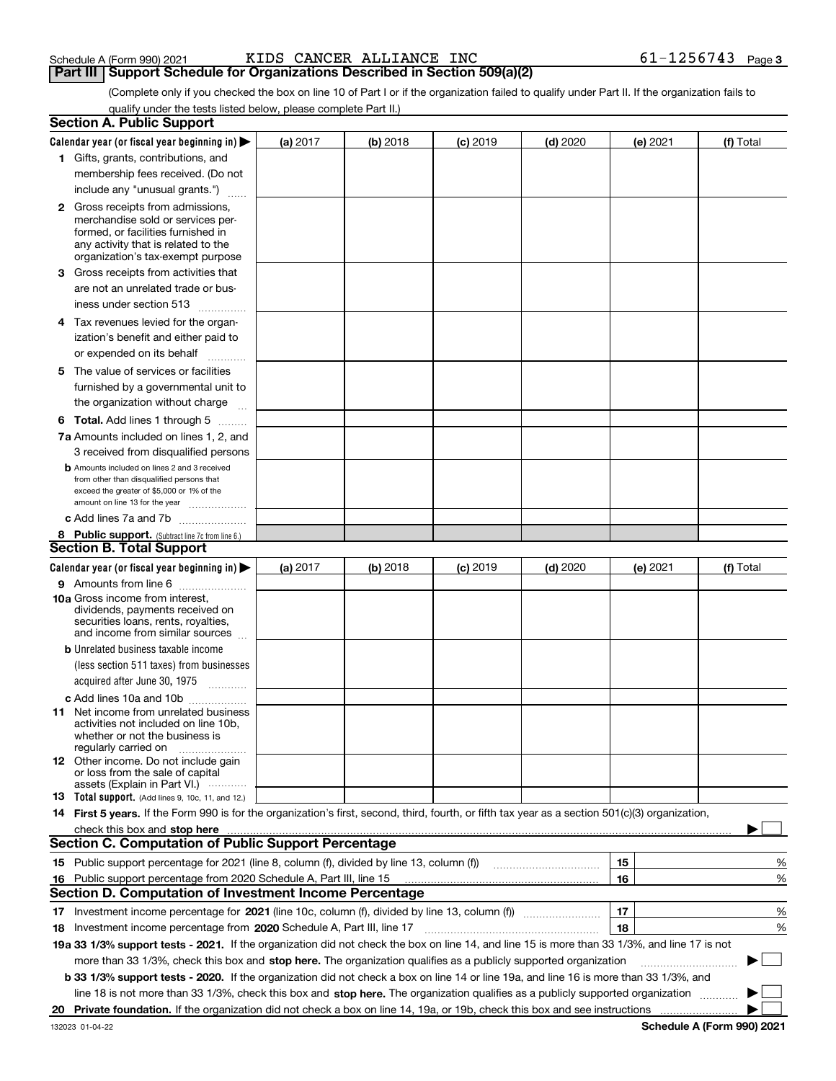### Schedule A (Form 990) 2021  $\qquad \qquad \text{KIDS}\quad \text{CANCE}\quad \text{ALIANCE}\quad \text{INC} \qquad \qquad \qquad \text{61--1256743} \quad \text{Page}$

(Complete only if you checked the box on line 10 of Part I or if the organization failed to qualify under Part II. If the organization fails to qualify under the tests listed below, please complete Part II.) **Part III Support Schedule for Organizations Described in Section 509(a)(2)** 

|    | <b>Section A. Public Support</b>                                                                                                                 |            |          |            |            |    |          |           |        |
|----|--------------------------------------------------------------------------------------------------------------------------------------------------|------------|----------|------------|------------|----|----------|-----------|--------|
|    | Calendar year (or fiscal year beginning in) $\blacktriangleright$                                                                                | (a) 2017   | (b) 2018 | $(c)$ 2019 | $(d)$ 2020 |    | (e) 2021 | (f) Total |        |
|    | 1 Gifts, grants, contributions, and                                                                                                              |            |          |            |            |    |          |           |        |
|    | membership fees received. (Do not                                                                                                                |            |          |            |            |    |          |           |        |
|    | include any "unusual grants.")                                                                                                                   |            |          |            |            |    |          |           |        |
|    | <b>2</b> Gross receipts from admissions,                                                                                                         |            |          |            |            |    |          |           |        |
|    | merchandise sold or services per-                                                                                                                |            |          |            |            |    |          |           |        |
|    | formed, or facilities furnished in                                                                                                               |            |          |            |            |    |          |           |        |
|    | any activity that is related to the<br>organization's tax-exempt purpose                                                                         |            |          |            |            |    |          |           |        |
|    | 3 Gross receipts from activities that                                                                                                            |            |          |            |            |    |          |           |        |
|    | are not an unrelated trade or bus-                                                                                                               |            |          |            |            |    |          |           |        |
|    | iness under section 513                                                                                                                          |            |          |            |            |    |          |           |        |
|    | 4 Tax revenues levied for the organ-                                                                                                             |            |          |            |            |    |          |           |        |
|    | ization's benefit and either paid to                                                                                                             |            |          |            |            |    |          |           |        |
|    | or expended on its behalf                                                                                                                        |            |          |            |            |    |          |           |        |
|    | .<br>5 The value of services or facilities                                                                                                       |            |          |            |            |    |          |           |        |
|    | furnished by a governmental unit to                                                                                                              |            |          |            |            |    |          |           |        |
|    | the organization without charge                                                                                                                  |            |          |            |            |    |          |           |        |
|    |                                                                                                                                                  |            |          |            |            |    |          |           |        |
|    | <b>6 Total.</b> Add lines 1 through 5                                                                                                            |            |          |            |            |    |          |           |        |
|    | 7a Amounts included on lines 1, 2, and                                                                                                           |            |          |            |            |    |          |           |        |
|    | 3 received from disqualified persons                                                                                                             |            |          |            |            |    |          |           |        |
|    | <b>b</b> Amounts included on lines 2 and 3 received<br>from other than disqualified persons that                                                 |            |          |            |            |    |          |           |        |
|    | exceed the greater of \$5,000 or 1% of the                                                                                                       |            |          |            |            |    |          |           |        |
|    | amount on line 13 for the year                                                                                                                   |            |          |            |            |    |          |           |        |
|    | c Add lines 7a and 7b                                                                                                                            |            |          |            |            |    |          |           |        |
|    | 8 Public support. (Subtract line 7c from line 6.)                                                                                                |            |          |            |            |    |          |           |        |
|    | <b>Section B. Total Support</b>                                                                                                                  |            |          |            |            |    |          |           |        |
|    | Calendar year (or fiscal year beginning in)                                                                                                      | (a) $2017$ | (b) 2018 | $(c)$ 2019 | $(d)$ 2020 |    | (e) 2021 | (f) Total |        |
|    | 9 Amounts from line 6                                                                                                                            |            |          |            |            |    |          |           |        |
|    | <b>10a</b> Gross income from interest,<br>dividends, payments received on                                                                        |            |          |            |            |    |          |           |        |
|    | securities loans, rents, royalties,                                                                                                              |            |          |            |            |    |          |           |        |
|    | and income from similar sources                                                                                                                  |            |          |            |            |    |          |           |        |
|    | <b>b</b> Unrelated business taxable income                                                                                                       |            |          |            |            |    |          |           |        |
|    | (less section 511 taxes) from businesses                                                                                                         |            |          |            |            |    |          |           |        |
|    | acquired after June 30, 1975 [10001]                                                                                                             |            |          |            |            |    |          |           |        |
|    | c Add lines 10a and 10b                                                                                                                          |            |          |            |            |    |          |           |        |
|    | 11 Net income from unrelated business                                                                                                            |            |          |            |            |    |          |           |        |
|    | activities not included on line 10b,<br>whether or not the business is                                                                           |            |          |            |            |    |          |           |        |
|    | regularly carried on                                                                                                                             |            |          |            |            |    |          |           |        |
|    | <b>12</b> Other income. Do not include gain                                                                                                      |            |          |            |            |    |          |           |        |
|    | or loss from the sale of capital<br>assets (Explain in Part VI.)                                                                                 |            |          |            |            |    |          |           |        |
|    | <b>13</b> Total support. (Add lines 9, 10c, 11, and 12.)                                                                                         |            |          |            |            |    |          |           |        |
|    | 14 First 5 years. If the Form 990 is for the organization's first, second, third, fourth, or fifth tax year as a section 501(c)(3) organization, |            |          |            |            |    |          |           |        |
|    | check this box and stop here measurements are constructed as the state of the state of the state of the state o                                  |            |          |            |            |    |          |           |        |
|    | <b>Section C. Computation of Public Support Percentage</b>                                                                                       |            |          |            |            |    |          |           |        |
|    | 15 Public support percentage for 2021 (line 8, column (f), divided by line 13, column (f))                                                       |            |          |            |            | 15 |          |           | %      |
|    | 16 Public support percentage from 2020 Schedule A, Part III, line 15                                                                             |            |          |            |            | 16 |          |           | %      |
|    | <b>Section D. Computation of Investment Income Percentage</b>                                                                                    |            |          |            |            |    |          |           |        |
|    | 17 Investment income percentage for 2021 (line 10c, column (f), divided by line 13, column (f))                                                  |            |          |            |            | 17 |          |           | %      |
|    | <b>18</b> Investment income percentage from <b>2020</b> Schedule A, Part III, line 17                                                            |            |          |            |            | 18 |          |           | %      |
|    | 19a 33 1/3% support tests - 2021. If the organization did not check the box on line 14, and line 15 is more than 33 1/3%, and line 17 is not     |            |          |            |            |    |          |           |        |
|    | more than 33 1/3%, check this box and stop here. The organization qualifies as a publicly supported organization                                 |            |          |            |            |    |          | ▶         | $\sim$ |
|    | b 33 1/3% support tests - 2020. If the organization did not check a box on line 14 or line 19a, and line 16 is more than 33 1/3%, and            |            |          |            |            |    |          |           |        |
|    | line 18 is not more than 33 1/3%, check this box and stop here. The organization qualifies as a publicly supported organization                  |            |          |            |            |    |          |           |        |
| 20 |                                                                                                                                                  |            |          |            |            |    |          |           |        |
|    |                                                                                                                                                  |            |          |            |            |    |          |           |        |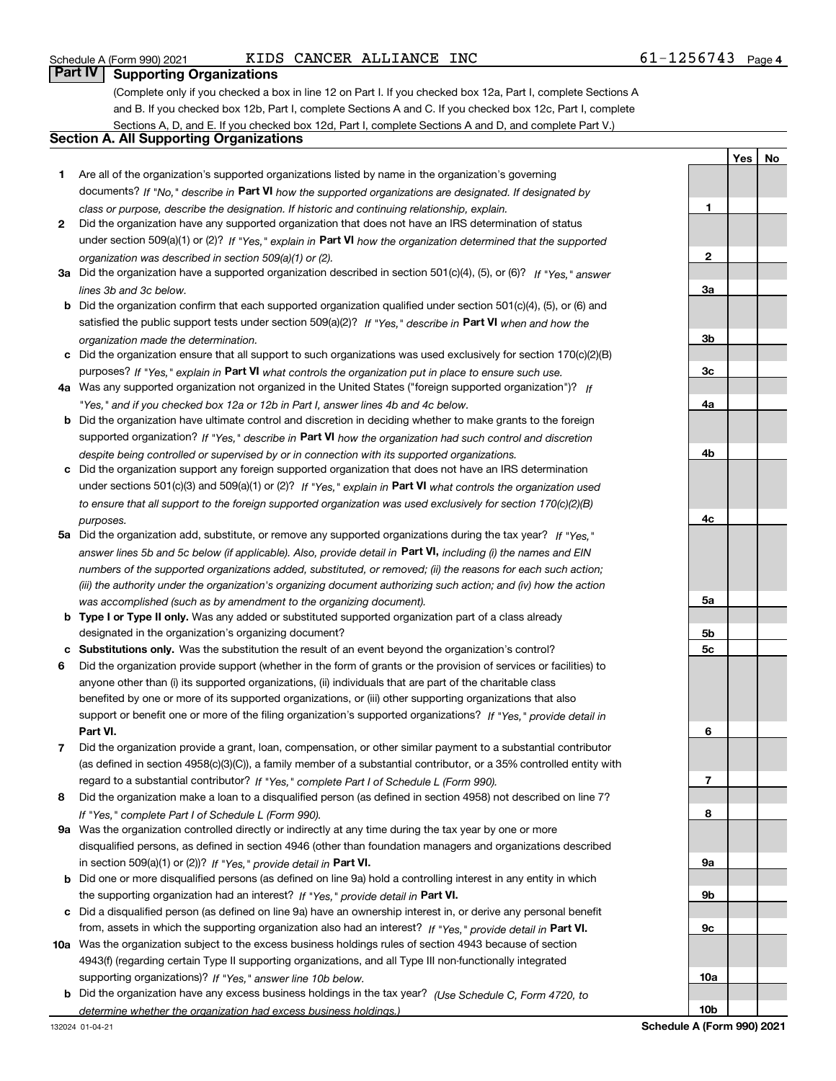#### Schedule A (Form 990) 2021  $\qquad \qquad \text{KIDS}\quad \text{CANCE}\quad \text{ALIANCE}\quad \text{INC} \qquad \qquad \qquad \text{61--1256743} \quad \text{Page}$

**YesNo**

#### **Part IV Supporting Organizations**

(Complete only if you checked a box in line 12 on Part I. If you checked box 12a, Part I, complete Sections A and B. If you checked box 12b, Part I, complete Sections A and C. If you checked box 12c, Part I, complete Sections A, D, and E. If you checked box 12d, Part I, complete Sections A and D, and complete Part V.)

### **Section A. All Supporting Organizations**

- **1** Are all of the organization's supported organizations listed by name in the organization's governing documents? If "No," describe in **Part VI** how the supported organizations are designated. If designated by *class or purpose, describe the designation. If historic and continuing relationship, explain.*
- **2** Did the organization have any supported organization that does not have an IRS determination of status under section 509(a)(1) or (2)? If "Yes," explain in Part VI how the organization determined that the supported *organization was described in section 509(a)(1) or (2).*
- **3a** Did the organization have a supported organization described in section 501(c)(4), (5), or (6)? If "Yes," answer *lines 3b and 3c below.*
- **b** Did the organization confirm that each supported organization qualified under section 501(c)(4), (5), or (6) and satisfied the public support tests under section 509(a)(2)? If "Yes," describe in **Part VI** when and how the *organization made the determination.*
- **c**Did the organization ensure that all support to such organizations was used exclusively for section 170(c)(2)(B) purposes? If "Yes," explain in **Part VI** what controls the organization put in place to ensure such use.
- **4a***If* Was any supported organization not organized in the United States ("foreign supported organization")? *"Yes," and if you checked box 12a or 12b in Part I, answer lines 4b and 4c below.*
- **b** Did the organization have ultimate control and discretion in deciding whether to make grants to the foreign supported organization? If "Yes," describe in **Part VI** how the organization had such control and discretion *despite being controlled or supervised by or in connection with its supported organizations.*
- **c** Did the organization support any foreign supported organization that does not have an IRS determination under sections 501(c)(3) and 509(a)(1) or (2)? If "Yes," explain in **Part VI** what controls the organization used *to ensure that all support to the foreign supported organization was used exclusively for section 170(c)(2)(B) purposes.*
- **5a***If "Yes,"* Did the organization add, substitute, or remove any supported organizations during the tax year? answer lines 5b and 5c below (if applicable). Also, provide detail in **Part VI,** including (i) the names and EIN *numbers of the supported organizations added, substituted, or removed; (ii) the reasons for each such action; (iii) the authority under the organization's organizing document authorizing such action; and (iv) how the action was accomplished (such as by amendment to the organizing document).*
- **b** Type I or Type II only. Was any added or substituted supported organization part of a class already designated in the organization's organizing document?
- **cSubstitutions only.**  Was the substitution the result of an event beyond the organization's control?
- **6** Did the organization provide support (whether in the form of grants or the provision of services or facilities) to **Part VI.** *If "Yes," provide detail in* support or benefit one or more of the filing organization's supported organizations? anyone other than (i) its supported organizations, (ii) individuals that are part of the charitable class benefited by one or more of its supported organizations, or (iii) other supporting organizations that also
- **7**Did the organization provide a grant, loan, compensation, or other similar payment to a substantial contributor *If "Yes," complete Part I of Schedule L (Form 990).* regard to a substantial contributor? (as defined in section 4958(c)(3)(C)), a family member of a substantial contributor, or a 35% controlled entity with
- **8** Did the organization make a loan to a disqualified person (as defined in section 4958) not described on line 7? *If "Yes," complete Part I of Schedule L (Form 990).*
- **9a** Was the organization controlled directly or indirectly at any time during the tax year by one or more in section 509(a)(1) or (2))? If "Yes," *provide detail in* <code>Part VI.</code> disqualified persons, as defined in section 4946 (other than foundation managers and organizations described
- **b** Did one or more disqualified persons (as defined on line 9a) hold a controlling interest in any entity in which the supporting organization had an interest? If "Yes," provide detail in P**art VI**.
- **c**Did a disqualified person (as defined on line 9a) have an ownership interest in, or derive any personal benefit from, assets in which the supporting organization also had an interest? If "Yes," provide detail in P**art VI.**
- **10a** Was the organization subject to the excess business holdings rules of section 4943 because of section supporting organizations)? If "Yes," answer line 10b below. 4943(f) (regarding certain Type II supporting organizations, and all Type III non-functionally integrated
- **b** Did the organization have any excess business holdings in the tax year? (Use Schedule C, Form 4720, to *determine whether the organization had excess business holdings.)*

**123a3b3c4a4b4c5a5b5c6789a 9b9c10a**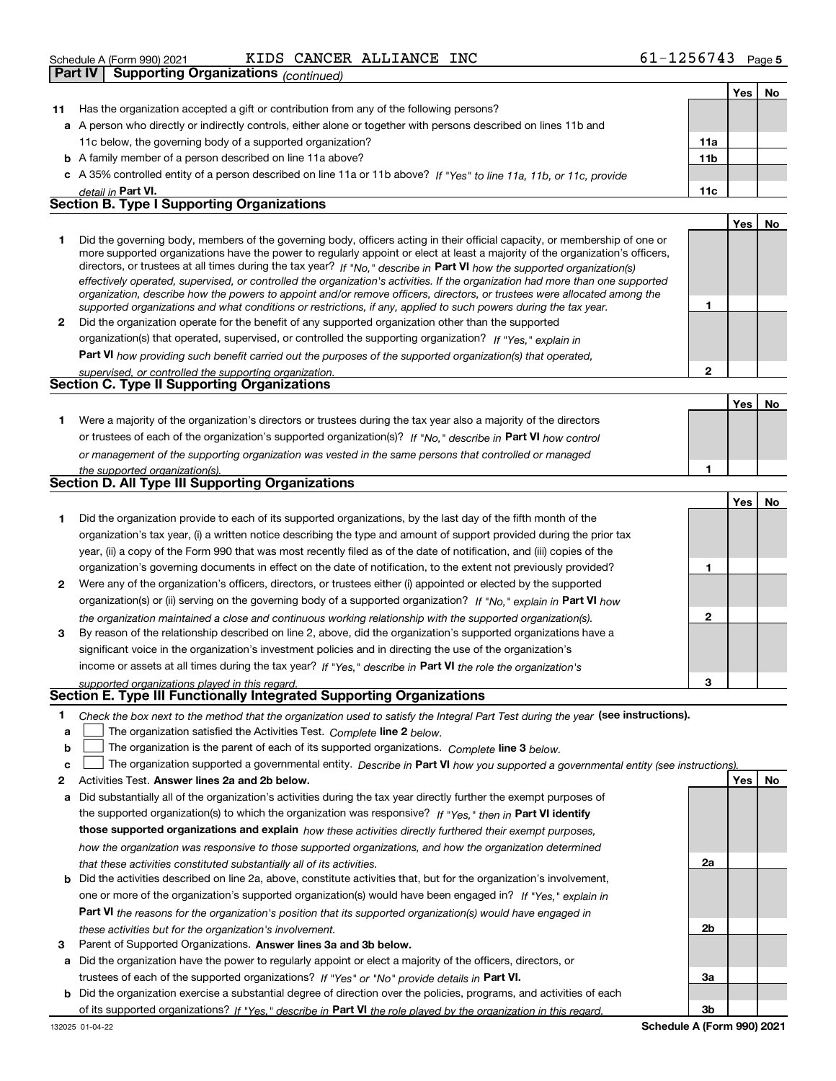|  | Schedule A (Form 990) 2021 |  |  | KIDS CANCER ALLIANCE INC |  | $61 - 1256743$ Page 5 |  |
|--|----------------------------|--|--|--------------------------|--|-----------------------|--|
|--|----------------------------|--|--|--------------------------|--|-----------------------|--|

|              | Part IV | <b>Supporting Organizations (continued)</b>                                                                                                                                                                                                                                                                                                                                                                                                                                                                                                                                                                                                          |                 |     |     |
|--------------|---------|------------------------------------------------------------------------------------------------------------------------------------------------------------------------------------------------------------------------------------------------------------------------------------------------------------------------------------------------------------------------------------------------------------------------------------------------------------------------------------------------------------------------------------------------------------------------------------------------------------------------------------------------------|-----------------|-----|-----|
|              |         |                                                                                                                                                                                                                                                                                                                                                                                                                                                                                                                                                                                                                                                      |                 | Yes | No. |
| 11           |         | Has the organization accepted a gift or contribution from any of the following persons?                                                                                                                                                                                                                                                                                                                                                                                                                                                                                                                                                              |                 |     |     |
|              |         | a A person who directly or indirectly controls, either alone or together with persons described on lines 11b and                                                                                                                                                                                                                                                                                                                                                                                                                                                                                                                                     |                 |     |     |
|              |         | 11c below, the governing body of a supported organization?                                                                                                                                                                                                                                                                                                                                                                                                                                                                                                                                                                                           | 11a             |     |     |
|              |         | <b>b</b> A family member of a person described on line 11a above?                                                                                                                                                                                                                                                                                                                                                                                                                                                                                                                                                                                    | 11 <sub>b</sub> |     |     |
|              |         | c A 35% controlled entity of a person described on line 11a or 11b above? If "Yes" to line 11a, 11b, or 11c, provide                                                                                                                                                                                                                                                                                                                                                                                                                                                                                                                                 |                 |     |     |
|              |         | detail in Part VI.                                                                                                                                                                                                                                                                                                                                                                                                                                                                                                                                                                                                                                   | 11c             |     |     |
|              |         | Section B. Type I Supporting Organizations                                                                                                                                                                                                                                                                                                                                                                                                                                                                                                                                                                                                           |                 |     |     |
|              |         |                                                                                                                                                                                                                                                                                                                                                                                                                                                                                                                                                                                                                                                      |                 | Yes | No. |
| 1            |         | Did the governing body, members of the governing body, officers acting in their official capacity, or membership of one or<br>more supported organizations have the power to regularly appoint or elect at least a majority of the organization's officers,<br>directors, or trustees at all times during the tax year? If "No," describe in Part VI how the supported organization(s)<br>effectively operated, supervised, or controlled the organization's activities. If the organization had more than one supported<br>organization, describe how the powers to appoint and/or remove officers, directors, or trustees were allocated among the |                 |     |     |
|              |         | supported organizations and what conditions or restrictions, if any, applied to such powers during the tax year.                                                                                                                                                                                                                                                                                                                                                                                                                                                                                                                                     | 1               |     |     |
| $\mathbf{2}$ |         | Did the organization operate for the benefit of any supported organization other than the supported                                                                                                                                                                                                                                                                                                                                                                                                                                                                                                                                                  |                 |     |     |
|              |         | organization(s) that operated, supervised, or controlled the supporting organization? If "Yes," explain in                                                                                                                                                                                                                                                                                                                                                                                                                                                                                                                                           |                 |     |     |
|              |         | <b>Part VI</b> how providing such benefit carried out the purposes of the supported organization(s) that operated,                                                                                                                                                                                                                                                                                                                                                                                                                                                                                                                                   |                 |     |     |
|              |         | supervised, or controlled the supporting organization.                                                                                                                                                                                                                                                                                                                                                                                                                                                                                                                                                                                               | $\mathbf{2}$    |     |     |
|              |         | <b>Section C. Type II Supporting Organizations</b>                                                                                                                                                                                                                                                                                                                                                                                                                                                                                                                                                                                                   |                 |     |     |
|              |         |                                                                                                                                                                                                                                                                                                                                                                                                                                                                                                                                                                                                                                                      |                 | Yes | No  |
| 1.           |         | Were a majority of the organization's directors or trustees during the tax year also a majority of the directors                                                                                                                                                                                                                                                                                                                                                                                                                                                                                                                                     |                 |     |     |
|              |         | or trustees of each of the organization's supported organization(s)? If "No," describe in Part VI how control                                                                                                                                                                                                                                                                                                                                                                                                                                                                                                                                        |                 |     |     |
|              |         | or management of the supporting organization was vested in the same persons that controlled or managed                                                                                                                                                                                                                                                                                                                                                                                                                                                                                                                                               |                 |     |     |
|              |         | the supported organization(s).                                                                                                                                                                                                                                                                                                                                                                                                                                                                                                                                                                                                                       | 1               |     |     |
|              |         | Section D. All Type III Supporting Organizations                                                                                                                                                                                                                                                                                                                                                                                                                                                                                                                                                                                                     |                 |     |     |
|              |         |                                                                                                                                                                                                                                                                                                                                                                                                                                                                                                                                                                                                                                                      |                 | Yes | No  |
| 1            |         | Did the organization provide to each of its supported organizations, by the last day of the fifth month of the                                                                                                                                                                                                                                                                                                                                                                                                                                                                                                                                       |                 |     |     |
|              |         | organization's tax year, (i) a written notice describing the type and amount of support provided during the prior tax                                                                                                                                                                                                                                                                                                                                                                                                                                                                                                                                |                 |     |     |
|              |         | year, (ii) a copy of the Form 990 that was most recently filed as of the date of notification, and (iii) copies of the                                                                                                                                                                                                                                                                                                                                                                                                                                                                                                                               |                 |     |     |
|              |         | organization's governing documents in effect on the date of notification, to the extent not previously provided?                                                                                                                                                                                                                                                                                                                                                                                                                                                                                                                                     | 1               |     |     |
| 2            |         | Were any of the organization's officers, directors, or trustees either (i) appointed or elected by the supported                                                                                                                                                                                                                                                                                                                                                                                                                                                                                                                                     |                 |     |     |
|              |         | organization(s) or (ii) serving on the governing body of a supported organization? If "No," explain in Part VI how                                                                                                                                                                                                                                                                                                                                                                                                                                                                                                                                   |                 |     |     |
|              |         | the organization maintained a close and continuous working relationship with the supported organization(s).                                                                                                                                                                                                                                                                                                                                                                                                                                                                                                                                          | $\mathbf{2}$    |     |     |
| 3            |         | By reason of the relationship described on line 2, above, did the organization's supported organizations have a                                                                                                                                                                                                                                                                                                                                                                                                                                                                                                                                      |                 |     |     |
|              |         | significant voice in the organization's investment policies and in directing the use of the organization's                                                                                                                                                                                                                                                                                                                                                                                                                                                                                                                                           |                 |     |     |
|              |         | income or assets at all times during the tax year? If "Yes," describe in Part VI the role the organization's                                                                                                                                                                                                                                                                                                                                                                                                                                                                                                                                         |                 |     |     |
|              |         | supported organizations played in this regard.<br>Section E. Type III Functionally Integrated Supporting Organizations                                                                                                                                                                                                                                                                                                                                                                                                                                                                                                                               | 3               |     |     |

|  | Check the box next to the method that the organization used to satisfy the Integral Part Test during the year (see instructions). |  |  |
|--|-----------------------------------------------------------------------------------------------------------------------------------|--|--|
|--|-----------------------------------------------------------------------------------------------------------------------------------|--|--|

- **alinupy** The organization satisfied the Activities Test. Complete line 2 below.
- **b**The organization is the parent of each of its supported organizations. *Complete* line 3 *below.*  $\mathcal{L}^{\text{max}}$

|  |  |  | The organization supported a governmental entity. Describe in Part VI how you supported a governmental entity (see instructions). |  |
|--|--|--|-----------------------------------------------------------------------------------------------------------------------------------|--|
|--|--|--|-----------------------------------------------------------------------------------------------------------------------------------|--|

- **2Answer lines 2a and 2b below. Yes No** Activities Test.
- **a** Did substantially all of the organization's activities during the tax year directly further the exempt purposes of the supported organization(s) to which the organization was responsive? If "Yes," then in **Part VI identify those supported organizations and explain**  *how these activities directly furthered their exempt purposes, how the organization was responsive to those supported organizations, and how the organization determined that these activities constituted substantially all of its activities.*
- **b** Did the activities described on line 2a, above, constitute activities that, but for the organization's involvement, **Part VI**  *the reasons for the organization's position that its supported organization(s) would have engaged in* one or more of the organization's supported organization(s) would have been engaged in? If "Yes," e*xplain in these activities but for the organization's involvement.*
- **3** Parent of Supported Organizations. Answer lines 3a and 3b below.
- **a** Did the organization have the power to regularly appoint or elect a majority of the officers, directors, or trustees of each of the supported organizations? If "Yes" or "No" provide details in **Part VI.**
- **b** Did the organization exercise a substantial degree of direction over the policies, programs, and activities of each of its supported organizations? If "Yes," describe in Part VI the role played by the organization in this regard.

**2a**

**2b**

**3a**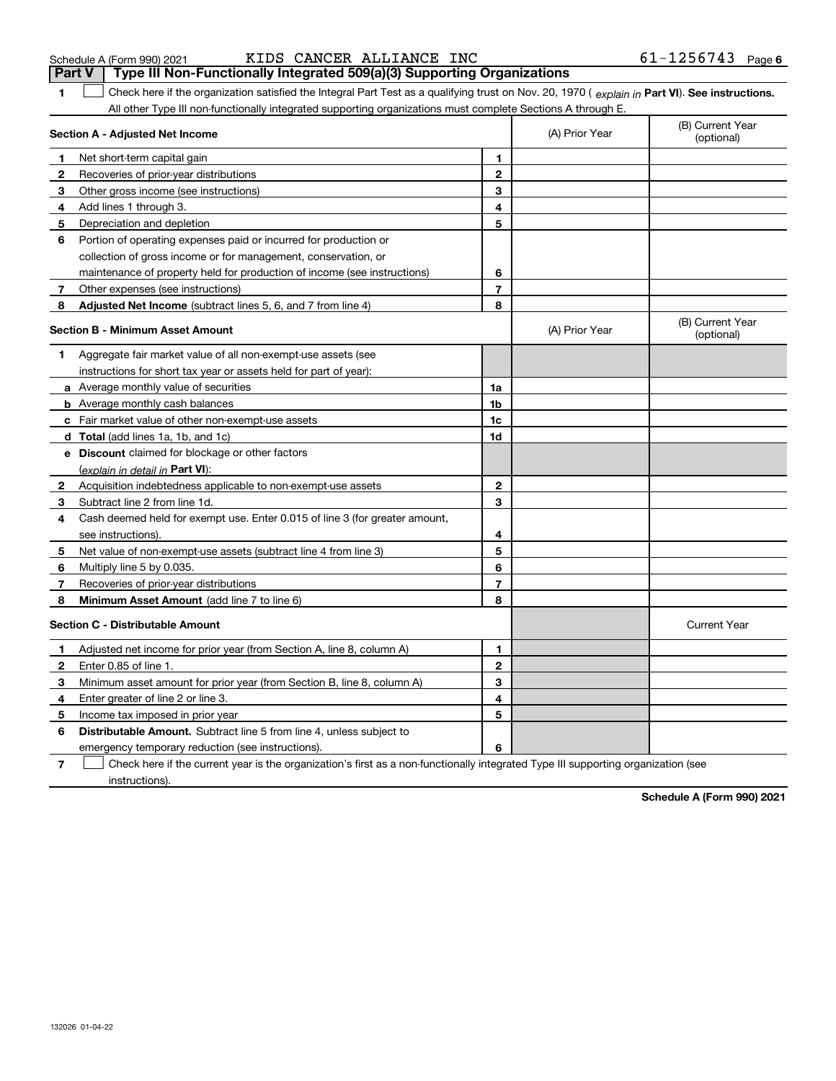|              | KIDS CANCER ALLIANCE INC<br>Schedule A (Form 990) 2021                                                                                         |                |                | $61 - 1256743$ Page 6          |
|--------------|------------------------------------------------------------------------------------------------------------------------------------------------|----------------|----------------|--------------------------------|
|              | Type III Non-Functionally Integrated 509(a)(3) Supporting Organizations<br>Part V                                                              |                |                |                                |
| 1            | Check here if the organization satisfied the Integral Part Test as a qualifying trust on Nov. 20, 1970 (explain in Part VI). See instructions. |                |                |                                |
|              | All other Type III non-functionally integrated supporting organizations must complete Sections A through E.                                    |                |                |                                |
|              | Section A - Adjusted Net Income                                                                                                                |                | (A) Prior Year | (B) Current Year<br>(optional) |
| 1            | Net short-term capital gain                                                                                                                    | 1.             |                |                                |
| 2            | Recoveries of prior-year distributions                                                                                                         | $\mathbf{2}$   |                |                                |
| 3            | Other gross income (see instructions)                                                                                                          | 3              |                |                                |
| 4            | Add lines 1 through 3.                                                                                                                         | 4              |                |                                |
| 5            | Depreciation and depletion                                                                                                                     | 5              |                |                                |
| 6            | Portion of operating expenses paid or incurred for production or                                                                               |                |                |                                |
|              | collection of gross income or for management, conservation, or                                                                                 |                |                |                                |
|              | maintenance of property held for production of income (see instructions)                                                                       | 6              |                |                                |
| $\mathbf{7}$ | Other expenses (see instructions)                                                                                                              | 7              |                |                                |
| 8            | Adjusted Net Income (subtract lines 5, 6, and 7 from line 4)                                                                                   | 8              |                |                                |
|              | <b>Section B - Minimum Asset Amount</b>                                                                                                        |                | (A) Prior Year | (B) Current Year<br>(optional) |
| $\mathbf 1$  | Aggregate fair market value of all non-exempt-use assets (see                                                                                  |                |                |                                |
|              | instructions for short tax year or assets held for part of year):                                                                              |                |                |                                |
|              | a Average monthly value of securities                                                                                                          | 1a             |                |                                |
|              | <b>b</b> Average monthly cash balances                                                                                                         | 1 <sub>b</sub> |                |                                |
|              | c Fair market value of other non-exempt-use assets                                                                                             | 1c             |                |                                |
|              | d Total (add lines 1a, 1b, and 1c)                                                                                                             | 1d             |                |                                |
|              | e Discount claimed for blockage or other factors                                                                                               |                |                |                                |
|              | (explain in detail in Part VI):                                                                                                                |                |                |                                |
| $\mathbf{2}$ | Acquisition indebtedness applicable to non-exempt-use assets                                                                                   | $\mathbf{2}$   |                |                                |
| 3            | Subtract line 2 from line 1d.                                                                                                                  | 3              |                |                                |
| 4            | Cash deemed held for exempt use. Enter 0.015 of line 3 (for greater amount,                                                                    |                |                |                                |
|              | see instructions).                                                                                                                             | 4              |                |                                |
| 5            | Net value of non-exempt-use assets (subtract line 4 from line 3)                                                                               | 5              |                |                                |

|   | <b>Section C - Distributable Amount</b>                                                                                           |    | <b>Current Year</b> |  |  |  |
|---|-----------------------------------------------------------------------------------------------------------------------------------|----|---------------------|--|--|--|
|   | Adjusted net income for prior year (from Section A, line 8, column A)                                                             |    |                     |  |  |  |
|   | Enter $0.85$ of line 1.                                                                                                           |    |                     |  |  |  |
| з | Minimum asset amount for prior year (from Section B, line 8, column A)                                                            | c. |                     |  |  |  |
| 4 | Enter greater of line 2 or line 3.                                                                                                | 4  |                     |  |  |  |
| 5 | Income tax imposed in prior year                                                                                                  | 5  |                     |  |  |  |
| 6 | <b>Distributable Amount.</b> Subtract line 5 from line 4, unless subject to                                                       |    |                     |  |  |  |
|   | emergency temporary reduction (see instructions).                                                                                 | 6  |                     |  |  |  |
|   | Check here if the current year is the organization's first as a non-functionally integrated Type III supporting organization (see |    |                     |  |  |  |

**6 78**

instructions).

**6** Multiply line 5 by 0.035.

**Minimum Asset Amount**  (add line 7 to line 6)

Recoveries of prior-year distributions

**78**

**Schedule A (Form 990) 2021**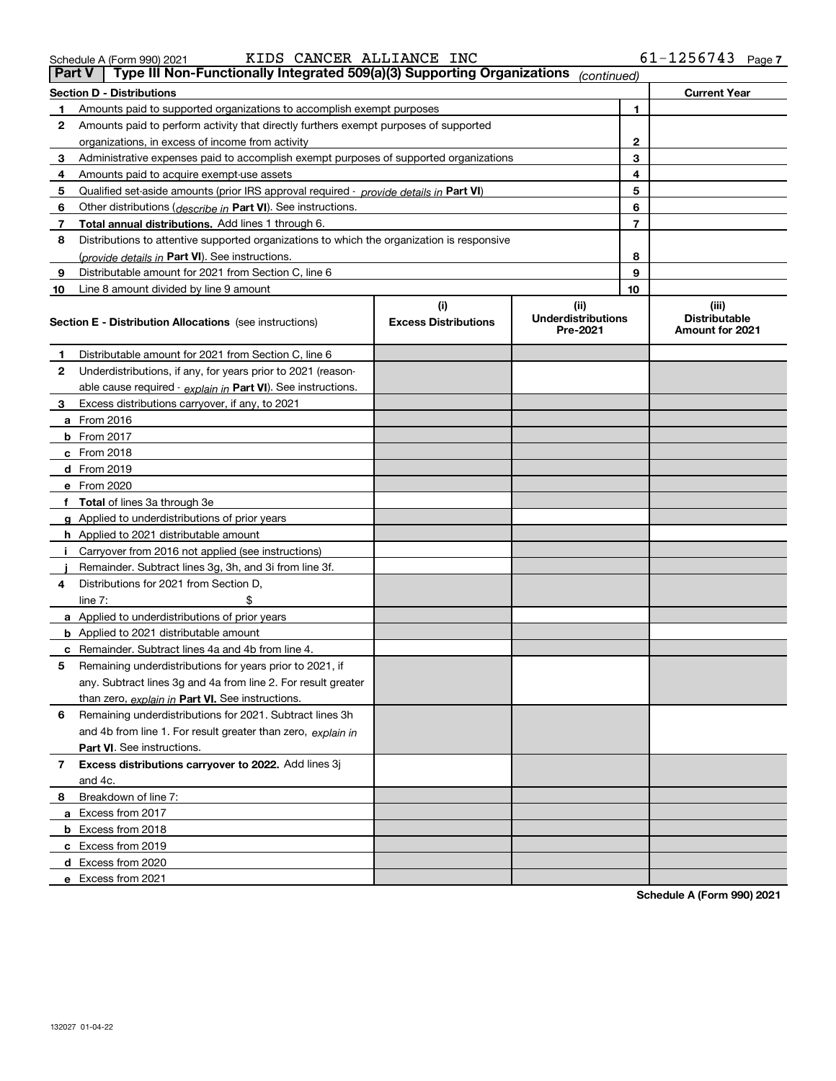|               | Schedule A (Form 990) 2021 |                     |
|---------------|----------------------------|---------------------|
| <b>Part V</b> |                            | Type III Non-Functi |

| Schedule A (Form 990) 2021 |  | KIDS CANCER ALLIANCE INC | 1256743 | Page |
|----------------------------|--|--------------------------|---------|------|
|                            |  |                          |         |      |

| <b>Part V</b> | Type III Non-Functionally Integrated 509(a)(3) Supporting Organizations                    |                             | (continued)                           |    |                                                |
|---------------|--------------------------------------------------------------------------------------------|-----------------------------|---------------------------------------|----|------------------------------------------------|
|               | <b>Section D - Distributions</b>                                                           |                             |                                       |    | <b>Current Year</b>                            |
| 1             | Amounts paid to supported organizations to accomplish exempt purposes                      |                             |                                       | 1  |                                                |
| 2             | Amounts paid to perform activity that directly furthers exempt purposes of supported       |                             |                                       |    |                                                |
|               | organizations, in excess of income from activity                                           |                             | $\mathbf{2}$                          |    |                                                |
| 3             | Administrative expenses paid to accomplish exempt purposes of supported organizations      |                             |                                       | 3  |                                                |
| 4             | Amounts paid to acquire exempt-use assets                                                  |                             |                                       | 4  |                                                |
| 5             | Qualified set-aside amounts (prior IRS approval required - provide details in Part VI)     |                             |                                       | 5  |                                                |
| 6             | Other distributions ( <i>describe in</i> Part VI). See instructions.                       |                             |                                       | 6  |                                                |
| 7             | Total annual distributions. Add lines 1 through 6.                                         |                             |                                       | 7  |                                                |
| 8             | Distributions to attentive supported organizations to which the organization is responsive |                             |                                       |    |                                                |
|               | (provide details in Part VI). See instructions.                                            |                             |                                       | 8  |                                                |
| 9             | Distributable amount for 2021 from Section C, line 6                                       |                             |                                       | 9  |                                                |
| 10            | Line 8 amount divided by line 9 amount                                                     |                             |                                       | 10 |                                                |
|               |                                                                                            | (i)                         | (ii)                                  |    | (iii)                                          |
|               | <b>Section E - Distribution Allocations</b> (see instructions)                             | <b>Excess Distributions</b> | <b>Underdistributions</b><br>Pre-2021 |    | <b>Distributable</b><br><b>Amount for 2021</b> |
| 1             | Distributable amount for 2021 from Section C, line 6                                       |                             |                                       |    |                                                |
| 2             | Underdistributions, if any, for years prior to 2021 (reason-                               |                             |                                       |    |                                                |
|               | able cause required - explain in Part VI). See instructions.                               |                             |                                       |    |                                                |
| 3             | Excess distributions carryover, if any, to 2021                                            |                             |                                       |    |                                                |
|               | a From 2016                                                                                |                             |                                       |    |                                                |
|               | <b>b</b> From 2017                                                                         |                             |                                       |    |                                                |
|               | $c$ From 2018                                                                              |                             |                                       |    |                                                |
|               | d From 2019                                                                                |                             |                                       |    |                                                |
|               | e From 2020                                                                                |                             |                                       |    |                                                |
|               | f Total of lines 3a through 3e                                                             |                             |                                       |    |                                                |
|               | g Applied to underdistributions of prior years                                             |                             |                                       |    |                                                |
|               | <b>h</b> Applied to 2021 distributable amount                                              |                             |                                       |    |                                                |
|               | Carryover from 2016 not applied (see instructions)                                         |                             |                                       |    |                                                |
|               | Remainder. Subtract lines 3g, 3h, and 3i from line 3f.                                     |                             |                                       |    |                                                |
| 4             | Distributions for 2021 from Section D,                                                     |                             |                                       |    |                                                |
|               | line $7:$                                                                                  |                             |                                       |    |                                                |
|               | a Applied to underdistributions of prior years                                             |                             |                                       |    |                                                |
|               | <b>b</b> Applied to 2021 distributable amount                                              |                             |                                       |    |                                                |
|               | c Remainder. Subtract lines 4a and 4b from line 4.                                         |                             |                                       |    |                                                |
| 5.            | Remaining underdistributions for years prior to 2021, if                                   |                             |                                       |    |                                                |
|               | any. Subtract lines 3g and 4a from line 2. For result greater                              |                             |                                       |    |                                                |
|               | than zero, explain in Part VI. See instructions.                                           |                             |                                       |    |                                                |
| 6             | Remaining underdistributions for 2021. Subtract lines 3h                                   |                             |                                       |    |                                                |
|               | and 4b from line 1. For result greater than zero, explain in                               |                             |                                       |    |                                                |
|               | Part VI. See instructions.                                                                 |                             |                                       |    |                                                |
| 7             | Excess distributions carryover to 2022. Add lines 3j                                       |                             |                                       |    |                                                |
|               | and 4c.                                                                                    |                             |                                       |    |                                                |
| 8             | Breakdown of line 7:                                                                       |                             |                                       |    |                                                |
|               | a Excess from 2017                                                                         |                             |                                       |    |                                                |
|               | <b>b</b> Excess from 2018                                                                  |                             |                                       |    |                                                |
|               | c Excess from 2019                                                                         |                             |                                       |    |                                                |
|               | d Excess from 2020                                                                         |                             |                                       |    |                                                |
|               | e Excess from 2021                                                                         |                             |                                       |    |                                                |

**Schedule A (Form 990) 2021**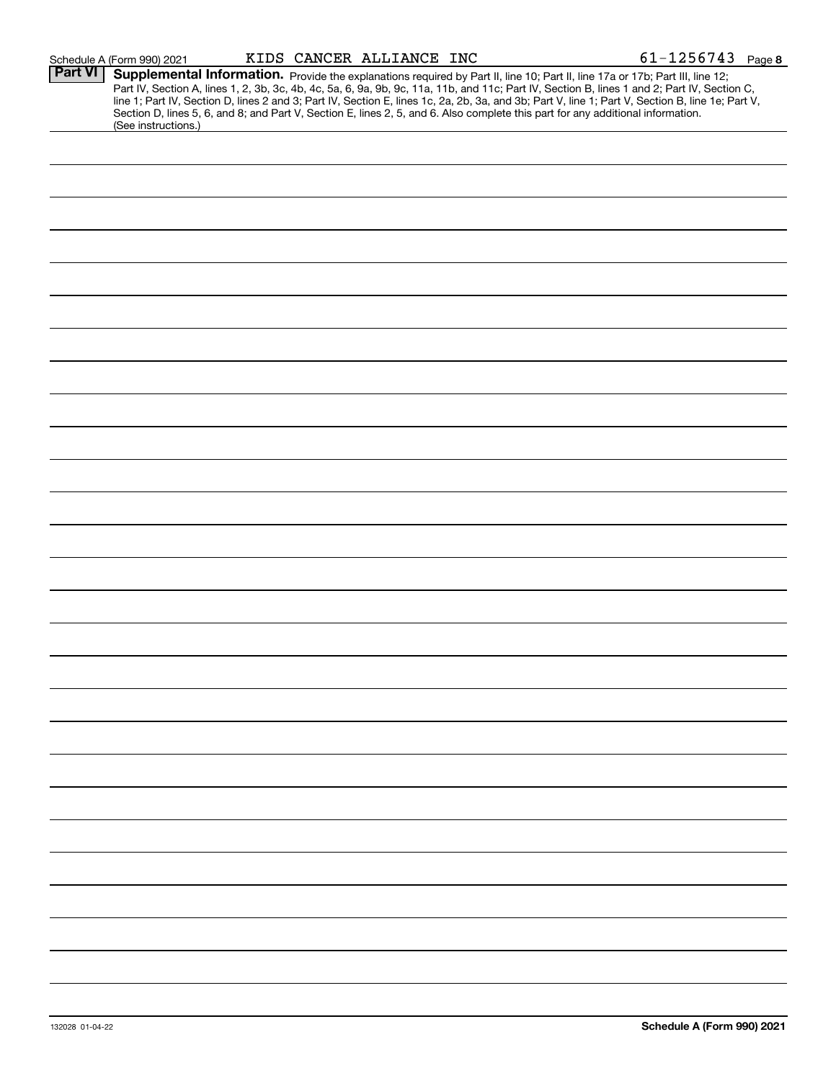| <b>Part VI</b> |                                                                                                                                                  |
|----------------|--------------------------------------------------------------------------------------------------------------------------------------------------|
|                | Supplemental Information. Provide the explanations required by Part II, line 10; Part II, line 17a or 17b; Part III, line 12;                    |
|                | Part IV, Section A, lines 1, 2, 3b, 3c, 4b, 4c, 5a, 6, 9a, 9b, 9c, 11a, 11b, and 11c; Part IV, Section B, lines 1 and 2; Part IV, Section C,     |
|                | line 1; Part IV, Section D, lines 2 and 3; Part IV, Section E, lines 1c, 2a, 2b, 3a, and 3b; Part V, line 1; Part V, Section B, line 1e; Part V, |
|                | Section D, lines 5, 6, and 8; and Part V, Section E, lines 2, 5, and 6. Also complete this part for any additional information.                  |
|                | (See instructions.)                                                                                                                              |
|                |                                                                                                                                                  |
|                |                                                                                                                                                  |
|                |                                                                                                                                                  |
|                |                                                                                                                                                  |
|                |                                                                                                                                                  |
|                |                                                                                                                                                  |
|                |                                                                                                                                                  |
|                |                                                                                                                                                  |
|                |                                                                                                                                                  |
|                |                                                                                                                                                  |
|                |                                                                                                                                                  |
|                |                                                                                                                                                  |
|                |                                                                                                                                                  |
|                |                                                                                                                                                  |
|                |                                                                                                                                                  |
|                |                                                                                                                                                  |
|                |                                                                                                                                                  |
|                |                                                                                                                                                  |
|                |                                                                                                                                                  |
|                |                                                                                                                                                  |
|                |                                                                                                                                                  |
|                |                                                                                                                                                  |
|                |                                                                                                                                                  |
|                |                                                                                                                                                  |
|                |                                                                                                                                                  |
|                |                                                                                                                                                  |
|                |                                                                                                                                                  |
|                |                                                                                                                                                  |
|                |                                                                                                                                                  |
|                |                                                                                                                                                  |
|                |                                                                                                                                                  |
|                |                                                                                                                                                  |
|                |                                                                                                                                                  |
|                |                                                                                                                                                  |
|                |                                                                                                                                                  |
|                |                                                                                                                                                  |
|                |                                                                                                                                                  |
|                |                                                                                                                                                  |
|                |                                                                                                                                                  |
|                |                                                                                                                                                  |
|                |                                                                                                                                                  |
|                |                                                                                                                                                  |
|                |                                                                                                                                                  |
|                |                                                                                                                                                  |
|                |                                                                                                                                                  |
|                |                                                                                                                                                  |
|                |                                                                                                                                                  |
|                |                                                                                                                                                  |
|                |                                                                                                                                                  |
|                |                                                                                                                                                  |
|                |                                                                                                                                                  |
|                |                                                                                                                                                  |
|                |                                                                                                                                                  |
|                |                                                                                                                                                  |
|                |                                                                                                                                                  |
|                |                                                                                                                                                  |
|                |                                                                                                                                                  |
|                |                                                                                                                                                  |
|                |                                                                                                                                                  |
|                |                                                                                                                                                  |
|                |                                                                                                                                                  |
|                |                                                                                                                                                  |
|                |                                                                                                                                                  |
|                |                                                                                                                                                  |
|                |                                                                                                                                                  |
|                |                                                                                                                                                  |
|                |                                                                                                                                                  |
|                |                                                                                                                                                  |
|                |                                                                                                                                                  |
|                |                                                                                                                                                  |
|                |                                                                                                                                                  |
|                |                                                                                                                                                  |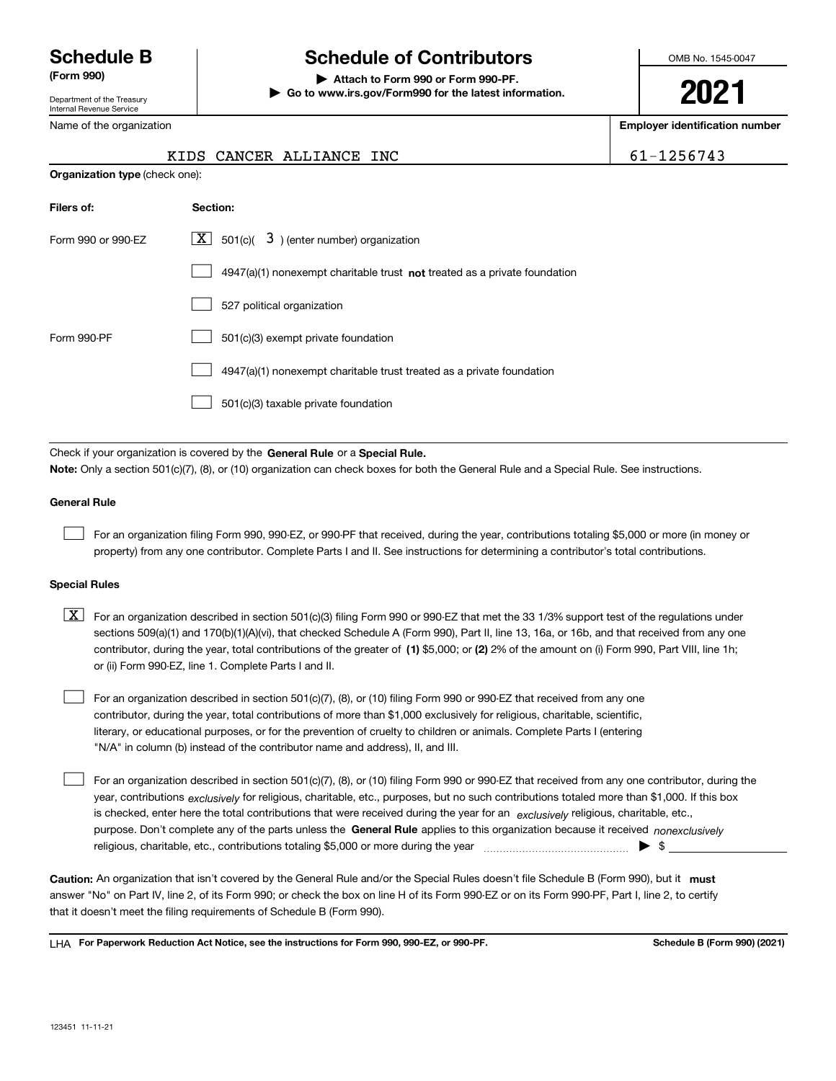Department of the Treasury Internal Revenue Service

Name of the organization

## **Schedule B Schedule of Contributors**

**(Form 990) | Attach to Form 990 or Form 990-PF. | Go to www.irs.gov/Form990 for the latest information.** OMB No. 1545-0047

**2021**

**Employer identification number**

IANCE INC 100 | 61-1256743

|  | KIDS CANCER ALL |  |
|--|-----------------|--|

| <b>Organization type (check one):</b> |                                                                           |
|---------------------------------------|---------------------------------------------------------------------------|
| Filers of:                            | Section:                                                                  |
| Form 990 or 990-EZ                    | $\lfloor \mathbf{X} \rfloor$ 501(c)( 3) (enter number) organization       |
|                                       | 4947(a)(1) nonexempt charitable trust not treated as a private foundation |
|                                       | 527 political organization                                                |
| Form 990-PF                           | 501(c)(3) exempt private foundation                                       |
|                                       | 4947(a)(1) nonexempt charitable trust treated as a private foundation     |
|                                       | 501(c)(3) taxable private foundation                                      |

Check if your organization is covered by the **General Rule** or a **Special Rule. Note:**  Only a section 501(c)(7), (8), or (10) organization can check boxes for both the General Rule and a Special Rule. See instructions.

#### **General Rule**

 $\mathcal{L}^{\text{max}}$ 

For an organization filing Form 990, 990-EZ, or 990-PF that received, during the year, contributions totaling \$5,000 or more (in money or property) from any one contributor. Complete Parts I and II. See instructions for determining a contributor's total contributions.

#### **Special Rules**

contributor, during the year, total contributions of the greater of (1**)** \$5,000; or (2) 2% of the amount on (i) Form 990, Part VIII, line 1h;  $\boxed{\textbf{X}}$  For an organization described in section 501(c)(3) filing Form 990 or 990-EZ that met the 33 1/3% support test of the regulations under sections 509(a)(1) and 170(b)(1)(A)(vi), that checked Schedule A (Form 990), Part II, line 13, 16a, or 16b, and that received from any one or (ii) Form 990-EZ, line 1. Complete Parts I and II.

For an organization described in section 501(c)(7), (8), or (10) filing Form 990 or 990-EZ that received from any one contributor, during the year, total contributions of more than \$1,000 exclusively for religious, charitable, scientific, literary, or educational purposes, or for the prevention of cruelty to children or animals. Complete Parts I (entering "N/A" in column (b) instead of the contributor name and address), II, and III.  $\mathcal{L}^{\text{max}}$ 

purpose. Don't complete any of the parts unless the **General Rule** applies to this organization because it received *nonexclusively* year, contributions <sub>exclusively</sub> for religious, charitable, etc., purposes, but no such contributions totaled more than \$1,000. If this box is checked, enter here the total contributions that were received during the year for an  $\;$ exclusively religious, charitable, etc., For an organization described in section 501(c)(7), (8), or (10) filing Form 990 or 990-EZ that received from any one contributor, during the religious, charitable, etc., contributions totaling \$5,000 or more during the year  $\Box$ — $\Box$   $\Box$  $\mathcal{L}^{\text{max}}$ 

Caution: An organization that isn't covered by the General Rule and/or the Special Rules doesn't file Schedule B (Form 990), but it **must** answer "No" on Part IV, line 2, of its Form 990; or check the box on line H of its Form 990-EZ or on its Form 990-PF, Part I, line 2, to certify that it doesn't meet the filing requirements of Schedule B (Form 990).

LHA For Paperwork Reduction Act Notice, see the instructions for Form 990, 990-EZ, or 990-PF. **In the act and Schedule B** (Form 990) (2021)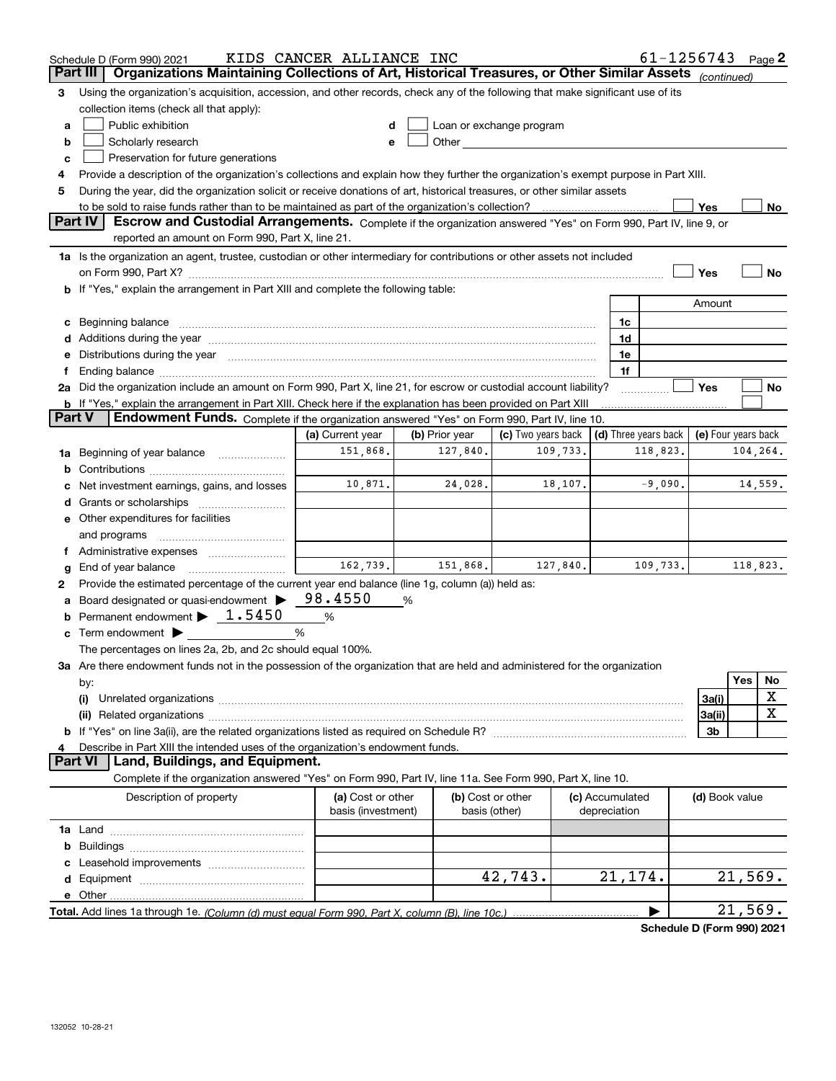|               | Schedule D (Form 990) 2021                                                                                                                                                                                                     | KIDS CANCER ALLIANCE INC                |                |                                    |                                 | 61-1256743 $_{Page}$ 2 |                     |            |           |
|---------------|--------------------------------------------------------------------------------------------------------------------------------------------------------------------------------------------------------------------------------|-----------------------------------------|----------------|------------------------------------|---------------------------------|------------------------|---------------------|------------|-----------|
| Part III      | Organizations Maintaining Collections of Art, Historical Treasures, or Other Similar Assets (continued)                                                                                                                        |                                         |                |                                    |                                 |                        |                     |            |           |
| з             | Using the organization's acquisition, accession, and other records, check any of the following that make significant use of its                                                                                                |                                         |                |                                    |                                 |                        |                     |            |           |
|               | collection items (check all that apply):                                                                                                                                                                                       |                                         |                |                                    |                                 |                        |                     |            |           |
| a             | Public exhibition                                                                                                                                                                                                              | d                                       |                | Loan or exchange program           |                                 |                        |                     |            |           |
| b             | Scholarly research                                                                                                                                                                                                             | е                                       |                |                                    |                                 |                        |                     |            |           |
| c             | Preservation for future generations                                                                                                                                                                                            |                                         |                |                                    |                                 |                        |                     |            |           |
| 4             | Provide a description of the organization's collections and explain how they further the organization's exempt purpose in Part XIII.                                                                                           |                                         |                |                                    |                                 |                        |                     |            |           |
| 5             | During the year, did the organization solicit or receive donations of art, historical treasures, or other similar assets                                                                                                       |                                         |                |                                    |                                 |                        |                     |            |           |
|               | to be sold to raise funds rather than to be maintained as part of the organization's collection?                                                                                                                               |                                         |                |                                    |                                 |                        | Yes                 |            | No        |
|               | Part IV<br>Escrow and Custodial Arrangements. Complete if the organization answered "Yes" on Form 990, Part IV, line 9, or                                                                                                     |                                         |                |                                    |                                 |                        |                     |            |           |
|               | reported an amount on Form 990, Part X, line 21.                                                                                                                                                                               |                                         |                |                                    |                                 |                        |                     |            |           |
|               | 1a Is the organization an agent, trustee, custodian or other intermediary for contributions or other assets not included                                                                                                       |                                         |                |                                    |                                 |                        |                     |            |           |
|               |                                                                                                                                                                                                                                |                                         |                |                                    |                                 |                        | Yes                 |            | <b>No</b> |
|               | b If "Yes," explain the arrangement in Part XIII and complete the following table:                                                                                                                                             |                                         |                |                                    |                                 |                        |                     |            |           |
|               |                                                                                                                                                                                                                                |                                         |                |                                    |                                 |                        | Amount              |            |           |
|               | c Beginning balance measurements and the contract of the contract of the contract of the contract of the contract of the contract of the contract of the contract of the contract of the contract of the contract of the contr |                                         |                |                                    | 1c                              |                        |                     |            |           |
|               |                                                                                                                                                                                                                                |                                         |                |                                    | 1d                              |                        |                     |            |           |
|               | Distributions during the year manufactured and continuum and contained and the year manufactured and contained                                                                                                                 |                                         |                |                                    | 1e                              |                        |                     |            |           |
|               |                                                                                                                                                                                                                                |                                         |                |                                    | 1f                              |                        |                     |            |           |
|               | 2a Did the organization include an amount on Form 990, Part X, line 21, for escrow or custodial account liability?                                                                                                             |                                         |                |                                    |                                 |                        | Yes                 |            | No        |
| <b>Part V</b> | b If "Yes," explain the arrangement in Part XIII. Check here if the explanation has been provided on Part XIII<br>Endowment Funds. Complete if the organization answered "Yes" on Form 990, Part IV, line 10.                  |                                         |                |                                    |                                 |                        |                     |            |           |
|               |                                                                                                                                                                                                                                | (a) Current year                        | (b) Prior year | (c) Two years back                 |                                 | (d) Three years back   | (e) Four years back |            |           |
| 1a            | Beginning of year balance                                                                                                                                                                                                      | 151,868.                                | 127,840.       | 109,733.                           |                                 | 118,823.               |                     | 104,264.   |           |
| b             |                                                                                                                                                                                                                                |                                         |                |                                    |                                 |                        |                     |            |           |
|               | Net investment earnings, gains, and losses                                                                                                                                                                                     | 10,871.                                 | 24,028.        | 18,107.                            |                                 | $-9,090.$              |                     |            | 14,559.   |
|               | <b>d</b> Grants or scholarships                                                                                                                                                                                                |                                         |                |                                    |                                 |                        |                     |            |           |
|               | e Other expenditures for facilities                                                                                                                                                                                            |                                         |                |                                    |                                 |                        |                     |            |           |
|               | and programs                                                                                                                                                                                                                   |                                         |                |                                    |                                 |                        |                     |            |           |
|               | Administrative expenses                                                                                                                                                                                                        |                                         |                |                                    |                                 |                        |                     |            |           |
| g             | End of year balance                                                                                                                                                                                                            | 162,739.                                | 151,868.       | 127,840.                           |                                 | 109,733.               |                     | 118,823.   |           |
| 2             | Provide the estimated percentage of the current year end balance (line 1g, column (a)) held as:                                                                                                                                |                                         |                |                                    |                                 |                        |                     |            |           |
| а             | Board designated or quasi-endowment $\blacktriangleright$ 98.4550                                                                                                                                                              |                                         | %              |                                    |                                 |                        |                     |            |           |
| b             | Permanent endowment $\blacktriangleright$ 1.5450                                                                                                                                                                               | %                                       |                |                                    |                                 |                        |                     |            |           |
|               | <b>c</b> Term endowment $\blacktriangleright$                                                                                                                                                                                  | %                                       |                |                                    |                                 |                        |                     |            |           |
|               | The percentages on lines 2a, 2b, and 2c should equal 100%.                                                                                                                                                                     |                                         |                |                                    |                                 |                        |                     |            |           |
|               | 3a Are there endowment funds not in the possession of the organization that are held and administered for the organization                                                                                                     |                                         |                |                                    |                                 |                        |                     |            |           |
|               | by:                                                                                                                                                                                                                            |                                         |                |                                    |                                 |                        |                     | <b>Yes</b> | No        |
|               | (i)                                                                                                                                                                                                                            |                                         |                |                                    |                                 |                        | 3a(i)               |            | х         |
|               |                                                                                                                                                                                                                                |                                         |                |                                    |                                 |                        | 3a(ii)              |            | x         |
|               | <b>b</b> If "Yes" on line 3a(ii), are the related organizations listed as required on Schedule R?                                                                                                                              |                                         |                |                                    |                                 |                        | 3b                  |            |           |
| 4             | Describe in Part XIII the intended uses of the organization's endowment funds.                                                                                                                                                 |                                         |                |                                    |                                 |                        |                     |            |           |
|               | Land, Buildings, and Equipment.<br><b>Part VI</b>                                                                                                                                                                              |                                         |                |                                    |                                 |                        |                     |            |           |
|               | Complete if the organization answered "Yes" on Form 990, Part IV, line 11a. See Form 990, Part X, line 10.                                                                                                                     |                                         |                |                                    |                                 |                        |                     |            |           |
|               | Description of property                                                                                                                                                                                                        | (a) Cost or other<br>basis (investment) |                | (b) Cost or other<br>basis (other) | (c) Accumulated<br>depreciation |                        | (d) Book value      |            |           |
|               |                                                                                                                                                                                                                                |                                         |                |                                    |                                 |                        |                     |            |           |
|               |                                                                                                                                                                                                                                |                                         |                |                                    |                                 |                        |                     |            |           |
|               |                                                                                                                                                                                                                                |                                         |                |                                    |                                 |                        |                     |            |           |
|               |                                                                                                                                                                                                                                |                                         |                | 42,743.                            | 21,174.                         |                        |                     | 21,569.    |           |
|               | e Other                                                                                                                                                                                                                        |                                         |                |                                    |                                 |                        |                     |            |           |
|               |                                                                                                                                                                                                                                |                                         |                |                                    |                                 |                        |                     | 21,569.    |           |

**Schedule D (Form 990) 2021**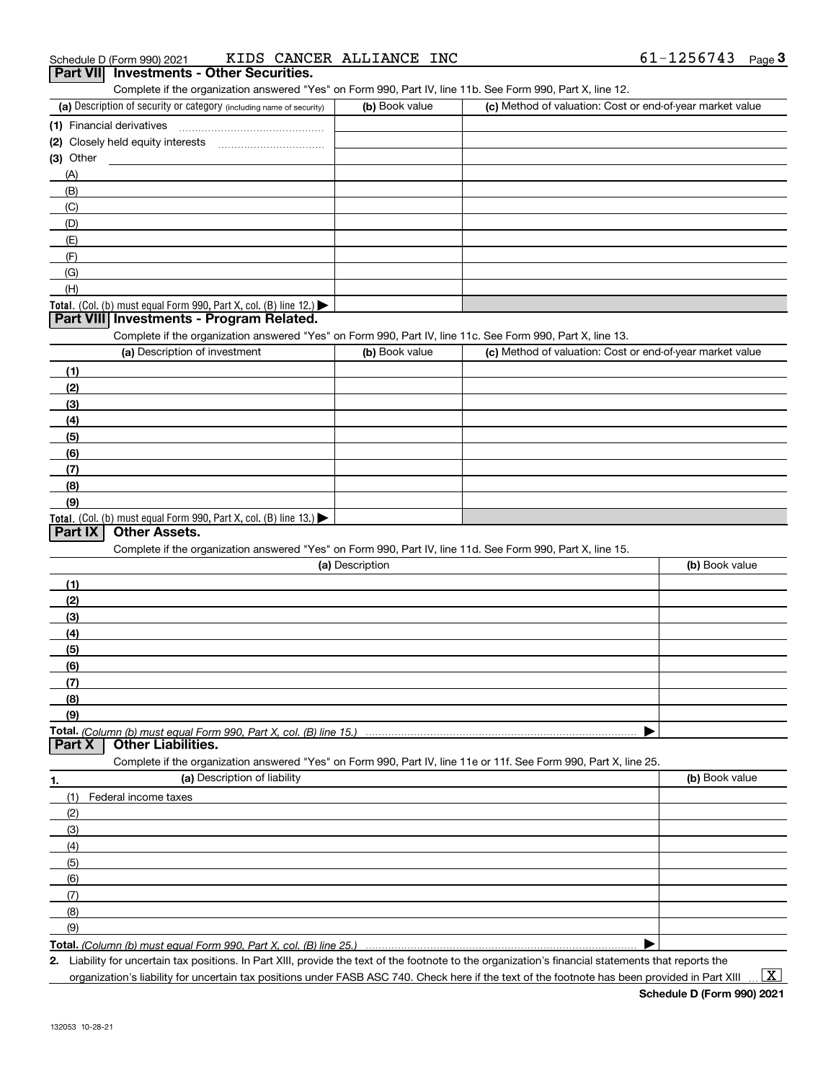| Schedule D (Form 990) 2021<br>Part VII Investments - Other Securities.<br>Complete if the organization answered "Yes" on Form 990, Part IV, line 11b. See Form 990, Part X, line 12. | KIDS CANCER ALLIANCE INC |                                                           | $61 - 1256743$ Page 3 |
|--------------------------------------------------------------------------------------------------------------------------------------------------------------------------------------|--------------------------|-----------------------------------------------------------|-----------------------|
| (a) Description of security or category (including name of security)                                                                                                                 | (b) Book value           | (c) Method of valuation: Cost or end-of-year market value |                       |
| (1) Financial derivatives                                                                                                                                                            |                          |                                                           |                       |
|                                                                                                                                                                                      |                          |                                                           |                       |
| $(3)$ Other                                                                                                                                                                          |                          |                                                           |                       |
| (A)                                                                                                                                                                                  |                          |                                                           |                       |
| (B)                                                                                                                                                                                  |                          |                                                           |                       |
| (C)                                                                                                                                                                                  |                          |                                                           |                       |
| (D)                                                                                                                                                                                  |                          |                                                           |                       |
| (E)                                                                                                                                                                                  |                          |                                                           |                       |
| (F)                                                                                                                                                                                  |                          |                                                           |                       |
| (G)                                                                                                                                                                                  |                          |                                                           |                       |
| (H)                                                                                                                                                                                  |                          |                                                           |                       |
| Total. (Col. (b) must equal Form 990, Part X, col. (B) line 12.)                                                                                                                     |                          |                                                           |                       |
| Part VIII Investments - Program Related.                                                                                                                                             |                          |                                                           |                       |
| Complete if the organization answered "Yes" on Form 990, Part IV, line 11c. See Form 990, Part X, line 13.                                                                           |                          |                                                           |                       |
| (a) Description of investment                                                                                                                                                        | (b) Book value           | (c) Method of valuation: Cost or end-of-year market value |                       |
| (1)                                                                                                                                                                                  |                          |                                                           |                       |
| (2)                                                                                                                                                                                  |                          |                                                           |                       |
| (3)                                                                                                                                                                                  |                          |                                                           |                       |
| (4)                                                                                                                                                                                  |                          |                                                           |                       |
| (5)                                                                                                                                                                                  |                          |                                                           |                       |
| (6)                                                                                                                                                                                  |                          |                                                           |                       |
| (7)                                                                                                                                                                                  |                          |                                                           |                       |
| (8)                                                                                                                                                                                  |                          |                                                           |                       |
| (9)                                                                                                                                                                                  |                          |                                                           |                       |
| Total. (Col. (b) must equal Form 990, Part X, col. (B) line 13.)                                                                                                                     |                          |                                                           |                       |
| Part IX<br><b>Other Assets.</b>                                                                                                                                                      |                          |                                                           |                       |
| Complete if the organization answered "Yes" on Form 990, Part IV, line 11d. See Form 990, Part X, line 15.                                                                           |                          |                                                           |                       |
|                                                                                                                                                                                      | (a) Description          |                                                           | (b) Book value        |
| (1)                                                                                                                                                                                  |                          |                                                           |                       |
| (2)                                                                                                                                                                                  |                          |                                                           |                       |
| (3)                                                                                                                                                                                  |                          |                                                           |                       |
| (4)                                                                                                                                                                                  |                          |                                                           |                       |
| (5)                                                                                                                                                                                  |                          |                                                           |                       |
| (6)                                                                                                                                                                                  |                          |                                                           |                       |
| (7)                                                                                                                                                                                  |                          |                                                           |                       |
| (8)                                                                                                                                                                                  |                          |                                                           |                       |
| (9)                                                                                                                                                                                  |                          |                                                           |                       |
| Total. (Column (b) must equal Form 990, Part X, col. (B) line 15.)                                                                                                                   |                          |                                                           |                       |
| <b>Other Liabilities.</b><br>Part X                                                                                                                                                  |                          |                                                           |                       |
| Complete if the organization answered "Yes" on Form 990, Part IV, line 11e or 11f. See Form 990, Part X, line 25.                                                                    |                          |                                                           |                       |
|                                                                                                                                                                                      |                          |                                                           | (b) Book value        |
| (a) Description of liability<br>1.                                                                                                                                                   |                          |                                                           |                       |
| (1) Federal income taxes                                                                                                                                                             |                          |                                                           |                       |

(3)(4)(5) (6) (7) (8)(9)  $\blacktriangleright$ 

**Total.**  *(Column (b) must equal Form 990, Part X, col. (B) line 25.)*

**2.** Liability for uncertain tax positions. In Part XIII, provide the text of the footnote to the organization's financial statements that reports the organization's liability for uncertain tax positions under FASB ASC 740. Check here if the text of the footnote has been provided in Part XIII

 $\vert$  X  $\vert$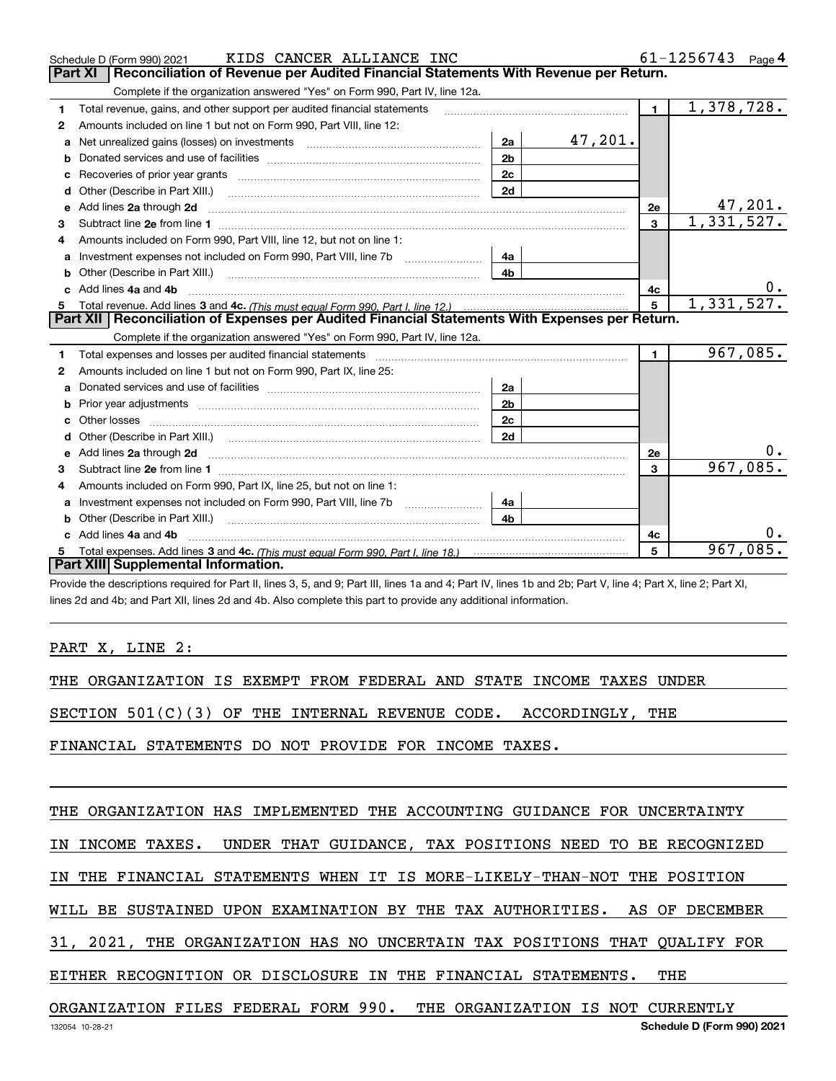|    | KIDS CANCER ALLIANCE INC<br>Schedule D (Form 990) 2021                                                                                                                                                                              |                | $61 - 1256743$ Page 4 |
|----|-------------------------------------------------------------------------------------------------------------------------------------------------------------------------------------------------------------------------------------|----------------|-----------------------|
|    | Reconciliation of Revenue per Audited Financial Statements With Revenue per Return.<br><b>Part XI</b>                                                                                                                               |                |                       |
|    | Complete if the organization answered "Yes" on Form 990, Part IV, line 12a.                                                                                                                                                         |                |                       |
| 1  | Total revenue, gains, and other support per audited financial statements                                                                                                                                                            | 1              | 1,378,728.            |
| 2  | Amounts included on line 1 but not on Form 990, Part VIII, line 12:                                                                                                                                                                 |                |                       |
| a  | 47,201.<br>2a                                                                                                                                                                                                                       |                |                       |
| b  | 2 <sub>b</sub>                                                                                                                                                                                                                      |                |                       |
| c  | 2c                                                                                                                                                                                                                                  |                |                       |
| d  | 2d<br>Other (Describe in Part XIII.)                                                                                                                                                                                                |                |                       |
| е  | Add lines 2a through 2d <b>must be a constructed as the constant of the S</b> and S and S and S and S and S and S and S and S and S and S and S and S and S and S and S and S and S and S and S and S and S and S and S and S and S | <b>2e</b>      | 47,201.               |
| з  |                                                                                                                                                                                                                                     | $\mathbf{3}$   | 1,331,527.            |
|    | Amounts included on Form 990, Part VIII, line 12, but not on line 1:                                                                                                                                                                |                |                       |
| a  | Investment expenses not included on Form 990, Part VIII, line 7b<br>4a                                                                                                                                                              |                |                       |
| b  | 4b<br>Other (Describe in Part XIII.)                                                                                                                                                                                                |                |                       |
|    | Add lines 4a and 4b                                                                                                                                                                                                                 | 4c             | 0.                    |
| 5. |                                                                                                                                                                                                                                     | 5              | 1,331,527.            |
|    | Part XII   Reconciliation of Expenses per Audited Financial Statements With Expenses per Return.                                                                                                                                    |                |                       |
|    | Complete if the organization answered "Yes" on Form 990, Part IV, line 12a.                                                                                                                                                         |                |                       |
| 1  |                                                                                                                                                                                                                                     | $\blacksquare$ | 967,085.              |
| 2  | Amounts included on line 1 but not on Form 990, Part IX, line 25:                                                                                                                                                                   |                |                       |
| a  | 2a                                                                                                                                                                                                                                  |                |                       |
| b  | 2 <sub>b</sub>                                                                                                                                                                                                                      |                |                       |
|    | 2c                                                                                                                                                                                                                                  |                |                       |
|    | 2d<br>Other (Describe in Part XIII.) (Contract and Contract and Chern Contract) (Chern Chern Chern Chern Chern Chern                                                                                                                |                |                       |
| е  | Add lines 2a through 2d <b>manufactures</b> and the contract of the contract of the contract of the contract of the contract of the contract of the contract of the contract of the contract of the contract of the contract of the | 2e             |                       |
| 3  |                                                                                                                                                                                                                                     | 3              | 967,085.              |
| 4  | Amounts included on Form 990, Part IX, line 25, but not on line 1:                                                                                                                                                                  |                |                       |
| a  | Investment expenses not included on Form 990, Part VIII, line 7b [1000000000000000000000000000000000<br>4a                                                                                                                          |                |                       |
|    | 4b                                                                                                                                                                                                                                  |                |                       |
|    | Add lines 4a and 4b                                                                                                                                                                                                                 | 4c             |                       |
| 5  |                                                                                                                                                                                                                                     | 5              | 967,085.              |
|    | Part XIII Supplemental Information.                                                                                                                                                                                                 |                |                       |

Provide the descriptions required for Part II, lines 3, 5, and 9; Part III, lines 1a and 4; Part IV, lines 1b and 2b; Part V, line 4; Part X, line 2; Part XI, lines 2d and 4b; and Part XII, lines 2d and 4b. Also complete this part to provide any additional information.

PART X, LINE 2:

THE ORGANIZATION IS EXEMPT FROM FEDERAL AND STATE INCOME TAXES UNDER

SECTION 501(C)(3) OF THE INTERNAL REVENUE CODE. ACCORDINGLY, THE

FINANCIAL STATEMENTS DO NOT PROVIDE FOR INCOME TAXES.

THE ORGANIZATION HAS IMPLEMENTED THE ACCOUNTING GUIDANCE FOR UNCERTAINTY

IN INCOME TAXES. UNDER THAT GUIDANCE, TAX POSITIONS NEED TO BE RECOGNIZED

IN THE FINANCIAL STATEMENTS WHEN IT IS MORE-LIKELY-THAN-NOT THE POSITION

WILL BE SUSTAINED UPON EXAMINATION BY THE TAX AUTHORITIES. AS OF DECEMBER

31, 2021, THE ORGANIZATION HAS NO UNCERTAIN TAX POSITIONS THAT QUALIFY FOR

EITHER RECOGNITION OR DISCLOSURE IN THE FINANCIAL STATEMENTS. THE

ORGANIZATION FILES FEDERAL FORM 990. THE ORGANIZATION IS NOT CURRENTLY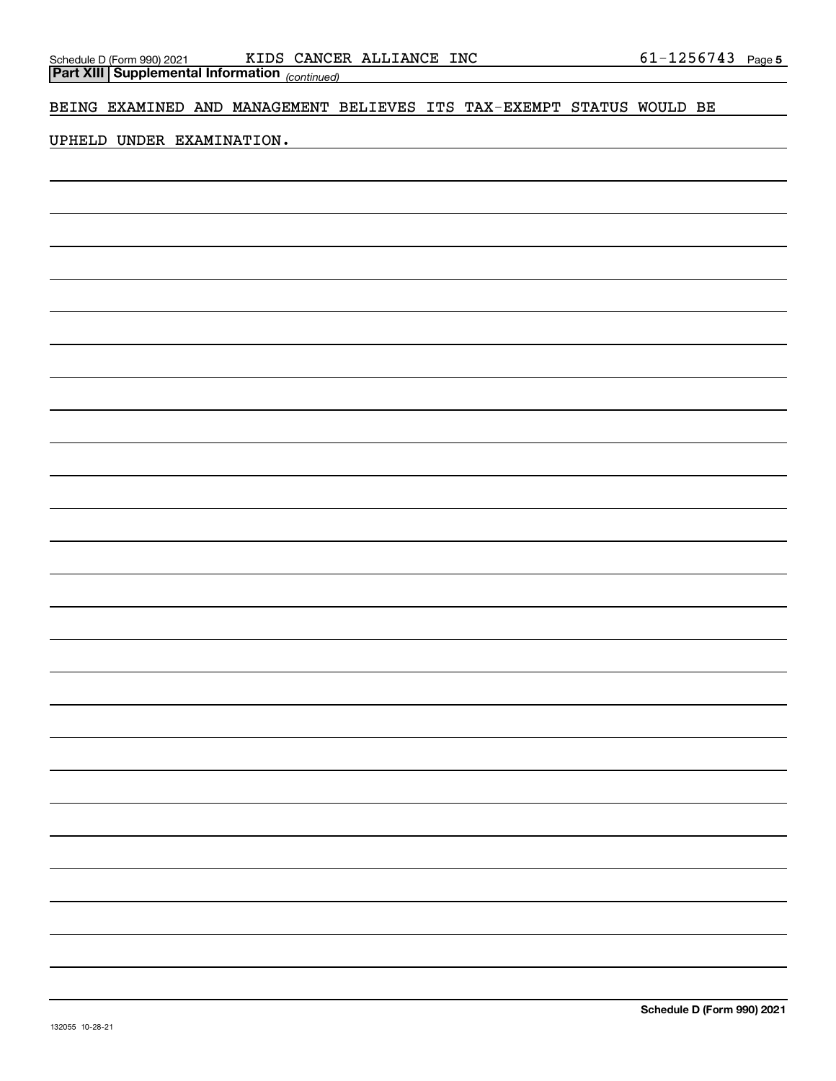BEING EXAMINED AND MANAGEMENT BELIEVES ITS TAX-EXEMPT STATUS WOULD BE

UPHELD UNDER EXAMINATION.

*(continued)* **Part XIII Supplemental Information**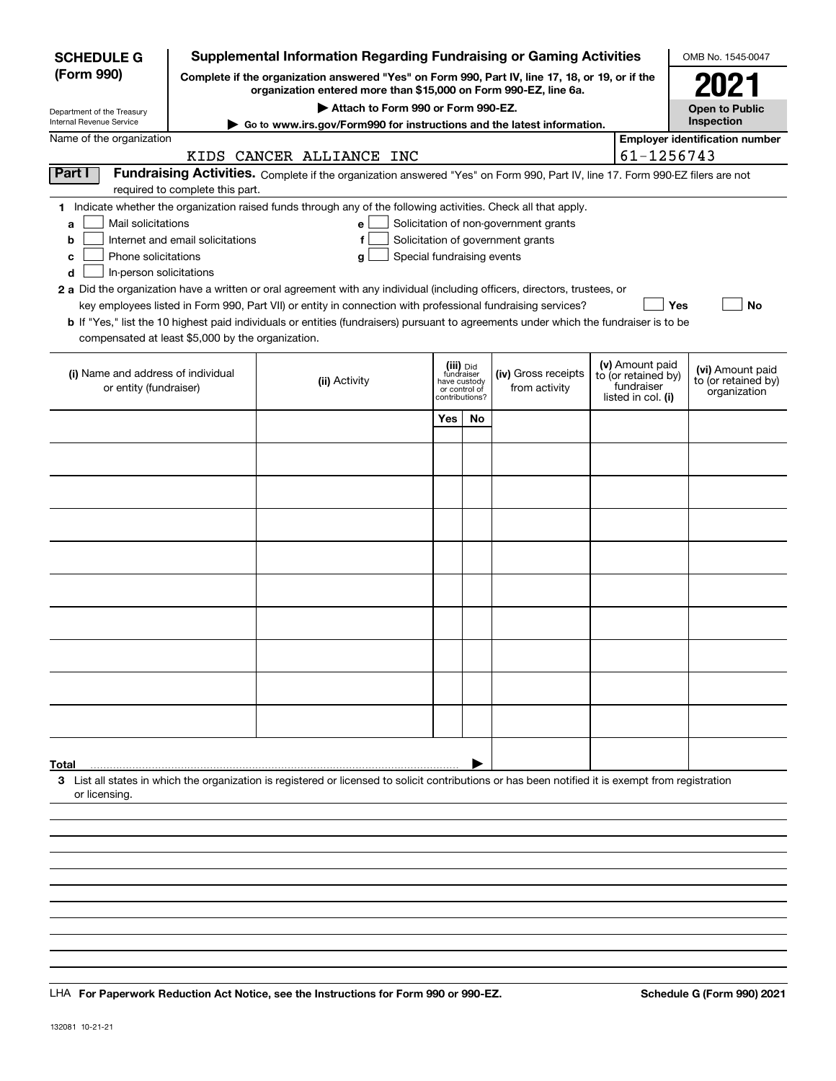| <b>SCHEDULE G</b>                                            |                                  | <b>Supplemental Information Regarding Fundraising or Gaming Activities</b>                                                                                          |                                 |    |                                       |                                   | OMB No. 1545-0047                                   |           |
|--------------------------------------------------------------|----------------------------------|---------------------------------------------------------------------------------------------------------------------------------------------------------------------|---------------------------------|----|---------------------------------------|-----------------------------------|-----------------------------------------------------|-----------|
| (Form 990)                                                   |                                  | Complete if the organization answered "Yes" on Form 990, Part IV, line 17, 18, or 19, or if the<br>organization entered more than \$15,000 on Form 990-EZ, line 6a. |                                 |    |                                       |                                   | 2021                                                |           |
| Department of the Treasury                                   |                                  | Attach to Form 990 or Form 990-EZ.                                                                                                                                  |                                 |    |                                       |                                   | <b>Open to Public</b>                               |           |
| Internal Revenue Service<br>Name of the organization         |                                  | ► Go to www.irs.gov/Form990 for instructions and the latest information.                                                                                            |                                 |    |                                       |                                   | Inspection<br><b>Employer identification number</b> |           |
|                                                              |                                  | KIDS CANCER ALLIANCE INC                                                                                                                                            |                                 |    |                                       | 61-1256743                        |                                                     |           |
| Part I                                                       |                                  | Fundraising Activities. Complete if the organization answered "Yes" on Form 990, Part IV, line 17. Form 990-EZ filers are not                                       |                                 |    |                                       |                                   |                                                     |           |
|                                                              | required to complete this part.  |                                                                                                                                                                     |                                 |    |                                       |                                   |                                                     |           |
|                                                              |                                  | 1 Indicate whether the organization raised funds through any of the following activities. Check all that apply.                                                     |                                 |    |                                       |                                   |                                                     |           |
| Mail solicitations<br>a                                      |                                  | е                                                                                                                                                                   |                                 |    | Solicitation of non-government grants |                                   |                                                     |           |
| b                                                            | Internet and email solicitations | f                                                                                                                                                                   |                                 |    | Solicitation of government grants     |                                   |                                                     |           |
| Phone solicitations<br>c<br>In-person solicitations<br>d     |                                  | g                                                                                                                                                                   | Special fundraising events      |    |                                       |                                   |                                                     |           |
|                                                              |                                  | 2 a Did the organization have a written or oral agreement with any individual (including officers, directors, trustees, or                                          |                                 |    |                                       |                                   |                                                     |           |
|                                                              |                                  | key employees listed in Form 990, Part VII) or entity in connection with professional fundraising services?                                                         |                                 |    |                                       |                                   | Yes                                                 | <b>No</b> |
|                                                              |                                  | b If "Yes," list the 10 highest paid individuals or entities (fundraisers) pursuant to agreements under which the fundraiser is to be                               |                                 |    |                                       |                                   |                                                     |           |
| compensated at least \$5,000 by the organization.            |                                  |                                                                                                                                                                     |                                 |    |                                       |                                   |                                                     |           |
|                                                              |                                  |                                                                                                                                                                     | (iii) Did<br>fundraiser         |    |                                       | (v) Amount paid                   | (vi) Amount paid                                    |           |
| (i) Name and address of individual<br>or entity (fundraiser) |                                  | (ii) Activity                                                                                                                                                       | have custody                    |    | (iv) Gross receipts<br>from activity  | to (or retained by)<br>fundraiser | to (or retained by)                                 |           |
|                                                              |                                  |                                                                                                                                                                     | or control of<br>contributions? |    |                                       | listed in col. (i)                | organization                                        |           |
|                                                              |                                  |                                                                                                                                                                     | Yes                             | No |                                       |                                   |                                                     |           |
|                                                              |                                  |                                                                                                                                                                     |                                 |    |                                       |                                   |                                                     |           |
|                                                              |                                  |                                                                                                                                                                     |                                 |    |                                       |                                   |                                                     |           |
|                                                              |                                  |                                                                                                                                                                     |                                 |    |                                       |                                   |                                                     |           |
|                                                              |                                  |                                                                                                                                                                     |                                 |    |                                       |                                   |                                                     |           |
|                                                              |                                  |                                                                                                                                                                     |                                 |    |                                       |                                   |                                                     |           |
|                                                              |                                  |                                                                                                                                                                     |                                 |    |                                       |                                   |                                                     |           |
|                                                              |                                  |                                                                                                                                                                     |                                 |    |                                       |                                   |                                                     |           |
|                                                              |                                  |                                                                                                                                                                     |                                 |    |                                       |                                   |                                                     |           |
|                                                              |                                  |                                                                                                                                                                     |                                 |    |                                       |                                   |                                                     |           |
|                                                              |                                  |                                                                                                                                                                     |                                 |    |                                       |                                   |                                                     |           |
|                                                              |                                  |                                                                                                                                                                     |                                 |    |                                       |                                   |                                                     |           |
|                                                              |                                  |                                                                                                                                                                     |                                 |    |                                       |                                   |                                                     |           |
|                                                              |                                  |                                                                                                                                                                     |                                 |    |                                       |                                   |                                                     |           |
| Total                                                        |                                  |                                                                                                                                                                     |                                 |    |                                       |                                   |                                                     |           |
| or licensing.                                                |                                  | 3 List all states in which the organization is registered or licensed to solicit contributions or has been notified it is exempt from registration                  |                                 |    |                                       |                                   |                                                     |           |
|                                                              |                                  |                                                                                                                                                                     |                                 |    |                                       |                                   |                                                     |           |
|                                                              |                                  |                                                                                                                                                                     |                                 |    |                                       |                                   |                                                     |           |
|                                                              |                                  |                                                                                                                                                                     |                                 |    |                                       |                                   |                                                     |           |
|                                                              |                                  |                                                                                                                                                                     |                                 |    |                                       |                                   |                                                     |           |
|                                                              |                                  |                                                                                                                                                                     |                                 |    |                                       |                                   |                                                     |           |

LHA For Paperwork Reduction Act Notice, see the Instructions for Form 990 or 990-EZ. Schedule G (Form 990) 2021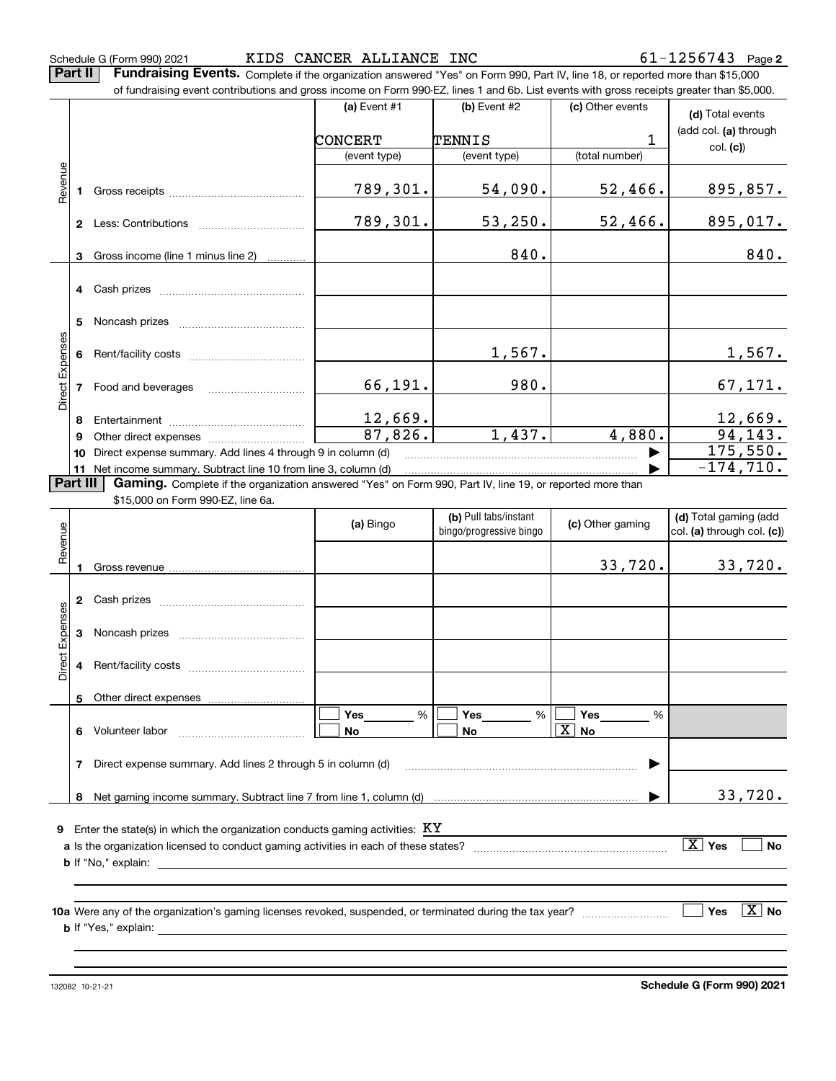Schedule G (Form 990) 2021  $\qquad \qquad$  KIDS CANCER ALLIANCE INC  $\qquad \qquad \qquad 61-1256743$  Page

**Part II** | Fundraising Events. Complete if the organization answered "Yes" on Form 990, Part IV, line 18, or reported more than \$15,000 of fundraising event contributions and gross income on Form 990-EZ, lines 1 and 6b. List events with gross receipts greater than \$5,000.

|                 |              | of fundraising event contributions and gross income on Form 990-EZ, lines T and 6D. List events with gross receipts greater than \$5,000.                                                                                      |                |                                                  |                          |                                                     |
|-----------------|--------------|--------------------------------------------------------------------------------------------------------------------------------------------------------------------------------------------------------------------------------|----------------|--------------------------------------------------|--------------------------|-----------------------------------------------------|
|                 |              |                                                                                                                                                                                                                                | (a) Event $#1$ | (b) Event #2                                     | (c) Other events         | (d) Total events                                    |
|                 |              |                                                                                                                                                                                                                                | CONCERT        | TENNIS                                           | 1                        | (add col. (a) through                               |
|                 |              |                                                                                                                                                                                                                                | (event type)   | (event type)                                     | (total number)           | col. (c)                                            |
|                 |              |                                                                                                                                                                                                                                |                |                                                  |                          |                                                     |
| Revenue         |              | 1 Gross receipts and the control of the control of the control of the control of the control of the control of the control of the control of the control of the control of the control of the control of the control of the co | 789,301.       | 54,090.                                          | 52, 466.                 | 895,857.                                            |
|                 |              |                                                                                                                                                                                                                                |                |                                                  |                          |                                                     |
|                 |              |                                                                                                                                                                                                                                | 789,301.       | 53, 250.                                         | 52,466.                  | 895,017.                                            |
|                 |              |                                                                                                                                                                                                                                |                | 840.                                             |                          | 840.                                                |
|                 | 3            | Gross income (line 1 minus line 2)                                                                                                                                                                                             |                |                                                  |                          |                                                     |
|                 |              | 4 Cash prizes                                                                                                                                                                                                                  |                |                                                  |                          |                                                     |
|                 |              |                                                                                                                                                                                                                                |                |                                                  |                          |                                                     |
|                 | 5            |                                                                                                                                                                                                                                |                |                                                  |                          |                                                     |
|                 |              |                                                                                                                                                                                                                                |                |                                                  |                          |                                                     |
|                 |              |                                                                                                                                                                                                                                |                | 1,567.                                           |                          | 1,567.                                              |
| Direct Expenses |              |                                                                                                                                                                                                                                |                | 980.                                             |                          |                                                     |
|                 |              | 7 Food and beverages                                                                                                                                                                                                           | 66,191.        |                                                  |                          | 67, 171.                                            |
|                 | 8            |                                                                                                                                                                                                                                | 12,669.        |                                                  |                          | 12,669.                                             |
|                 | 9            |                                                                                                                                                                                                                                | 87,826.        | 1,437.                                           | 4,880.                   | 94, 143.                                            |
|                 | 10           | Direct expense summary. Add lines 4 through 9 in column (d)                                                                                                                                                                    |                |                                                  |                          | 175,550.                                            |
|                 |              | 11 Net income summary. Subtract line 10 from line 3, column (d)                                                                                                                                                                |                |                                                  |                          | $-174,710.$                                         |
|                 | Part III     | Gaming. Complete if the organization answered "Yes" on Form 990, Part IV, line 19, or reported more than                                                                                                                       |                |                                                  |                          |                                                     |
|                 |              | \$15,000 on Form 990-EZ, line 6a.                                                                                                                                                                                              |                |                                                  |                          |                                                     |
|                 |              |                                                                                                                                                                                                                                | (a) Bingo      | (b) Pull tabs/instant<br>bingo/progressive bingo | (c) Other gaming         | (d) Total gaming (add<br>col. (a) through col. (c)) |
| Revenue         |              |                                                                                                                                                                                                                                |                |                                                  |                          |                                                     |
|                 | $\mathbf{1}$ |                                                                                                                                                                                                                                |                |                                                  | 33,720.                  | 33,720.                                             |
|                 |              |                                                                                                                                                                                                                                |                |                                                  |                          |                                                     |
|                 |              |                                                                                                                                                                                                                                |                |                                                  |                          |                                                     |
|                 |              |                                                                                                                                                                                                                                |                |                                                  |                          |                                                     |
| Direct Expenses | 3            |                                                                                                                                                                                                                                |                |                                                  |                          |                                                     |
|                 |              |                                                                                                                                                                                                                                |                |                                                  |                          |                                                     |
|                 |              |                                                                                                                                                                                                                                |                |                                                  |                          |                                                     |
|                 |              | 5 Other direct expenses                                                                                                                                                                                                        |                |                                                  |                          |                                                     |
|                 |              |                                                                                                                                                                                                                                | %<br>Yes       | Yes<br>%                                         | Yes<br>%                 |                                                     |
|                 | 6            | Volunteer labor                                                                                                                                                                                                                | No             | No                                               | $\boxed{\text{X}}$<br>No |                                                     |
|                 |              |                                                                                                                                                                                                                                |                |                                                  |                          |                                                     |
|                 | 7            | Direct expense summary. Add lines 2 through 5 in column (d)                                                                                                                                                                    |                |                                                  |                          |                                                     |
|                 |              |                                                                                                                                                                                                                                |                |                                                  |                          |                                                     |
|                 | 8            |                                                                                                                                                                                                                                |                |                                                  |                          | 33,720.                                             |
|                 |              |                                                                                                                                                                                                                                |                |                                                  |                          |                                                     |
|                 |              | <b>9</b> Enter the state(s) in which the organization conducts gaming activities: $\boldsymbol{K}\boldsymbol{Y}$                                                                                                               |                |                                                  |                          | $\boxed{\text{X}}$ Yes<br><b>No</b>                 |
|                 |              | <b>b</b> If "No," explain:                                                                                                                                                                                                     |                |                                                  |                          |                                                     |
|                 |              |                                                                                                                                                                                                                                |                |                                                  |                          |                                                     |
|                 |              |                                                                                                                                                                                                                                |                |                                                  |                          |                                                     |
|                 |              |                                                                                                                                                                                                                                |                |                                                  |                          | $\boxed{\text{X}}$ No<br>Yes                        |
|                 |              | <b>b</b> If "Yes," explain:                                                                                                                                                                                                    |                |                                                  |                          |                                                     |
|                 |              |                                                                                                                                                                                                                                |                |                                                  |                          |                                                     |
|                 |              |                                                                                                                                                                                                                                |                |                                                  |                          |                                                     |

132082 10-21-21

**Schedule G (Form 990) 2021**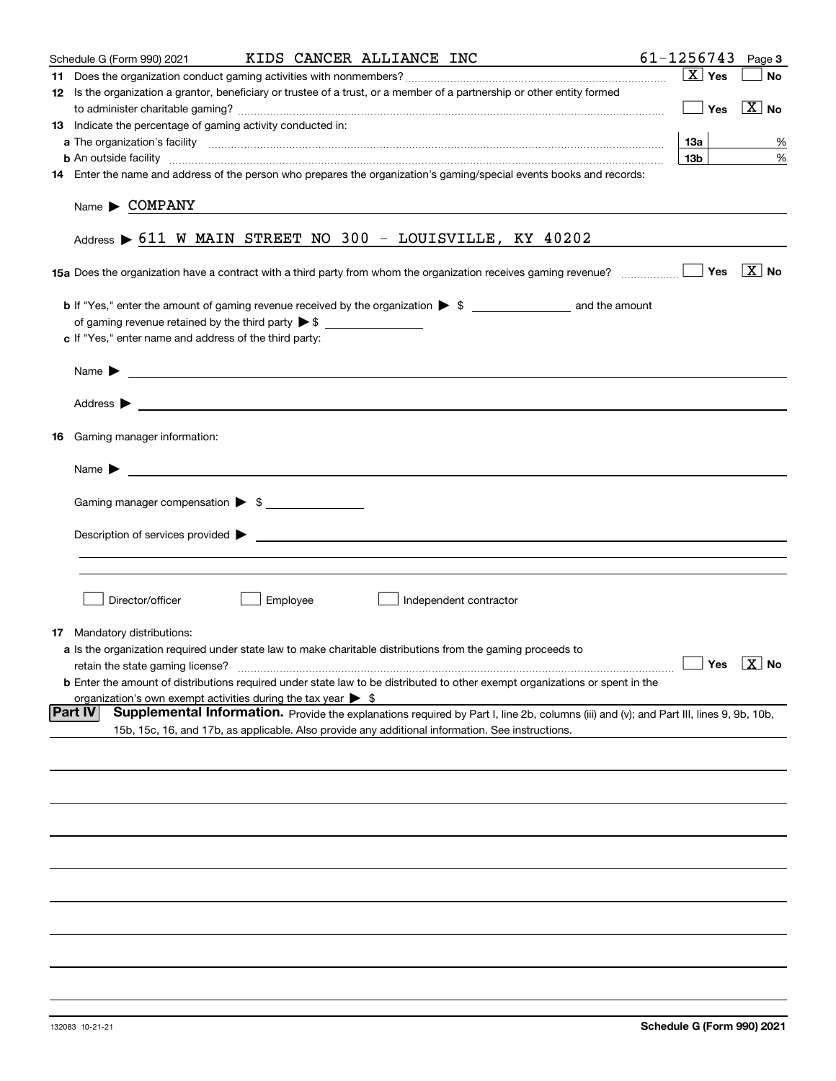| KIDS CANCER ALLIANCE INC<br>Schedule G (Form 990) 2021                                                                                                                                                                                        | $61 - 1256743$ Page 3 |            |                             |
|-----------------------------------------------------------------------------------------------------------------------------------------------------------------------------------------------------------------------------------------------|-----------------------|------------|-----------------------------|
|                                                                                                                                                                                                                                               |                       | $X$ Yes    | <b>No</b>                   |
| 12 Is the organization a grantor, beneficiary or trustee of a trust, or a member of a partnership or other entity formed                                                                                                                      |                       |            |                             |
|                                                                                                                                                                                                                                               |                       | $\Box$ Yes | $\boxed{\text{X}}$ No       |
| 13 Indicate the percentage of gaming activity conducted in:                                                                                                                                                                                   |                       |            |                             |
|                                                                                                                                                                                                                                               | 13a                   |            | %                           |
| <b>b</b> An outside facility <i>[[[[[[[[[[[[[[[[]]]]</i> An outside facility <i>[[[[[[[[[[[[[[[]]]]]</i> and an anti-manufacture of the state of the state of the state of the state of the state of the state of the state of the state of t | 13 <sub>b</sub>       |            | %                           |
| 14 Enter the name and address of the person who prepares the organization's gaming/special events books and records:                                                                                                                          |                       |            |                             |
| Name COMPANY                                                                                                                                                                                                                                  |                       |            |                             |
| Address $\triangleright$ 611 W MAIN STREET NO 300 - LOUISVILLE, KY 40202                                                                                                                                                                      |                       |            |                             |
|                                                                                                                                                                                                                                               |                       |            |                             |
|                                                                                                                                                                                                                                               |                       |            |                             |
|                                                                                                                                                                                                                                               |                       |            |                             |
| c If "Yes," enter name and address of the third party:                                                                                                                                                                                        |                       |            |                             |
| Name $\blacktriangleright$ $\lrcorner$                                                                                                                                                                                                        |                       |            |                             |
|                                                                                                                                                                                                                                               |                       |            |                             |
|                                                                                                                                                                                                                                               |                       |            |                             |
| 16 Gaming manager information:                                                                                                                                                                                                                |                       |            |                             |
| <u> 1989 - Andrea Stadt Britain, amerikansk politiker (</u><br>Name $\blacktriangleright$                                                                                                                                                     |                       |            |                             |
| Gaming manager compensation > \$                                                                                                                                                                                                              |                       |            |                             |
|                                                                                                                                                                                                                                               |                       |            |                             |
|                                                                                                                                                                                                                                               |                       |            |                             |
|                                                                                                                                                                                                                                               |                       |            |                             |
|                                                                                                                                                                                                                                               |                       |            |                             |
| Director/officer<br>Employee<br>Independent contractor                                                                                                                                                                                        |                       |            |                             |
| 17 Mandatory distributions:                                                                                                                                                                                                                   |                       |            |                             |
| <b>a</b> Is the organization required under state law to make charitable distributions from the gaming proceeds to                                                                                                                            |                       |            |                             |
| retain the state gaming license?                                                                                                                                                                                                              |                       |            | $\sqrt{}$ Yes $\sqrt{X}$ No |
| <b>b</b> Enter the amount of distributions required under state law to be distributed to other exempt organizations or spent in the                                                                                                           |                       |            |                             |
| organization's own exempt activities during the tax year $\triangleright$ \$<br> Part IV                                                                                                                                                      |                       |            |                             |
| Supplemental Information. Provide the explanations required by Part I, line 2b, columns (iii) and (v); and Part III, lines 9, 9b, 10b,<br>15b, 15c, 16, and 17b, as applicable. Also provide any additional information. See instructions.    |                       |            |                             |
|                                                                                                                                                                                                                                               |                       |            |                             |
|                                                                                                                                                                                                                                               |                       |            |                             |
|                                                                                                                                                                                                                                               |                       |            |                             |
|                                                                                                                                                                                                                                               |                       |            |                             |
|                                                                                                                                                                                                                                               |                       |            |                             |
|                                                                                                                                                                                                                                               |                       |            |                             |
|                                                                                                                                                                                                                                               |                       |            |                             |
|                                                                                                                                                                                                                                               |                       |            |                             |
|                                                                                                                                                                                                                                               |                       |            |                             |
|                                                                                                                                                                                                                                               |                       |            |                             |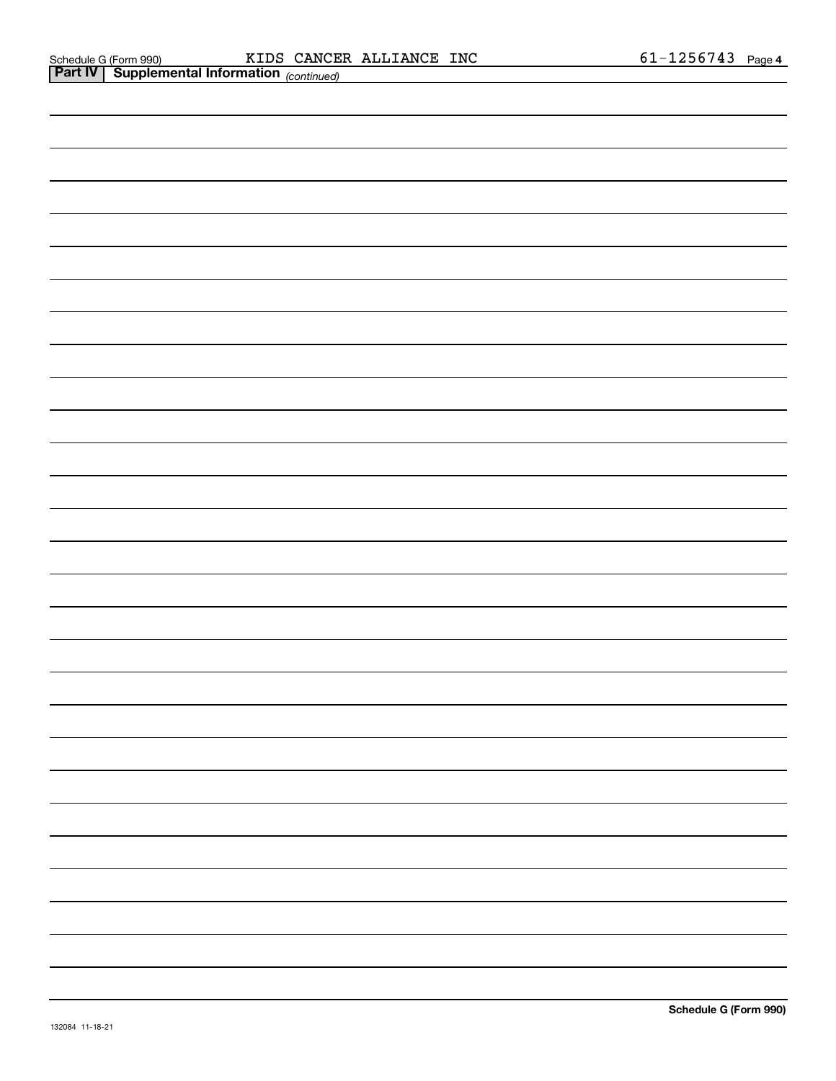| <b>Part IV</b> Supplemental information $_{(continued)}$ |  |  |
|----------------------------------------------------------|--|--|
|                                                          |  |  |
|                                                          |  |  |
|                                                          |  |  |
|                                                          |  |  |
|                                                          |  |  |
|                                                          |  |  |
|                                                          |  |  |
|                                                          |  |  |
|                                                          |  |  |
|                                                          |  |  |
|                                                          |  |  |
|                                                          |  |  |
|                                                          |  |  |
|                                                          |  |  |
|                                                          |  |  |
|                                                          |  |  |
|                                                          |  |  |
|                                                          |  |  |
|                                                          |  |  |
|                                                          |  |  |
|                                                          |  |  |
|                                                          |  |  |
|                                                          |  |  |
|                                                          |  |  |
|                                                          |  |  |
|                                                          |  |  |
|                                                          |  |  |
|                                                          |  |  |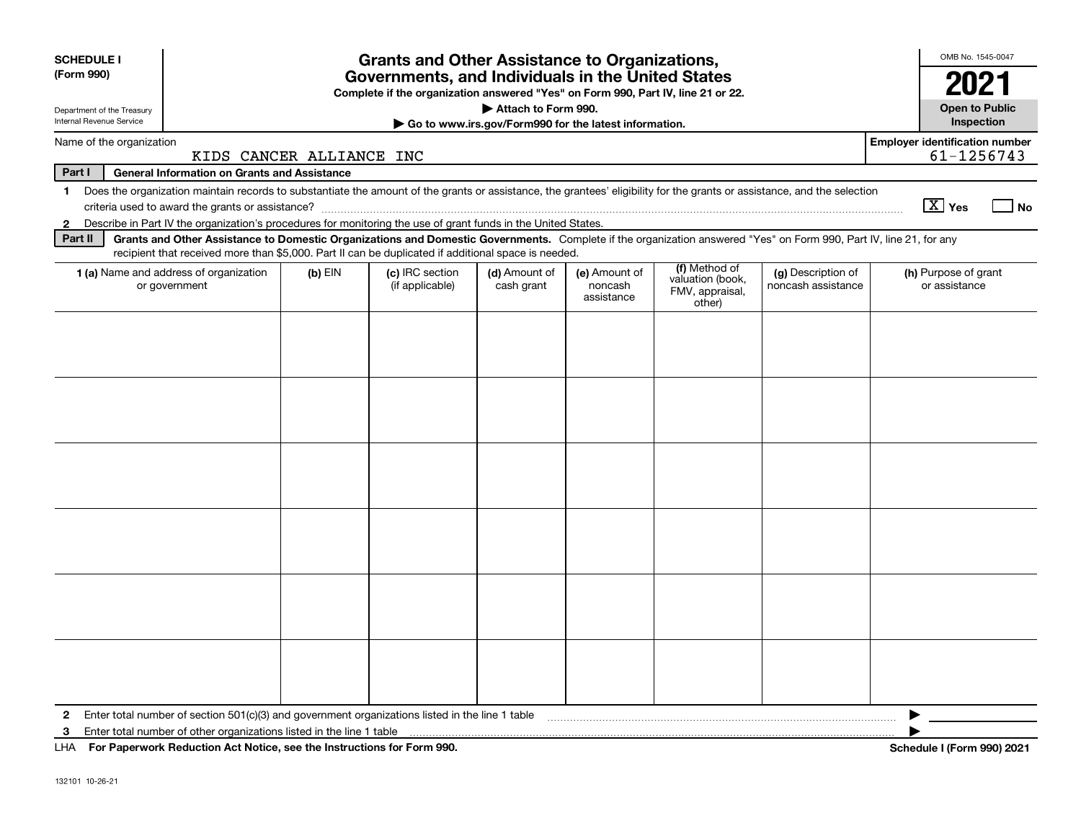| <b>SCHEDULE I</b><br>(Form 990)<br>Department of the Treasury |                                                                                                                                                                                                                                                                                     |           | <b>Grants and Other Assistance to Organizations,</b><br>Governments, and Individuals in the United States<br>Complete if the organization answered "Yes" on Form 990, Part IV, line 21 or 22. | Attach to Form 990.                                   |                                        |                                                                |                                          | OMB No. 1545-0047<br>2021<br><b>Open to Public</b>  |
|---------------------------------------------------------------|-------------------------------------------------------------------------------------------------------------------------------------------------------------------------------------------------------------------------------------------------------------------------------------|-----------|-----------------------------------------------------------------------------------------------------------------------------------------------------------------------------------------------|-------------------------------------------------------|----------------------------------------|----------------------------------------------------------------|------------------------------------------|-----------------------------------------------------|
| Internal Revenue Service                                      |                                                                                                                                                                                                                                                                                     |           |                                                                                                                                                                                               | Go to www.irs.gov/Form990 for the latest information. |                                        |                                                                |                                          | Inspection                                          |
| Name of the organization                                      | KIDS CANCER ALLIANCE INC                                                                                                                                                                                                                                                            |           |                                                                                                                                                                                               |                                                       |                                        |                                                                |                                          | <b>Employer identification number</b><br>61-1256743 |
| Part I                                                        | <b>General Information on Grants and Assistance</b>                                                                                                                                                                                                                                 |           |                                                                                                                                                                                               |                                                       |                                        |                                                                |                                          |                                                     |
| 1                                                             | Does the organization maintain records to substantiate the amount of the grants or assistance, the grantees' eligibility for the grants or assistance, and the selection<br>criteria used to award the grants or assistance?                                                        |           |                                                                                                                                                                                               |                                                       |                                        |                                                                |                                          | $\boxed{\text{X}}$ Yes<br>  No                      |
| $\mathbf{2}$<br>Part II                                       | Describe in Part IV the organization's procedures for monitoring the use of grant funds in the United States.<br>Grants and Other Assistance to Domestic Organizations and Domestic Governments. Complete if the organization answered "Yes" on Form 990, Part IV, line 21, for any |           |                                                                                                                                                                                               |                                                       |                                        |                                                                |                                          |                                                     |
|                                                               | recipient that received more than \$5,000. Part II can be duplicated if additional space is needed.                                                                                                                                                                                 |           |                                                                                                                                                                                               |                                                       |                                        |                                                                |                                          |                                                     |
|                                                               | 1 (a) Name and address of organization<br>or government                                                                                                                                                                                                                             | $(b)$ EIN | (c) IRC section<br>(if applicable)                                                                                                                                                            | (d) Amount of<br>cash grant                           | (e) Amount of<br>noncash<br>assistance | (f) Method of<br>valuation (book,<br>FMV, appraisal,<br>other) | (g) Description of<br>noncash assistance | (h) Purpose of grant<br>or assistance               |
|                                                               |                                                                                                                                                                                                                                                                                     |           |                                                                                                                                                                                               |                                                       |                                        |                                                                |                                          |                                                     |
|                                                               |                                                                                                                                                                                                                                                                                     |           |                                                                                                                                                                                               |                                                       |                                        |                                                                |                                          |                                                     |
|                                                               |                                                                                                                                                                                                                                                                                     |           |                                                                                                                                                                                               |                                                       |                                        |                                                                |                                          |                                                     |
|                                                               |                                                                                                                                                                                                                                                                                     |           |                                                                                                                                                                                               |                                                       |                                        |                                                                |                                          |                                                     |
|                                                               |                                                                                                                                                                                                                                                                                     |           |                                                                                                                                                                                               |                                                       |                                        |                                                                |                                          |                                                     |
|                                                               |                                                                                                                                                                                                                                                                                     |           |                                                                                                                                                                                               |                                                       |                                        |                                                                |                                          |                                                     |
| $\mathbf{2}$                                                  | Enter total number of section 501(c)(3) and government organizations listed in the line 1 table                                                                                                                                                                                     |           |                                                                                                                                                                                               |                                                       |                                        |                                                                |                                          |                                                     |
| 3                                                             | Enter total number of other organizations listed in the line 1 table                                                                                                                                                                                                                |           |                                                                                                                                                                                               |                                                       |                                        |                                                                |                                          |                                                     |
| LHA                                                           | For Paperwork Reduction Act Notice, see the Instructions for Form 990.                                                                                                                                                                                                              |           |                                                                                                                                                                                               |                                                       |                                        |                                                                |                                          | Schedule I (Form 990) 2021                          |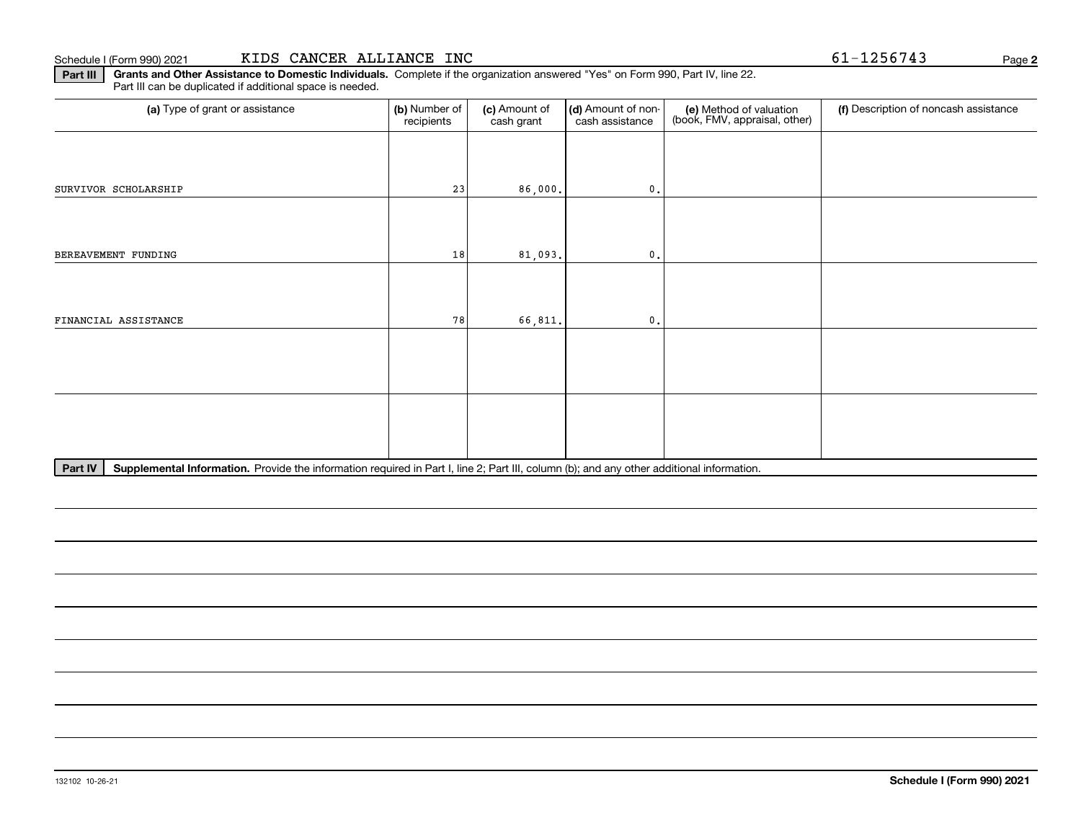**Part III Grants and Other Assistance to Domestic Individuals.**  Complete if the organization answered "Yes" on Form 990, Part IV, line 22. Part III can be duplicated if additional space is needed.

| (a) Type of grant or assistance                                                                                                                                                                                                      | (b) Number of<br>recipients | (c) Amount of<br>cash grant | (d) Amount of non-<br>cash assistance | (e) Method of valuation<br>(book, FMV, appraisal, other)      | (f) Description of noncash assistance |
|--------------------------------------------------------------------------------------------------------------------------------------------------------------------------------------------------------------------------------------|-----------------------------|-----------------------------|---------------------------------------|---------------------------------------------------------------|---------------------------------------|
|                                                                                                                                                                                                                                      |                             |                             |                                       |                                                               |                                       |
| SURVIVOR SCHOLARSHIP                                                                                                                                                                                                                 | 23                          | 86,000.                     | 0.                                    |                                                               |                                       |
|                                                                                                                                                                                                                                      |                             |                             |                                       |                                                               |                                       |
| BEREAVEMENT FUNDING                                                                                                                                                                                                                  | 18                          | 81,093.                     | 0.                                    |                                                               |                                       |
|                                                                                                                                                                                                                                      |                             |                             |                                       |                                                               |                                       |
| FINANCIAL ASSISTANCE                                                                                                                                                                                                                 | 78                          | 66,811.                     | $\mathfrak{o}$ .                      |                                                               |                                       |
|                                                                                                                                                                                                                                      |                             |                             |                                       |                                                               |                                       |
|                                                                                                                                                                                                                                      |                             |                             |                                       |                                                               |                                       |
|                                                                                                                                                                                                                                      |                             |                             |                                       |                                                               |                                       |
|                                                                                                                                                                                                                                      |                             |                             |                                       |                                                               |                                       |
| <u>a sur la construcción de la construcción de la construcción de la construcción de la construcción de la construcción de la construcción de la construcción de la construcción de la construcción de la construcción de la con</u> | .                           | $\sim$ $\sim$ $\sim$ $\sim$ | $\sim$<br>$\sim$<br>$\cdot$ .         | $\sim$ $\sim$ $\sim$ $\sim$ $\sim$ $\sim$ $\sim$<br>$\cdot$ . |                                       |

Part IV | Supplemental Information. Provide the information required in Part I, line 2; Part III, column (b); and any other additional information.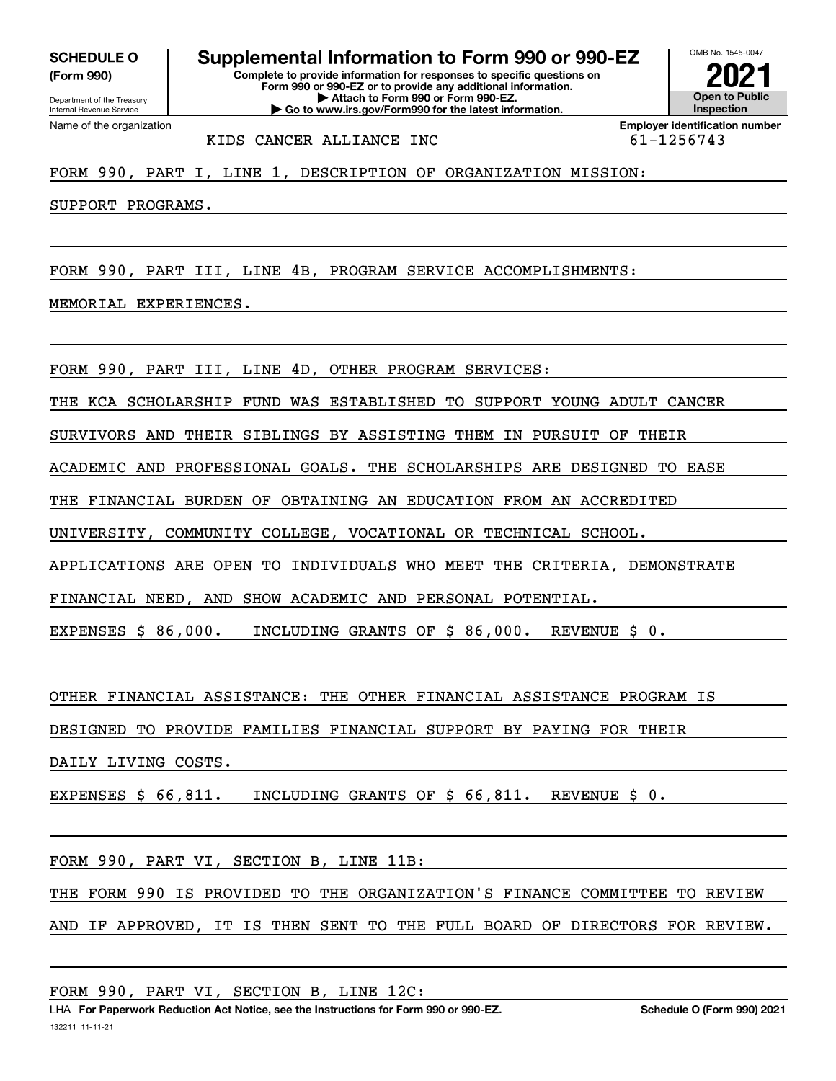**(Form 990)**

**Complete to provide information for responses to specific questions on Form 990 or 990-EZ or to provide any additional information. | Attach to Form 990 or Form 990-EZ. | Go to www.irs.gov/Form990 for the latest information. SCHEDULE O Supplemental Information to Form 990 or 990-EZ**



KIDS CANCER ALLIANCE INC  $\vert$  61-1256743

FORM 990, PART I, LINE 1, DESCRIPTION OF ORGANIZATION MISSION:

SUPPORT PROGRAMS.

FORM 990, PART III, LINE 4B, PROGRAM SERVICE ACCOMPLISHMENTS:

MEMORIAL EXPERIENCES.

FORM 990, PART III, LINE 4D, OTHER PROGRAM SERVICES:

THE KCA SCHOLARSHIP FUND WAS ESTABLISHED TO SUPPORT YOUNG ADULT CANCER

SURVIVORS AND THEIR SIBLINGS BY ASSISTING THEM IN PURSUIT OF THEIR

ACADEMIC AND PROFESSIONAL GOALS. THE SCHOLARSHIPS ARE DESIGNED TO EASE

THE FINANCIAL BURDEN OF OBTAINING AN EDUCATION FROM AN ACCREDITED

UNIVERSITY, COMMUNITY COLLEGE, VOCATIONAL OR TECHNICAL SCHOOL.

APPLICATIONS ARE OPEN TO INDIVIDUALS WHO MEET THE CRITERIA, DEMONSTRATE

FINANCIAL NEED, AND SHOW ACADEMIC AND PERSONAL POTENTIAL.

EXPENSES \$ 86,000. INCLUDING GRANTS OF \$ 86,000. REVENUE \$ 0.

OTHER FINANCIAL ASSISTANCE: THE OTHER FINANCIAL ASSISTANCE PROGRAM IS

DESIGNED TO PROVIDE FAMILIES FINANCIAL SUPPORT BY PAYING FOR THEIR

DAILY LIVING COSTS.

EXPENSES \$ 66,811. INCLUDING GRANTS OF \$ 66,811. REVENUE \$ 0.

FORM 990, PART VI, SECTION B, LINE 11B:

THE FORM 990 IS PROVIDED TO THE ORGANIZATION'S FINANCE COMMITTEE TO REVIEW

AND IF APPROVED, IT IS THEN SENT TO THE FULL BOARD OF DIRECTORS FOR REVIEW.

FORM 990, PART VI, SECTION B, LINE 12C: